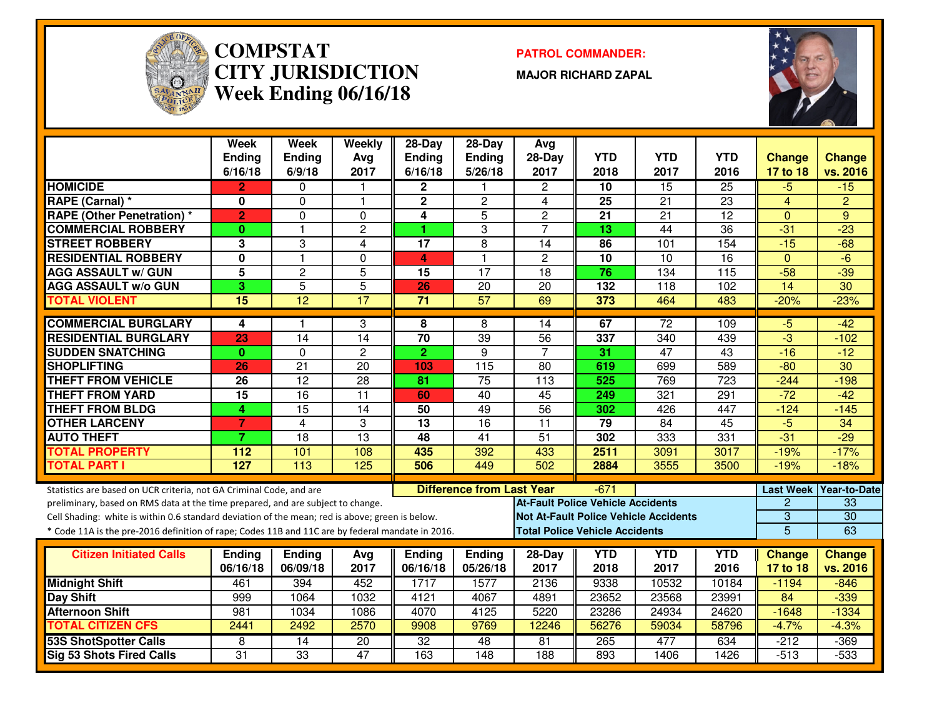

#### **COMPSTAT PATROL COMMANDER: CITY JURISDICTIONWeek Ending 06/16/18**

**MAJOR RICHARD ZAPAL**



|                                                                                                                                                        | <b>Week</b><br><b>Ending</b><br>6/16/18 | Week<br><b>Ending</b><br>6/9/18 | Weekly<br>Avg<br>2017 | 28-Day<br><b>Ending</b><br>6/16/18 | $28-Day$<br>Ending<br>5/26/18    | Avg<br>$28-Day$<br>2017                  | <b>YTD</b><br>2018                    | <b>YTD</b><br>2017                           | <b>YTD</b><br>2016 | <b>Change</b><br>17 to 18 | <b>Change</b><br>vs. 2016 |
|--------------------------------------------------------------------------------------------------------------------------------------------------------|-----------------------------------------|---------------------------------|-----------------------|------------------------------------|----------------------------------|------------------------------------------|---------------------------------------|----------------------------------------------|--------------------|---------------------------|---------------------------|
| <b>HOMICIDE</b>                                                                                                                                        | $\overline{2}$                          | 0                               | 1                     | $\overline{2}$                     |                                  | $\overline{c}$                           | 10                                    | 15                                           | 25                 | $-5$                      | $-15$                     |
| RAPE (Carnal) *                                                                                                                                        | 0                                       | $\Omega$                        | $\mathbf{1}$          | $\mathbf 2$                        | $\overline{c}$                   | 4                                        | 25                                    | 21                                           | 23                 | $\overline{4}$            | $\overline{2}$            |
| <b>RAPE (Other Penetration) *</b>                                                                                                                      | $\overline{2}$                          | $\Omega$                        | $\Omega$              | 4                                  | 5                                | $\overline{2}$                           | 21                                    | 21                                           | 12                 | $\Omega$                  | 9                         |
| <b>COMMERCIAL ROBBERY</b>                                                                                                                              | $\mathbf{0}$                            | $\mathbf{1}$                    | $\overline{c}$        | 1                                  | 3                                | $\overline{7}$                           | 13                                    | $\overline{44}$                              | $\overline{36}$    | $-31$                     | $-23$                     |
| <b>STREET ROBBERY</b>                                                                                                                                  | $\overline{3}$                          | $\overline{3}$                  | 4                     | $\overline{17}$                    | $\overline{8}$                   | $\overline{14}$                          | 86                                    | 101                                          | 154                | $-15$                     | $-\overline{68}$          |
| <b>RESIDENTIAL ROBBERY</b>                                                                                                                             | $\mathbf{0}$                            | $\mathbf{1}$                    | 0                     | 4                                  | $\mathbf{1}$                     | $\overline{2}$                           | 10                                    | $\overline{10}$                              | $\overline{16}$    | $\mathbf{0}$              | $-6$                      |
| <b>AGG ASSAULT w/ GUN</b>                                                                                                                              | $\overline{5}$                          | $\overline{2}$                  | $\overline{5}$        | 15                                 | $\overline{17}$                  | $\overline{18}$                          | $\overline{76}$                       | 134                                          | 115                | $-58$                     | $-39$                     |
| <b>AGG ASSAULT w/o GUN</b>                                                                                                                             | 3                                       | $\overline{5}$                  | $\overline{5}$        | 26                                 | $\overline{20}$                  | $\overline{20}$                          | 132                                   | 118                                          | 102                | $\overline{14}$           | $\overline{30}$           |
| <b>TOTAL VIOLENT</b>                                                                                                                                   | $\overline{15}$                         | $\overline{12}$                 | $\overline{17}$       | $\overline{71}$                    | 57                               | 69                                       | 373                                   | 464                                          | 483                | $-20%$                    | $-23%$                    |
| <b>COMMERCIAL BURGLARY</b>                                                                                                                             | 4                                       | 1                               | 3                     | 8                                  | 8                                | 14                                       | 67                                    | $\overline{72}$                              | 109                | -5                        | -42                       |
| <b>RESIDENTIAL BURGLARY</b>                                                                                                                            | 23                                      | $\overline{14}$                 | 14                    | $\overline{70}$                    | 39                               | $\overline{56}$                          | 337                                   | 340                                          | 439                | $-3$                      | $-102$                    |
| <b>SUDDEN SNATCHING</b>                                                                                                                                | $\mathbf{0}$                            | $\Omega$                        | $\overline{2}$        | $\overline{2}$                     | 9                                | $\overline{7}$                           | 31                                    | $\overline{47}$                              | 43                 | $-16$                     | $-12$                     |
| <b>SHOPLIFTING</b>                                                                                                                                     | 26                                      | $\overline{21}$                 | $\overline{20}$       | 103                                | $\frac{115}{115}$                | $\overline{80}$                          | 619                                   | 699                                          | 589                | $-80$                     | $\overline{30}$           |
| <b>THEFT FROM VEHICLE</b>                                                                                                                              | 26                                      | 12                              | 28                    | 81                                 | $\overline{75}$                  | 113                                      | 525                                   | 769                                          | 723                | $-244$                    | $-198$                    |
| <b>THEFT FROM YARD</b>                                                                                                                                 | $\overline{15}$                         | $\overline{16}$                 | $\overline{11}$       | 60                                 | 40                               | $\overline{45}$                          | 249                                   | 321                                          | 291                | $-72$                     | $-42$                     |
| <b>THEFT FROM BLDG</b>                                                                                                                                 | 4                                       | $\overline{15}$                 | $\overline{14}$       | 50                                 | 49                               | 56                                       | 302                                   | 426                                          | 447                | $-124$                    | $-145$                    |
| <b>OTHER LARCENY</b>                                                                                                                                   | $\overline{7}$                          | $\overline{4}$                  | 3                     | $\overline{13}$                    | 16                               | $\overline{11}$                          | 79                                    | $\overline{84}$                              | 45                 | $-5$                      | 34                        |
| <b>AUTO THEFT</b>                                                                                                                                      | $\overline{7}$                          | 18                              | $\overline{13}$       | 48                                 | 41                               | $\overline{51}$                          | 302                                   | 333                                          | 331                | $-31$                     | $-29$                     |
| <b>TOTAL PROPERTY</b>                                                                                                                                  | 112                                     | 101                             | 108                   | 435                                | 392                              | 433                                      | 2511                                  | 3091                                         | 3017               | $-19%$                    | $-17%$                    |
| <b>TOTAL PART I</b>                                                                                                                                    | 127                                     | 113                             | 125                   | 506                                | 449                              | 502                                      | 2884                                  | 3555                                         | 3500               | $-19%$                    | $-18%$                    |
|                                                                                                                                                        |                                         |                                 |                       |                                    | <b>Difference from Last Year</b> |                                          | -671                                  |                                              |                    |                           | Last Week Year-to-Date    |
| Statistics are based on UCR criteria, not GA Criminal Code, and are<br>preliminary, based on RMS data at the time prepared, and are subject to change. |                                         |                                 |                       |                                    |                                  | <b>At-Fault Police Vehicle Accidents</b> |                                       |                                              |                    | $\overline{c}$            | 33                        |
| Cell Shading: white is within 0.6 standard deviation of the mean; red is above; green is below.                                                        |                                         |                                 |                       |                                    |                                  |                                          |                                       | <b>Not At-Fault Police Vehicle Accidents</b> |                    | $\overline{3}$            | $\overline{30}$           |
| * Code 11A is the pre-2016 definition of rape; Codes 11B and 11C are by federal mandate in 2016.                                                       |                                         |                                 |                       |                                    |                                  |                                          | <b>Total Police Vehicle Accidents</b> |                                              |                    | $\overline{5}$            | 63                        |
|                                                                                                                                                        |                                         |                                 |                       |                                    |                                  |                                          |                                       |                                              |                    |                           |                           |
| <b>Citizen Initiated Calls</b>                                                                                                                         | <b>Ending</b>                           | <b>Ending</b>                   | Avg                   | Ending                             | <b>Ending</b>                    | 28-Day                                   | <b>YTD</b>                            | <b>YTD</b>                                   | <b>YTD</b>         | <b>Change</b>             | <b>Change</b>             |
|                                                                                                                                                        | 06/16/18                                | 06/09/18                        | 2017                  | 06/16/18                           | 05/26/18                         | 2017                                     | 2018                                  | 2017                                         | 2016               | 17 to 18                  | vs. 2016                  |
| <b>Midnight Shift</b>                                                                                                                                  | 461                                     | 394                             | 452                   | 1717                               | 1577                             | 2136                                     | 9338                                  | 10532                                        | 10184              | $-1194$                   | $-846$                    |
| <b>Day Shift</b>                                                                                                                                       | 999                                     | 1064                            | 1032                  | 4121                               | 4067                             | 4891                                     | 23652                                 | 23568                                        | 23991              | 84                        | $-339$                    |
| <b>Afternoon Shift</b>                                                                                                                                 | 981                                     | 1034                            | 1086                  | 4070                               | 4125                             | 5220                                     | 23286                                 | 24934                                        | 24620              | $-1648$                   | $-1334$                   |
| <b>TOTAL CITIZEN CFS</b>                                                                                                                               | 2441                                    | 2492                            | 2570                  | 9908                               | 9769                             | 12246                                    | 56276                                 | 59034                                        | 58796              | $-4.7%$                   | $-4.3%$                   |
| <b>53S ShotSpotter Calls</b>                                                                                                                           | 8                                       | 14                              | $\overline{20}$       | $\overline{32}$                    | 48                               | 81                                       | 265                                   | 477                                          | 634                | $-212$                    | $-369$                    |
| <b>Sig 53 Shots Fired Calls</b>                                                                                                                        | $\overline{31}$                         | $\overline{33}$                 | 47                    | 163                                | $\overline{148}$                 | 188                                      | 893                                   | 1406                                         | 1426               | $-513$                    | $-533$                    |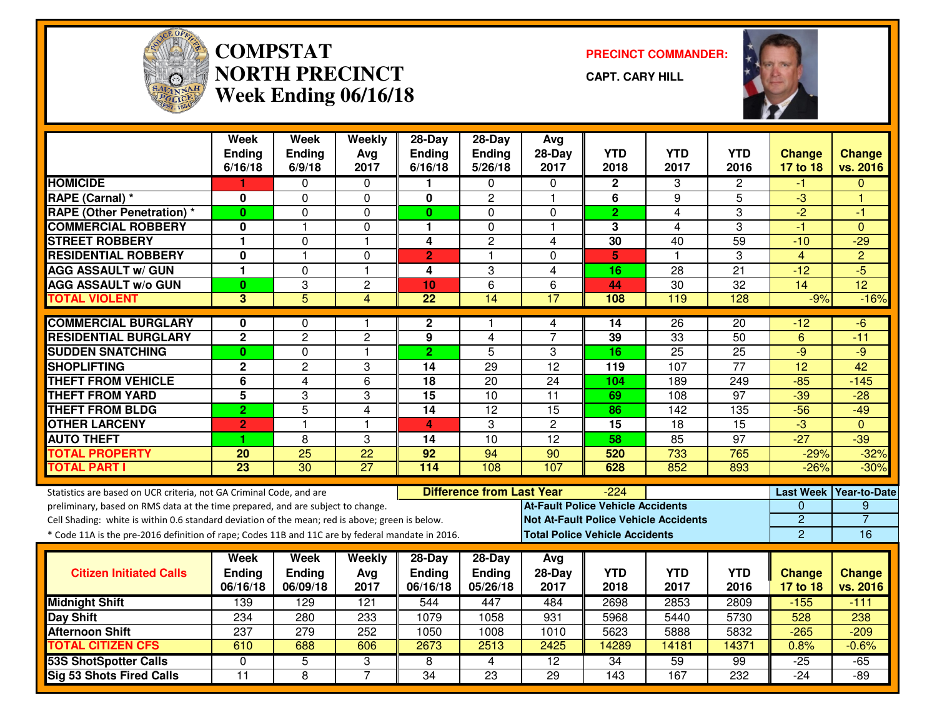

# **COMPSTAT PRECINCT COMMANDER: NORTH PRECINCTWeek Ending 06/16/18**

**CAPT. CARY HILL**



|                                                                                                  | <b>Week</b><br><b>Ending</b><br>6/16/18 | <b>Week</b><br><b>Ending</b><br>6/9/18 | Weekly<br>Avg<br>2017 | 28-Day<br><b>Ending</b><br>6/16/18 | $28-Dav$<br>Ending<br>5/26/18    | Avg<br>$28-Day$<br>2017                      | <b>YTD</b><br>2018 | <b>YTD</b><br>2017 | <b>YTD</b><br>2016 | <b>Change</b><br>17 to 18 | <b>Change</b><br>vs. 2016 |
|--------------------------------------------------------------------------------------------------|-----------------------------------------|----------------------------------------|-----------------------|------------------------------------|----------------------------------|----------------------------------------------|--------------------|--------------------|--------------------|---------------------------|---------------------------|
| <b>HOMICIDE</b>                                                                                  |                                         | 0                                      | 0                     |                                    | 0                                | $\Omega$                                     | $\mathbf{2}$       | 3                  | 2                  | -1                        | $\Omega$                  |
| <b>RAPE (Carnal) *</b>                                                                           | 0                                       | $\mathbf{0}$                           | 0                     | $\mathbf 0$                        | $\overline{c}$                   | $\overline{\mathbf{1}}$                      | 6                  | 9                  | $\overline{5}$     | $\overline{3}$            | ۴                         |
| <b>RAPE (Other Penetration) *</b>                                                                | $\bf{0}$                                | $\Omega$                               | 0                     | $\mathbf{0}$                       | $\Omega$                         | $\mathbf{0}$                                 | $\overline{2}$     | 4                  | 3                  | $-2$                      | $-1$                      |
| <b>COMMERCIAL ROBBERY</b>                                                                        | 0                                       | 1                                      | 0                     | 1.                                 | $\Omega$                         | $\overline{\mathbf{1}}$                      | $\overline{3}$     | 4                  | 3                  | $-1$                      | $\Omega$                  |
| <b>STREET ROBBERY</b>                                                                            | $\mathbf{1}$                            | $\mathbf 0$                            | $\mathbf{1}$          | 4                                  | $\overline{2}$                   | 4                                            | 30                 | 40                 | $\overline{59}$    | $-10$                     | $-29$                     |
| <b>RESIDENTIAL ROBBERY</b>                                                                       | $\mathbf 0$                             | $\mathbf{1}$                           | 0                     | $\overline{2}$                     | 1                                | $\mathbf{0}$                                 | 5                  | $\mathbf{1}$       | 3                  | $\overline{4}$            | $\overline{2}$            |
| <b>AGG ASSAULT w/ GUN</b>                                                                        | $\overline{1}$                          | $\mathbf{0}$                           | $\mathbf{1}$          | 4                                  | 3                                | $\overline{\mathbf{4}}$                      | $\overline{16}$    | 28                 | $\overline{21}$    | $-12$                     | $-5$                      |
| <b>AGG ASSAULT w/o GUN</b>                                                                       | $\bf{0}$                                | 3                                      | $\overline{c}$        | 10                                 | 6                                | 6                                            | 44                 | 30                 | 32                 | 14                        | $\overline{12}$           |
| <b>TOTAL VIOLENT</b>                                                                             | 3                                       | $\overline{5}$                         | $\overline{4}$        | $\overline{22}$                    | $\overline{14}$                  | 17                                           | 108                | 119                | 128                | $-9%$                     | $-16%$                    |
| <b>COMMERCIAL BURGLARY</b>                                                                       | 0                                       | 0                                      | 1                     | $\mathbf{2}$                       | 1                                | 4                                            | 14                 | 26                 | 20                 | -12                       | -6                        |
| <b>RESIDENTIAL BURGLARY</b>                                                                      | $\overline{2}$                          | $\overline{2}$                         | $\overline{2}$        | 9                                  | 4                                | $\overline{7}$                               | 39                 | 33                 | 50                 | 6                         | $-11$                     |
| <b>SUDDEN SNATCHING</b>                                                                          | $\bf{0}$                                | $\mathbf 0$                            | $\mathbf{1}$          | $\overline{2}$                     | 5                                | 3                                            | 16                 | 25                 | 25                 | $-9$                      | $-9$                      |
| <b>SHOPLIFTING</b>                                                                               | $\mathbf 2$                             | $\overline{2}$                         | 3                     | $\overline{14}$                    | 29                               | $\overline{12}$                              | 119                | 107                | $\overline{77}$    | $\overline{12}$           | 42                        |
| THEFT FROM VEHICLE                                                                               | 6                                       | $\overline{4}$                         | 6                     | $\overline{18}$                    | 20                               | 24                                           | 104                | 189                | 249                | $-85$                     | $-145$                    |
| <b>THEFT FROM YARD</b>                                                                           | 5                                       | 3                                      | 3                     | $\overline{15}$                    | $\overline{10}$                  | $\overline{11}$                              | 69                 | 108                | $\overline{97}$    | $-39$                     | $-28$                     |
| <b>THEFT FROM BLDG</b>                                                                           | $\overline{2}$                          | 5                                      | 4                     | 14                                 | 12                               | $\overline{15}$                              | 86                 | 142                | 135                | $-56$                     | $-49$                     |
| <b>OTHER LARCENY</b>                                                                             | $\overline{2}$                          | 1                                      | $\mathbf{1}$          | 4                                  | 3                                | $\overline{2}$                               | 15                 | 18                 | 15                 | $\overline{3}$            | $\Omega$                  |
| <b>AUTO THEFT</b>                                                                                | 1                                       | 8                                      | 3                     | 14                                 | $\overline{10}$                  | $\overline{12}$                              | 58                 | 85                 | $\overline{97}$    | $-27$                     | $-39$                     |
| <b>TOTAL PROPERTY</b>                                                                            | 20                                      | $\overline{25}$                        | $\overline{22}$       | 92                                 | 94                               | 90                                           | 520                | 733                | 765                | $-29%$                    | $-32%$                    |
| <b>TOTAL PART I</b>                                                                              | $\overline{23}$                         | $\overline{30}$                        | $\overline{27}$       | 114                                | 108                              | 107                                          | 628                | 852                | 893                | $-26%$                    | $-30%$                    |
| Statistics are based on UCR criteria, not GA Criminal Code, and are                              |                                         |                                        |                       |                                    | <b>Difference from Last Year</b> |                                              | $-224$             |                    |                    | <b>Last Week</b>          | <b>Year-to-Date</b>       |
| preliminary, based on RMS data at the time prepared, and are subject to change.                  |                                         |                                        |                       |                                    |                                  | <b>At-Fault Police Vehicle Accidents</b>     |                    |                    |                    | 0                         | 9                         |
| Cell Shading: white is within 0.6 standard deviation of the mean; red is above; green is below.  |                                         |                                        |                       |                                    |                                  | <b>Not At-Fault Police Vehicle Accidents</b> |                    |                    |                    | $\overline{2}$            | $\overline{7}$            |
| * Code 11A is the pre-2016 definition of rape; Codes 11B and 11C are by federal mandate in 2016. |                                         |                                        |                       |                                    |                                  | <b>Total Police Vehicle Accidents</b>        |                    |                    |                    | $\overline{2}$            | 16                        |
| <b>Citizen Initiated Calls</b>                                                                   | Week<br><b>Ending</b>                   | Week<br><b>Ending</b>                  | Weekly<br>Avg         | $28-Day$<br><b>Ending</b>          | $28-Day$<br>Ending               | Avg<br>$28-Day$                              | <b>YTD</b>         | <b>YTD</b>         | <b>YTD</b>         | <b>Change</b>             | <b>Change</b>             |
|                                                                                                  | 06/16/18                                | 06/09/18                               | 2017                  | 06/16/18                           | 05/26/18                         | 2017                                         | 2018               | 2017               | 2016               | 17 to 18                  | vs. 2016                  |
| <b>Midnight Shift</b>                                                                            | 139                                     | 129                                    | 121                   | 544                                | 447                              | 484                                          | 2698               | 2853               | 2809               | $-155$                    | $-111$                    |
| <b>Day Shift</b>                                                                                 | 234                                     | 280                                    | 233                   | 1079                               | 1058                             | 931                                          | 5968               | 5440               | 5730               | 528                       | 238                       |
| <b>Afternoon Shift</b>                                                                           | $\overline{237}$                        | 279                                    | 252                   | 1050                               | 1008                             | 1010                                         | 5623               | 5888               | 5832               | $-265$                    | $-209$                    |
| <b>TOTAL CITIZEN CFS</b>                                                                         | 610                                     | 688                                    | 606                   | 2673                               | 2513                             | 2425                                         | 14289              | 14181              | 14371              | 0.8%                      | $-0.6%$                   |
| <b>53S ShotSpotter Calls</b>                                                                     | $\mathbf 0$                             | 5                                      | 3                     | 8                                  | $\overline{4}$                   | $\overline{12}$                              | $\overline{34}$    | 59                 | 99                 | $-25$                     | $-65$                     |
| <b>Sig 53 Shots Fired Calls</b>                                                                  | $\overline{11}$                         | $\overline{\infty}$                    | $\overline{7}$        | $\overline{34}$                    | $\overline{23}$                  | 29                                           | 143                | 167                | 232                | $-24$                     | $-89$                     |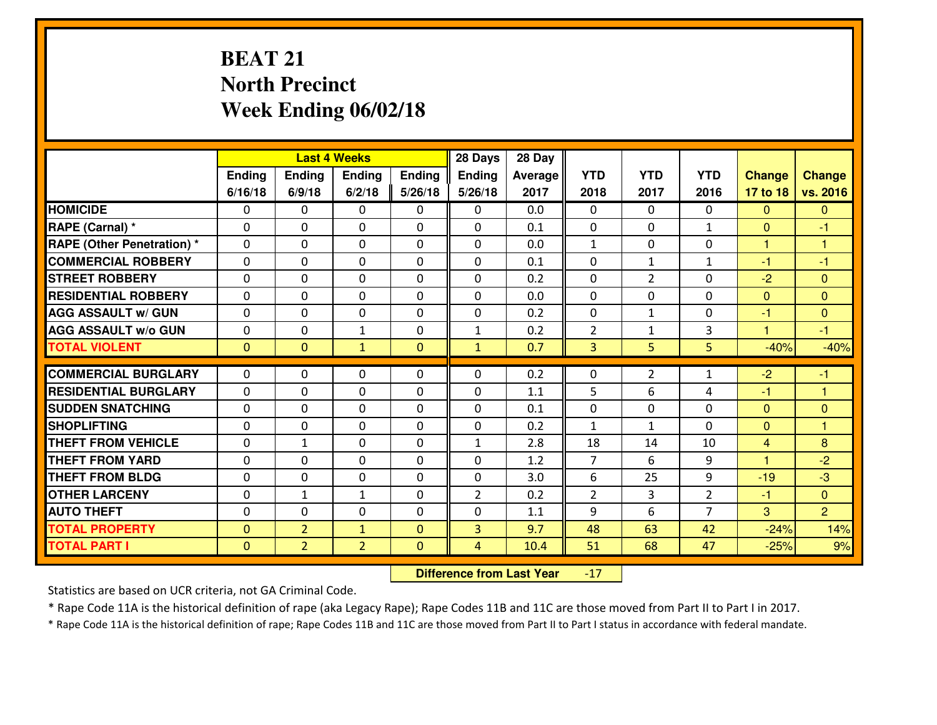# **BEAT 21 North PrecinctWeek Ending 06/02/18**

|                                   | <b>Last 4 Weeks</b> |                |                | 28 Days      | 28 Day         |         |                |                |                |               |                      |
|-----------------------------------|---------------------|----------------|----------------|--------------|----------------|---------|----------------|----------------|----------------|---------------|----------------------|
|                                   | Ending              | Ending         | <b>Ending</b>  | Ending       | <b>Ending</b>  | Average | <b>YTD</b>     | <b>YTD</b>     | <b>YTD</b>     | <b>Change</b> | <b>Change</b>        |
|                                   | 6/16/18             | 6/9/18         | 6/2/18         | 5/26/18      | 5/26/18        | 2017    | 2018           | 2017           | 2016           | 17 to 18      | vs. 2016             |
| <b>HOMICIDE</b>                   | $\Omega$            | 0              | $\Omega$       | 0            | $\Omega$       | 0.0     | 0              | $\Omega$       | 0              | $\Omega$      | $\mathbf{0}$         |
| RAPE (Carnal) *                   | $\Omega$            | 0              | $\mathbf{0}$   | $\Omega$     | $\Omega$       | 0.1     | $\Omega$       | $\Omega$       | $\mathbf{1}$   | $\Omega$      | -1                   |
| <b>RAPE (Other Penetration) *</b> | 0                   | 0              | $\mathbf 0$    | 0            | 0              | 0.0     | $\mathbf{1}$   | 0              | 0              | $\mathbf{1}$  | $\blacktriangleleft$ |
| <b>COMMERCIAL ROBBERY</b>         | 0                   | 0              | $\mathbf 0$    | 0            | 0              | 0.1     | 0              | $\mathbf{1}$   | $\mathbf{1}$   | $-1$          | $-1$                 |
| <b>STREET ROBBERY</b>             | 0                   | 0              | $\mathbf 0$    | 0            | 0              | 0.2     | 0              | $\overline{2}$ | 0              | $-2$          | $\mathbf{0}$         |
| <b>RESIDENTIAL ROBBERY</b>        | 0                   | 0              | $\mathbf 0$    | 0            | 0              | 0.0     | $\mathbf 0$    | 0              | 0              | $\mathbf{0}$  | $\overline{0}$       |
| <b>AGG ASSAULT W/ GUN</b>         | 0                   | 0              | $\mathbf 0$    | 0            | 0              | 0.2     | 0              | $\mathbf{1}$   | 0              | $-1$          | $\overline{0}$       |
| <b>AGG ASSAULT W/o GUN</b>        | 0                   | 0              | 1              | $\mathbf{0}$ | $\mathbf{1}$   | 0.2     | $\overline{2}$ | $\mathbf{1}$   | 3              | 1             | $-1$                 |
| <b>TOTAL VIOLENT</b>              | $\mathbf{0}$        | $\overline{0}$ | $\mathbf{1}$   | $\mathbf{0}$ | $\mathbf{1}$   | 0.7     | 3              | 5              | 5              | $-40%$        | $-40%$               |
| <b>COMMERCIAL BURGLARY</b>        | $\Omega$            |                |                |              |                |         |                |                |                |               |                      |
|                                   |                     | 0              | $\mathbf{0}$   | 0            | $\Omega$       | 0.2     | $\mathbf{0}$   | $\overline{2}$ | $\mathbf{1}$   | $-2$          | $-1$                 |
| <b>RESIDENTIAL BURGLARY</b>       | 0                   | 0              | 0              | 0            | 0              | 1.1     | 5              | 6              | 4              | $-1$          | 1                    |
| <b>SUDDEN SNATCHING</b>           | $\mathbf{0}$        | 0              | $\mathbf 0$    | 0            | 0              | 0.1     | 0              | $\mathbf{0}$   | 0              | $\Omega$      | $\mathbf{0}$         |
| <b>SHOPLIFTING</b>                | 0                   | 0              | $\mathbf 0$    | 0            | 0              | 0.2     | $\mathbf{1}$   | $\mathbf{1}$   | $\Omega$       | $\mathbf{0}$  | 1                    |
| <b>THEFT FROM VEHICLE</b>         | 0                   | $\mathbf{1}$   | $\mathbf 0$    | 0            | $\mathbf{1}$   | 2.8     | 18             | 14             | 10             | 4             | 8                    |
| <b>THEFT FROM YARD</b>            | 0                   | 0              | $\mathbf 0$    | 0            | 0              | 1.2     | $\overline{7}$ | 6              | 9              | 1             | $-2$                 |
| <b>THEFT FROM BLDG</b>            | 0                   | 0              | $\mathbf 0$    | $\mathbf{0}$ | 0              | 3.0     | 6              | 25             | 9              | $-19$         | $-3$                 |
| <b>OTHER LARCENY</b>              | 0                   | $\mathbf{1}$   | $\mathbf{1}$   | 0            | $\overline{2}$ | 0.2     | $\overline{2}$ | 3              | $\overline{2}$ | $-1$          | $\overline{0}$       |
| <b>AUTO THEFT</b>                 | 0                   | 0              | $\mathbf 0$    | 0            | 0              | 1.1     | 9              | 6              | $\overline{7}$ | 3             | $\overline{2}$       |
| <b>TOTAL PROPERTY</b>             | $\mathbf{0}$        | $\overline{2}$ | $\mathbf{1}$   | $\mathbf{0}$ | $\overline{3}$ | 9.7     | 48             | 63             | 42             | $-24%$        | 14%                  |
| <b>TOTAL PART I</b>               | $\mathbf 0$         | $\overline{2}$ | $\overline{2}$ | $\mathbf{0}$ | $\overline{4}$ | 10.4    | 51             | 68             | 47             | $-25%$        | 9%                   |

 **Difference from Last Year** $-17$ 

Statistics are based on UCR criteria, not GA Criminal Code.

\* Rape Code 11A is the historical definition of rape (aka Legacy Rape); Rape Codes 11B and 11C are those moved from Part II to Part I in 2017.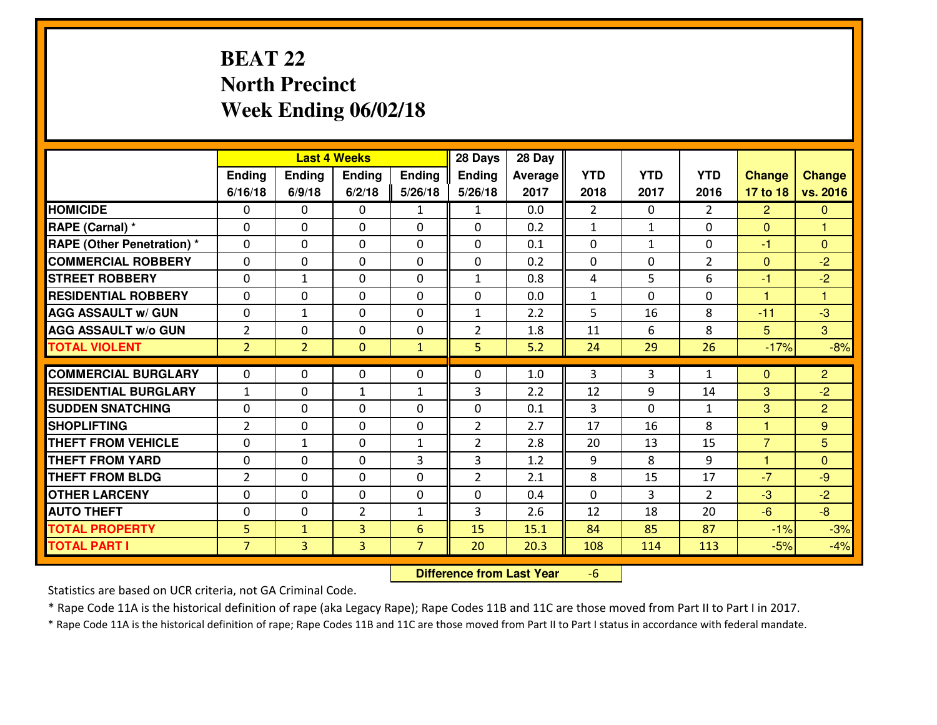# **BEAT 22 North PrecinctWeek Ending 06/02/18**

|                                              |                     |                                | <b>Last 4 Weeks</b> |                     | 28 Days        | 28 Day       |                |              |                |                |                         |
|----------------------------------------------|---------------------|--------------------------------|---------------------|---------------------|----------------|--------------|----------------|--------------|----------------|----------------|-------------------------|
|                                              | Ending              | Ending                         | Ending              | <b>Ending</b>       | <b>Ending</b>  | Average      | <b>YTD</b>     | <b>YTD</b>   | <b>YTD</b>     | <b>Change</b>  | <b>Change</b>           |
|                                              | 6/16/18             | 6/9/18                         | 6/2/18              | 5/26/18             | 5/26/18        | 2017         | 2018           | 2017         | 2016           | 17 to 18       | vs. 2016                |
| <b>HOMICIDE</b>                              | 0                   | 0                              | 0                   | $\mathbf{1}$        | $\mathbf{1}$   | 0.0          | $\overline{2}$ | $\Omega$     | $\overline{2}$ | 2              | $\mathbf{0}$            |
| RAPE (Carnal) *                              | $\Omega$            | 0                              | 0                   | $\Omega$            | 0              | 0.2          | $\mathbf{1}$   | $\mathbf{1}$ | 0              | $\Omega$       | 1                       |
| <b>RAPE (Other Penetration)*</b>             | $\Omega$            | $\Omega$                       | $\mathbf 0$         | $\Omega$            | $\Omega$       | 0.1          | $\Omega$       | $\mathbf{1}$ | $\Omega$       | $-1$           | $\Omega$                |
| <b>COMMERCIAL ROBBERY</b>                    | $\Omega$            | $\Omega$                       | $\mathbf 0$         | $\Omega$            | 0              | 0.2          | $\Omega$       | $\Omega$     | $\overline{2}$ | $\mathbf{0}$   | $-2$                    |
| <b>ISTREET ROBBERY</b>                       | $\mathbf{0}$        | $\mathbf{1}$                   | $\mathbf{0}$        | 0                   | $\mathbf{1}$   | 0.8          | 4              | 5            | 6              | $-1$           | $-2$                    |
| <b>RESIDENTIAL ROBBERY</b>                   | 0                   | 0                              | $\mathbf 0$         | 0                   | 0              | 0.0          | $\mathbf{1}$   | $\Omega$     | 0              | $\mathbf{1}$   | $\overline{\mathbf{1}}$ |
| <b>AGG ASSAULT W/ GUN</b>                    | 0                   | $\mathbf{1}$                   | $\mathbf 0$         | 0                   | $\mathbf{1}$   | 2.2          | 5              | 16           | 8              | $-11$          | $-3$                    |
| <b>AGG ASSAULT W/o GUN</b>                   | $\overline{2}$      | 0                              | $\mathbf 0$         | $\mathbf{0}$        | $\overline{2}$ | 1.8          | 11             | 6            | 8              | 5 <sup>5</sup> | $\overline{3}$          |
| <b>TOTAL VIOLENT</b>                         | $\overline{2}$      | $\overline{2}$                 | $\mathbf{O}$        | $\mathbf{1}$        | 5              | 5.2          | 24             | 29           | 26             | $-17%$         | $-8%$                   |
| <b>COMMERCIAL BURGLARY</b>                   | $\Omega$            | 0                              | $\mathbf{0}$        | 0                   | $\Omega$       | 1.0          | 3              | 3            | $\mathbf{1}$   | $\Omega$       | $\overline{2}$          |
| <b>RESIDENTIAL BURGLARY</b>                  | $\mathbf{1}$        | 0                              | 1                   | $\mathbf{1}$        | 3              | 2.2          | 12             | 9            | 14             | 3              | $-2$                    |
| <b>SUDDEN SNATCHING</b>                      | 0                   | 0                              | $\mathbf 0$         | $\Omega$            | 0              | 0.1          | $\overline{3}$ | $\Omega$     | $\mathbf{1}$   | 3              | $\overline{2}$          |
| <b>SHOPLIFTING</b>                           | $\overline{2}$      | 0                              | $\mathbf 0$         | 0                   | $\overline{2}$ | 2.7          | 17             | 16           | 8              | $\mathbf{1}$   | 9                       |
| <b>THEFT FROM VEHICLE</b>                    | 0                   | $\mathbf{1}$                   | $\mathbf 0$         | $\mathbf{1}$        | $\overline{2}$ | 2.8          | 20             | 13           | 15             | $\overline{7}$ | $5\overline{)}$         |
| <b>THEFT FROM YARD</b>                       | 0                   | 0                              | $\mathbf 0$         | 3                   | 3              | 1.2          | 9              | 8            | 9              | $\mathbf{1}$   | $\overline{0}$          |
| <b>THEFT FROM BLDG</b>                       | $\overline{2}$      | 0                              | 0                   | $\Omega$            | $\overline{2}$ | 2.1          | 8              | 15           | 17             | $-7$           | $-9$                    |
| <b>OTHER LARCENY</b>                         | 0                   | 0                              | $\mathbf 0$         | $\mathbf 0$         | 0              | 0.4          | 0              | 3            | $\overline{2}$ | $-3$           | $-2$                    |
| <b>AUTO THEFT</b>                            | 0                   | 0                              | $\overline{2}$      | $\mathbf{1}$        | 3              | 2.6          | 12             | 18           | 20             | $-6$           | $-8$                    |
|                                              |                     |                                |                     |                     |                |              |                |              |                |                |                         |
|                                              |                     |                                |                     |                     |                |              |                |              |                |                |                         |
| <b>TOTAL PROPERTY</b><br><b>TOTAL PART I</b> | 5<br>$\overline{7}$ | $\mathbf{1}$<br>$\overline{3}$ | 3<br>3              | 6<br>$\overline{7}$ | 15<br>20       | 15.1<br>20.3 | 84<br>108      | 85<br>114    | 87<br>113      | $-1%$<br>$-5%$ | $-3%$<br>$-4%$          |

 **Difference from Last Year**-6

Statistics are based on UCR criteria, not GA Criminal Code.

\* Rape Code 11A is the historical definition of rape (aka Legacy Rape); Rape Codes 11B and 11C are those moved from Part II to Part I in 2017.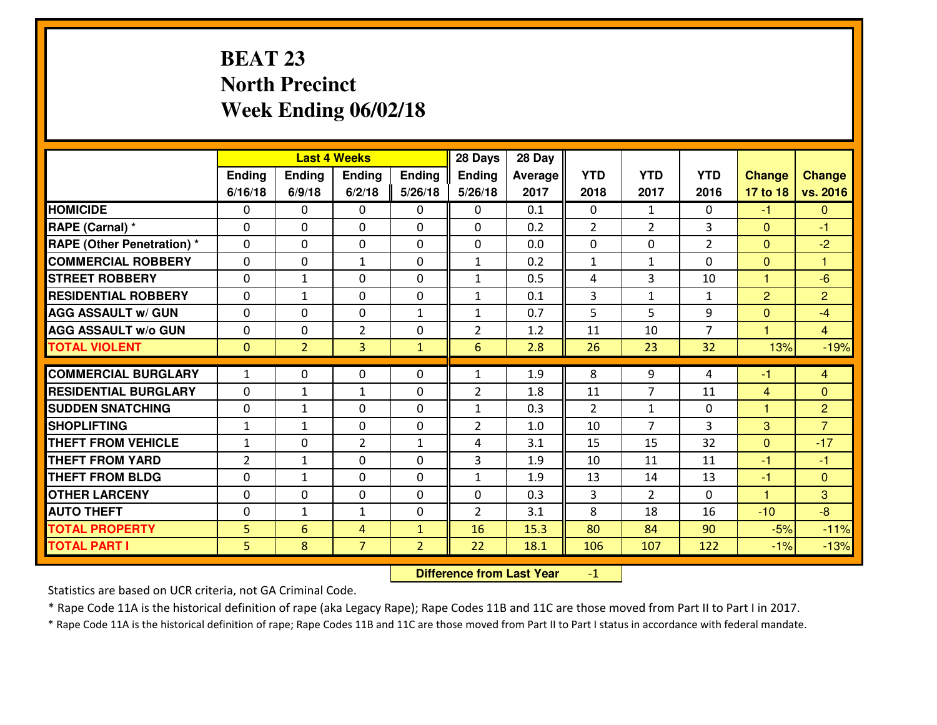# **BEAT 23 North PrecinctWeek Ending 06/02/18**

|                                   |                |                | <b>Last 4 Weeks</b> |                | 28 Days        | 28 Day  |                |                |                |                |                |
|-----------------------------------|----------------|----------------|---------------------|----------------|----------------|---------|----------------|----------------|----------------|----------------|----------------|
|                                   | Ending         | Ending         | Ending              | <b>Ending</b>  | <b>Ending</b>  | Average | <b>YTD</b>     | <b>YTD</b>     | <b>YTD</b>     | <b>Change</b>  | <b>Change</b>  |
|                                   | 6/16/18        | 6/9/18         | 6/2/18              | 5/26/18        | 5/26/18        | 2017    | 2018           | 2017           | 2016           | 17 to 18       | vs. 2016       |
| <b>HOMICIDE</b>                   | $\Omega$       | 0              | 0                   | $\Omega$       | 0              | 0.1     | 0              | $\mathbf{1}$   | 0              | $-1$           | $\Omega$       |
| RAPE (Carnal) *                   | $\mathbf{0}$   | 0              | $\mathbf 0$         | 0              | 0              | 0.2     | $\overline{2}$ | $\overline{2}$ | 3              | $\Omega$       | $-1$           |
| <b>RAPE (Other Penetration) *</b> | $\mathbf{0}$   | 0              | $\mathbf{0}$        | 0              | 0              | 0.0     | $\mathbf{0}$   | 0              | $\overline{2}$ | $\mathbf{0}$   | $-2$           |
| <b>COMMERCIAL ROBBERY</b>         | $\mathbf{0}$   | 0              | 1                   | 0              | $\mathbf{1}$   | 0.2     | 1              | $\mathbf{1}$   | 0              | $\mathbf{0}$   | 1              |
| <b>STREET ROBBERY</b>             | $\mathbf{0}$   | 1              | $\mathbf{0}$        | 0              | $\mathbf{1}$   | 0.5     | 4              | 3              | 10             | 1              | $-6$           |
| <b>RESIDENTIAL ROBBERY</b>        | $\Omega$       | $\mathbf{1}$   | $\mathbf 0$         | 0              | $\mathbf{1}$   | 0.1     | 3              | $\mathbf{1}$   | $\mathbf{1}$   | $\overline{2}$ | $\overline{2}$ |
| <b>AGG ASSAULT W/ GUN</b>         | 0              | 0              | $\mathbf 0$         | $\mathbf{1}$   | $\mathbf{1}$   | 0.7     | 5              | 5              | 9              | $\mathbf{0}$   | $-4$           |
| <b>AGG ASSAULT W/o GUN</b>        | 0              | 0              | $\overline{2}$      | 0              | $\overline{2}$ | 1.2     | 11             | 10             | $\overline{7}$ | $\mathbf{1}$   | $\overline{4}$ |
| <b>TOTAL VIOLENT</b>              | $\mathbf{0}$   | $\overline{2}$ | $\overline{3}$      | $\mathbf{1}$   | 6              | 2.8     | 26             | 23             | 32             | 13%            | $-19%$         |
| <b>COMMERCIAL BURGLARY</b>        | $\mathbf{1}$   | 0              | 0                   | 0              | 1              | 1.9     | 8              | 9              | 4              | -1             | 4              |
| <b>RESIDENTIAL BURGLARY</b>       | $\Omega$       | 1              | 1                   | $\Omega$       | $\overline{2}$ | 1.8     | 11             | $\overline{7}$ | 11             | 4              | $\mathbf{0}$   |
| <b>SUDDEN SNATCHING</b>           | $\mathbf{0}$   | $\mathbf{1}$   | 0                   | 0              | 1              | 0.3     | $\mathcal{L}$  | $\mathbf{1}$   | 0              | $\mathbf{1}$   | $\overline{2}$ |
| <b>SHOPLIFTING</b>                | $\mathbf{1}$   | $\mathbf{1}$   | $\mathbf 0$         | 0              | $\overline{2}$ | 1.0     | 10             | $\overline{7}$ | $\overline{3}$ | 3              | $\overline{7}$ |
| <b>THEFT FROM VEHICLE</b>         | $\mathbf{1}$   | 0              | $\overline{2}$      | $\mathbf{1}$   | 4              | 3.1     | 15             | 15             | 32             | $\overline{0}$ | $-17$          |
| <b>THEFT FROM YARD</b>            | $\overline{2}$ | $\mathbf{1}$   | $\mathbf 0$         | 0              | 3              | 1.9     | 10             | 11             | 11             | $-1$           | $-1$           |
| <b>THEFT FROM BLDG</b>            | 0              | $\mathbf{1}$   | $\mathbf 0$         | 0              | $\mathbf{1}$   | 1.9     | 13             | 14             | 13             | $-1$           | $\mathbf{0}$   |
| <b>OTHER LARCENY</b>              | 0              | 0              | $\mathbf 0$         | 0              | 0              | 0.3     | 3              | $\overline{2}$ | 0              | $\mathbf{1}$   | 3              |
| <b>AUTO THEFT</b>                 | 0              | $\mathbf{1}$   | 1                   | 0              | $\overline{2}$ | 3.1     | 8              | 18             | 16             | $-10$          | $-8$           |
| <b>TOTAL PROPERTY</b>             | 5              | 6              | 4                   | $\mathbf{1}$   | 16             | 15.3    | 80             | 84             | 90             | $-5%$          | $-11%$         |
| <b>TOTAL PART I</b>               | 5              | 8              | $\overline{7}$      | $\overline{2}$ | 22             | 18.1    | 106            | 107            | 122            | $-1%$          | $-13%$         |

 **Difference from Last Year** $-1$  |

Statistics are based on UCR criteria, not GA Criminal Code.

\* Rape Code 11A is the historical definition of rape (aka Legacy Rape); Rape Codes 11B and 11C are those moved from Part II to Part I in 2017.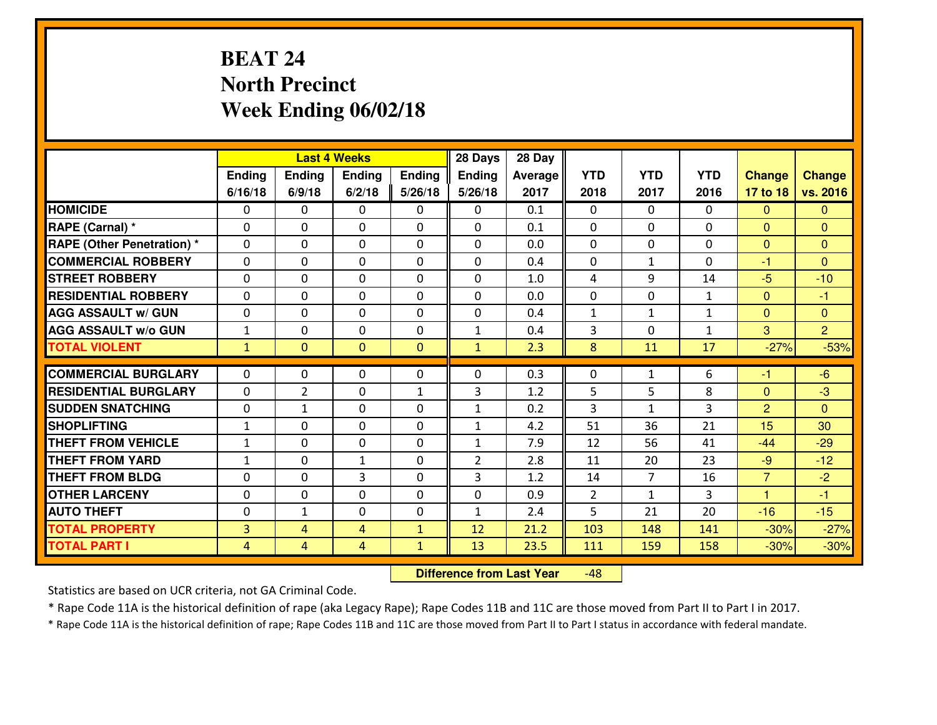# **BEAT 24 North PrecinctWeek Ending 06/02/18**

|                                   |                |                | <b>Last 4 Weeks</b> |               | 28 Days        | 28 Day  |                |                |              |                |                |
|-----------------------------------|----------------|----------------|---------------------|---------------|----------------|---------|----------------|----------------|--------------|----------------|----------------|
|                                   | Ending         | Ending         | Ending              | <b>Ending</b> | <b>Ending</b>  | Average | <b>YTD</b>     | <b>YTD</b>     | <b>YTD</b>   | <b>Change</b>  | <b>Change</b>  |
|                                   | 6/16/18        | 6/9/18         | 6/2/18              | 5/26/18       | 5/26/18        | 2017    | 2018           | 2017           | 2016         | 17 to 18       | vs. 2016       |
| <b>HOMICIDE</b>                   | $\Omega$       | 0              | 0                   | 0             | 0              | 0.1     | 0              | $\Omega$       | $\Omega$     | $\Omega$       | $\Omega$       |
| RAPE (Carnal) *                   | $\mathbf{0}$   | 0              | $\mathbf 0$         | 0             | 0              | 0.1     | $\mathbf{0}$   | $\mathbf{0}$   | 0            | $\Omega$       | $\mathbf{0}$   |
| <b>RAPE (Other Penetration) *</b> | $\mathbf{0}$   | 0              | $\mathbf{0}$        | 0             | $\Omega$       | 0.0     | $\mathbf{0}$   | 0              | 0            | $\mathbf{0}$   | $\mathbf{0}$   |
| <b>COMMERCIAL ROBBERY</b>         | $\mathbf{0}$   | 0              | 0                   | $\Omega$      | $\Omega$       | 0.4     | $\mathbf{0}$   | $\mathbf{1}$   | 0            | $-1$           | $\Omega$       |
| <b>STREET ROBBERY</b>             | $\mathbf{0}$   | 0              | $\mathbf 0$         | 0             | $\Omega$       | 1.0     | 4              | 9              | 14           | $-5$           | $-10$          |
| <b>RESIDENTIAL ROBBERY</b>        | $\Omega$       | 0              | $\mathbf 0$         | 0             | 0              | 0.0     | 0              | 0              | $\mathbf{1}$ | $\overline{0}$ | $-1$           |
| <b>AGG ASSAULT W/ GUN</b>         | 0              | 0              | $\mathbf 0$         | 0             | 0              | 0.4     | $\mathbf{1}$   | $\mathbf{1}$   | $\mathbf{1}$ | $\mathbf{0}$   | $\overline{0}$ |
| <b>AGG ASSAULT W/o GUN</b>        | $1\,$          | 0              | $\mathbf 0$         | 0             | $\mathbf{1}$   | 0.4     | 3              | $\Omega$       | $\mathbf{1}$ | 3              | $\overline{2}$ |
| <b>TOTAL VIOLENT</b>              | $\mathbf{1}$   | $\overline{0}$ | $\mathbf{0}$        | $\mathbf{0}$  | $\mathbf{1}$   | 2.3     | 8              | 11             | 17           | $-27%$         | $-53%$         |
| <b>COMMERCIAL BURGLARY</b>        | $\mathbf{0}$   | 0              | 0                   | 0             | $\Omega$       | 0.3     | 0              | $\mathbf{1}$   | 6            | -1             | $-6$           |
| <b>RESIDENTIAL BURGLARY</b>       | $\Omega$       | $\overline{2}$ | $\mathbf{0}$        | $\mathbf{1}$  | 3              | 1.2     | 5              | 5              | 8            | $\mathbf{0}$   | $-3$           |
| <b>SUDDEN SNATCHING</b>           | $\mathbf{0}$   | $\mathbf{1}$   | 0                   | 0             | 1              | 0.2     | 3              | $\mathbf{1}$   | 3            | 2              | $\Omega$       |
| <b>SHOPLIFTING</b>                | $\mathbf{1}$   | 0              | $\mathbf 0$         | $\Omega$      | $\mathbf{1}$   | 4.2     | 51             | 36             | 21           | 15             | 30             |
| <b>THEFT FROM VEHICLE</b>         | $\mathbf{1}$   | 0              | $\mathbf 0$         | $\Omega$      | $\mathbf{1}$   | 7.9     | 12             | 56             | 41           | $-44$          | $-29$          |
| <b>THEFT FROM YARD</b>            | $1\,$          | 0              | $\mathbf{1}$        | 0             | $\overline{2}$ | 2.8     | 11             | 20             | 23           | $-9$           | $-12$          |
| <b>THEFT FROM BLDG</b>            | 0              | 0              | 3                   | 0             | 3              | 1.2     | 14             | $\overline{7}$ | 16           | $\overline{7}$ | $-2$           |
| <b>OTHER LARCENY</b>              | 0              | 0              | $\mathbf 0$         | 0             | 0              | 0.9     | $\overline{2}$ | $\mathbf{1}$   | 3            | 1              | $-1$           |
| <b>AUTO THEFT</b>                 | 0              | $\mathbf{1}$   | 0                   | 0             | $\mathbf{1}$   | 2.4     | 5              | 21             | 20           | $-16$          | $-15$          |
| <b>TOTAL PROPERTY</b>             | $\overline{3}$ | 4              | 4                   | $\mathbf{1}$  | 12             | 21.2    | 103            | 148            | 141          | $-30%$         | $-27%$         |
| <b>TOTAL PART I</b>               | $\overline{4}$ | $\overline{4}$ | 4                   | $\mathbf{1}$  | 13             | 23.5    | 111            | 159            | 158          | $-30%$         | $-30%$         |

 **Difference from Last Year**-48

Statistics are based on UCR criteria, not GA Criminal Code.

\* Rape Code 11A is the historical definition of rape (aka Legacy Rape); Rape Codes 11B and 11C are those moved from Part II to Part I in 2017.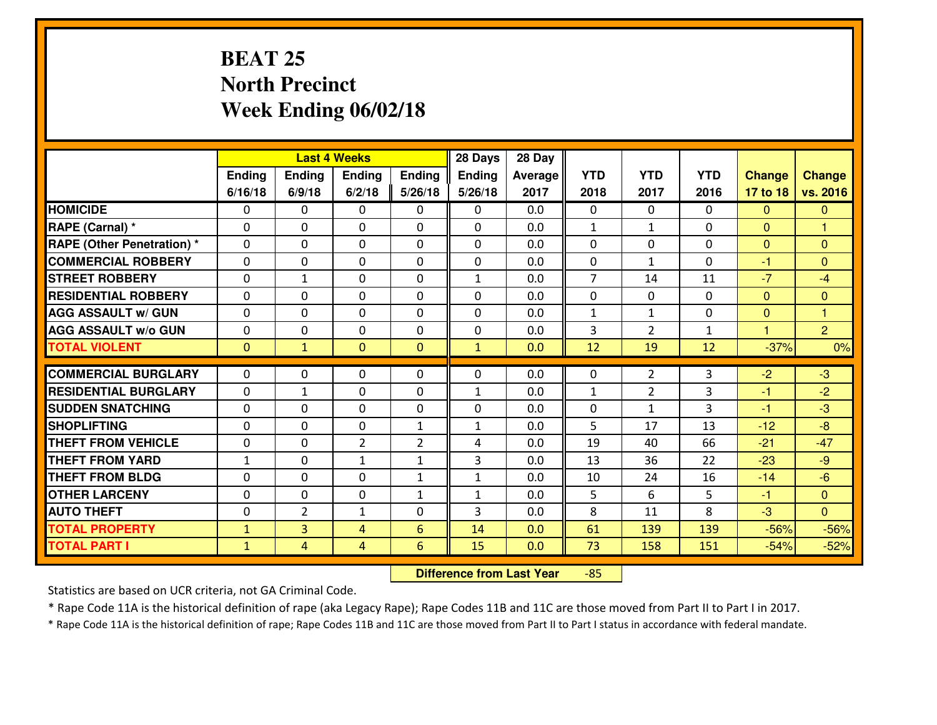# **BEAT 25 North PrecinctWeek Ending 06/02/18**

|                                              |                              |                                  | <b>Last 4 Weeks</b> |                | 28 Days       | 28 Day     |                |                |              |                  |                  |
|----------------------------------------------|------------------------------|----------------------------------|---------------------|----------------|---------------|------------|----------------|----------------|--------------|------------------|------------------|
|                                              | Ending                       | <b>Ending</b>                    | Ending              | <b>Ending</b>  | <b>Ending</b> | Average    | <b>YTD</b>     | <b>YTD</b>     | <b>YTD</b>   | <b>Change</b>    | <b>Change</b>    |
|                                              | 6/16/18                      | 6/9/18                           | 6/2/18              | 5/26/18        | 5/26/18       | 2017       | 2018           | 2017           | 2016         | 17 to 18         | vs. 2016         |
| <b>HOMICIDE</b>                              | 0                            | 0                                | 0                   | 0              | 0             | 0.0        | 0              | $\Omega$       | 0            | $\mathbf{0}$     | $\mathbf{0}$     |
| RAPE (Carnal) *                              | 0                            | 0                                | $\mathbf 0$         | $\Omega$       | 0             | 0.0        | $\mathbf{1}$   | $\mathbf{1}$   | 0            | $\Omega$         | 1                |
| <b>RAPE (Other Penetration) *</b>            | $\Omega$                     | 0                                | $\mathbf 0$         | $\Omega$       | 0             | 0.0        | $\Omega$       | $\Omega$       | $\Omega$     | $\Omega$         | $\Omega$         |
| <b>COMMERCIAL ROBBERY</b>                    | 0                            | 0                                | $\mathbf 0$         | $\Omega$       | 0             | 0.0        | 0              | $\mathbf{1}$   | $\Omega$     | $-1$             | $\mathbf{0}$     |
| <b>ISTREET ROBBERY</b>                       | 0                            | $\mathbf{1}$                     | $\mathbf 0$         | 0              | $\mathbf{1}$  | 0.0        | $\overline{7}$ | 14             | 11           | $-7$             | $-4$             |
| <b>RESIDENTIAL ROBBERY</b>                   | 0                            | 0                                | $\mathbf 0$         | 0              | 0             | 0.0        | 0              | 0              | 0            | $\mathbf{0}$     | $\overline{0}$   |
| <b>AGG ASSAULT W/ GUN</b>                    | 0                            | 0                                | $\mathbf 0$         | $\Omega$       | 0             | 0.0        | $\mathbf{1}$   | $\mathbf{1}$   | 0            | $\mathbf{0}$     | $\overline{1}$   |
| <b>AGG ASSAULT W/o GUN</b>                   | 0                            | 0                                | $\mathbf 0$         | 0              | 0             | 0.0        | 3              | $\overline{2}$ | $\mathbf{1}$ | $\mathbf{1}$     | $\overline{2}$   |
| <b>TOTAL VIOLENT</b>                         | $\mathbf{0}$                 | $\mathbf{1}$                     | $\mathbf{0}$        | $\mathbf{0}$   | $\mathbf{1}$  | 0.0        | 12             | 19             | 12           | $-37%$           | 0%               |
| <b>COMMERCIAL BURGLARY</b>                   | $\mathbf{0}$                 | 0                                | 0                   | 0              | $\Omega$      | 0.0        | $\mathbf{0}$   | 2              | 3            | $-2$             | $-3$             |
| <b>RESIDENTIAL BURGLARY</b>                  | $\mathbf{0}$                 | 1                                | 0                   | 0              | 1             | 0.0        | 1              | 2              | 3            | $-1$             | $-2$             |
| <b>SUDDEN SNATCHING</b>                      | $\mathbf{0}$                 | 0                                | $\mathbf{0}$        | 0              | $\Omega$      | 0.0        | $\mathbf{0}$   | $\mathbf{1}$   | 3            | $-1$             | $-3$             |
| <b>SHOPLIFTING</b>                           | 0                            | 0                                | $\mathbf 0$         | $\mathbf{1}$   | $\mathbf{1}$  | 0.0        | 5              | 17             | 13           | $-12$            | $-8$             |
| <b>THEFT FROM VEHICLE</b>                    |                              |                                  |                     |                |               |            |                |                |              |                  |                  |
|                                              |                              |                                  |                     |                |               |            |                |                |              |                  |                  |
|                                              | 0                            | 0                                | $\overline{2}$      | $\overline{2}$ | 4             | 0.0        | 19             | 40             | 66           | $-21$            | $-47$            |
| <b>THEFT FROM YARD</b>                       | $1\,$                        | 0                                | 1                   | $\mathbf{1}$   | 3             | 0.0        | 13             | 36             | 22           | $-23$            | $-9$             |
| <b>THEFT FROM BLDG</b>                       | 0                            | 0                                | $\mathbf 0$         | $\mathbf{1}$   | $\mathbf{1}$  | 0.0        | 10             | 24             | 16           | $-14$            | $-6$             |
| <b>OTHER LARCENY</b>                         | $\mathbf 0$                  | 0                                | $\mathbf 0$         | $\mathbf{1}$   | $\mathbf{1}$  | 0.0        | 5              | 6              | 5            | $-1$             | $\overline{0}$   |
| <b>AUTO THEFT</b>                            | 0                            | $\overline{2}$                   | 1                   | 0              | 3             | 0.0        | 8              | 11             | 8            | $-3$             | $\overline{0}$   |
| <b>TOTAL PROPERTY</b><br><b>TOTAL PART I</b> | $\mathbf{1}$<br>$\mathbf{1}$ | $\overline{3}$<br>$\overline{4}$ | 4<br>$\overline{4}$ | 6<br>6         | 14<br>15      | 0.0<br>0.0 | 61<br>73       | 139<br>158     | 139<br>151   | $-56%$<br>$-54%$ | $-56%$<br>$-52%$ |

 **Difference from Last Year**-85

Statistics are based on UCR criteria, not GA Criminal Code.

\* Rape Code 11A is the historical definition of rape (aka Legacy Rape); Rape Codes 11B and 11C are those moved from Part II to Part I in 2017.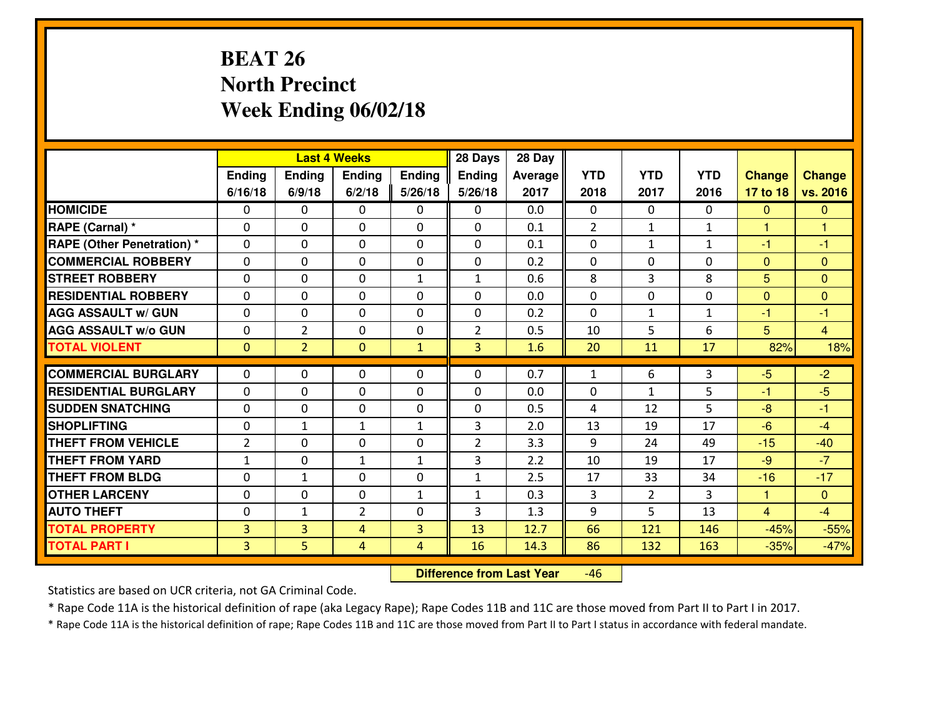# **BEAT 26 North PrecinctWeek Ending 06/02/18**

|                                   |                |                | <b>Last 4 Weeks</b> |                | 28 Days        | 28 Day  |              |                |              |                |                |
|-----------------------------------|----------------|----------------|---------------------|----------------|----------------|---------|--------------|----------------|--------------|----------------|----------------|
|                                   | Ending         | Ending         | <b>Endina</b>       | <b>Ending</b>  | <b>Ending</b>  | Average | <b>YTD</b>   | <b>YTD</b>     | <b>YTD</b>   | <b>Change</b>  | <b>Change</b>  |
|                                   | 6/16/18        | 6/9/18         | 6/2/18              | 5/26/18        | 5/26/18        | 2017    | 2018         | 2017           | 2016         | 17 to 18       | vs. 2016       |
| <b>HOMICIDE</b>                   | $\Omega$       | 0              | $\mathbf{0}$        | $\Omega$       | 0              | 0.0     | $\Omega$     | $\Omega$       | 0            | $\mathbf{0}$   | $\mathbf{0}$   |
| RAPE (Carnal) *                   | $\Omega$       | 0              | $\mathbf{0}$        | 0              | $\Omega$       | 0.1     | 2            | $\mathbf{1}$   | $\mathbf{1}$ | $\mathbf{1}$   | 1              |
| <b>RAPE (Other Penetration) *</b> | 0              | 0              | $\mathbf 0$         | $\Omega$       | 0              | 0.1     | $\mathbf{0}$ | $\mathbf{1}$   | $\mathbf{1}$ | $-1$           | $-1$           |
| <b>COMMERCIAL ROBBERY</b>         | 0              | 0              | $\mathbf 0$         | 0              | 0              | 0.2     | $\mathbf{0}$ | $\mathbf{0}$   | 0            | $\mathbf{0}$   | $\mathbf{0}$   |
| <b>STREET ROBBERY</b>             | 0              | 0              | $\mathbf 0$         | $\mathbf{1}$   | $\mathbf{1}$   | 0.6     | 8            | $\overline{3}$ | 8            | 5              | $\overline{0}$ |
| <b>RESIDENTIAL ROBBERY</b>        | 0              | 0              | $\mathbf 0$         | $\Omega$       | 0              | 0.0     | 0            | $\Omega$       | 0            | $\mathbf{0}$   | $\mathbf{0}$   |
| <b>AGG ASSAULT W/ GUN</b>         | 0              | 0              | $\mathbf 0$         | 0              | 0              | 0.2     | 0            | $\mathbf{1}$   | $\mathbf{1}$ | $-1$           | $-1$           |
| <b>AGG ASSAULT W/o GUN</b>        | 0              | $\overline{2}$ | $\mathbf 0$         | $\mathbf{0}$   | $\overline{2}$ | 0.5     | 10           | 5              | 6            | 5              | $\overline{4}$ |
| <b>TOTAL VIOLENT</b>              | $\mathbf{0}$   | $\overline{2}$ | $\mathbf{0}$        | $\mathbf{1}$   | $\overline{3}$ | 1.6     | 20           | 11             | 17           | 82%            | 18%            |
| <b>COMMERCIAL BURGLARY</b>        | $\Omega$       | $\Omega$       | 0                   | $\Omega$       | 0              | 0.7     | $\mathbf{1}$ | 6              | 3            | $-5$           | $-2$           |
| <b>RESIDENTIAL BURGLARY</b>       | $\mathbf 0$    | 0              | $\mathbf 0$         | 0              | 0              | 0.0     | 0            | $\mathbf{1}$   | 5            | $-1$           | $-5$           |
| <b>SUDDEN SNATCHING</b>           | 0              | 0              | $\mathbf 0$         | $\Omega$       | 0              | 0.5     | 4            | 12             | 5            | $-8$           | $-1$           |
| <b>SHOPLIFTING</b>                | 0              | $\mathbf{1}$   | $\mathbf{1}$        | $\mathbf{1}$   | 3              | 2.0     | 13           | 19             | 17           | $-6$           | $-4$           |
| <b>THEFT FROM VEHICLE</b>         | $\overline{2}$ | 0              | $\mathbf 0$         | 0              | $\overline{2}$ | 3.3     | 9            | 24             | 49           | $-15$          | $-40$          |
| <b>THEFT FROM YARD</b>            | $1\,$          | $\mathbf 0$    | $\mathbf{1}$        | $\mathbf{1}$   | 3              | 2.2     | 10           | 19             | 17           | $-9$           | $-7$           |
| <b>THEFT FROM BLDG</b>            | 0              | $\mathbf{1}$   | $\mathbf 0$         | 0              | $\mathbf{1}$   | 2.5     | 17           | 33             | 34           | $-16$          | $-17$          |
| <b>OTHER LARCENY</b>              | 0              | 0              | $\mathbf 0$         | $\mathbf{1}$   | $\mathbf{1}$   | 0.3     | 3            | $\overline{2}$ | 3            | $\mathbf{1}$   | $\mathbf{0}$   |
| <b>AUTO THEFT</b>                 | $\mathbf{0}$   | $\mathbf{1}$   | $\overline{2}$      | $\Omega$       | 3              | 1.3     | 9            | 5              | 13           | $\overline{4}$ | $-4$           |
| <b>TOTAL PROPERTY</b>             | 3              | 3              | 4                   | 3              | 13             | 12.7    | 66           | 121            | 146          | $-45%$         | $-55%$         |
| <b>TOTAL PART I</b>               | $\overline{3}$ | 5              | $\overline{4}$      | $\overline{4}$ | 16             | 14.3    | 86           | 132            | 163          | $-35%$         | $-47%$         |
|                                   |                |                |                     |                |                |         |              |                |              |                |                |

 **Difference from Last Year**-46

Statistics are based on UCR criteria, not GA Criminal Code.

\* Rape Code 11A is the historical definition of rape (aka Legacy Rape); Rape Codes 11B and 11C are those moved from Part II to Part I in 2017.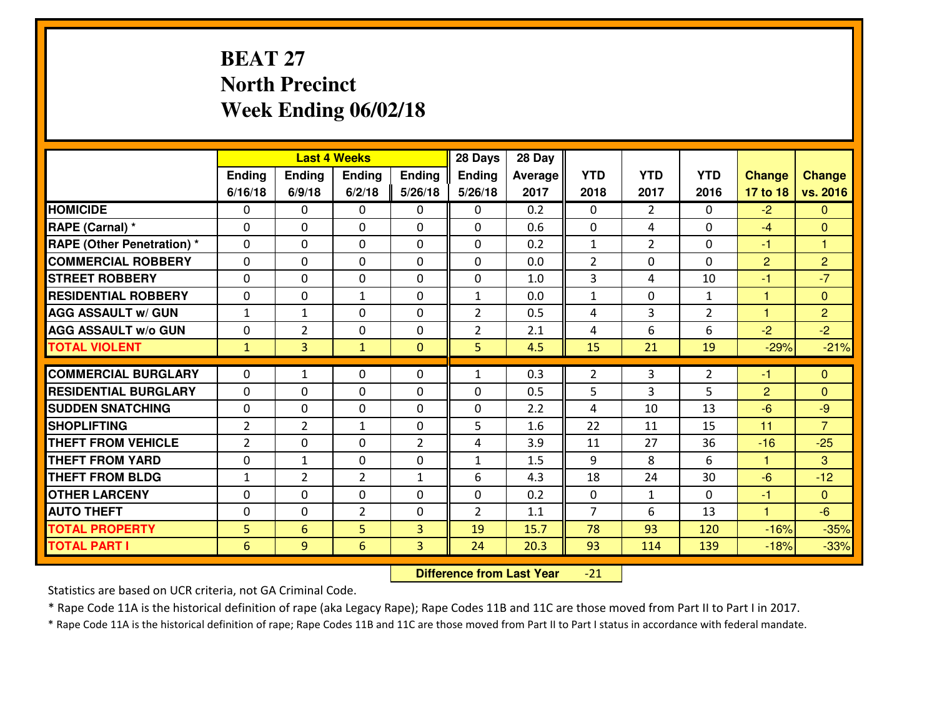# **BEAT 27 North PrecinctWeek Ending 06/02/18**

|                                              |                |                | <b>Last 4 Weeks</b> |                     | 28 Days        | 28 Day       |                |                   |                |                      |                  |
|----------------------------------------------|----------------|----------------|---------------------|---------------------|----------------|--------------|----------------|-------------------|----------------|----------------------|------------------|
|                                              | Ending         | Ending         | Ending              | <b>Ending</b>       | <b>Ending</b>  | Average      | <b>YTD</b>     | <b>YTD</b>        | <b>YTD</b>     | <b>Change</b>        | <b>Change</b>    |
|                                              | 6/16/18        | 6/9/18         | 6/2/18              | 5/26/18             | 5/26/18        | 2017         | 2018           | 2017              | 2016           | 17 to 18             | vs. 2016         |
| <b>HOMICIDE</b>                              | 0              | 0              | 0                   | 0                   | 0              | 0.2          | 0              | $\overline{2}$    | 0              | $-2$                 | $\Omega$         |
| RAPE (Carnal) *                              | $\Omega$       | 0              | 0                   | $\Omega$            | 0              | 0.6          | 0              | 4                 | 0              | $-4$                 | $\mathbf{0}$     |
| <b>RAPE (Other Penetration)*</b>             | $\Omega$       | $\Omega$       | $\mathbf 0$         | $\Omega$            | $\Omega$       | 0.2          | $\mathbf{1}$   | $\overline{2}$    | $\Omega$       | $-1$                 | 1                |
| <b>COMMERCIAL ROBBERY</b>                    | $\Omega$       | $\Omega$       | $\mathbf 0$         | $\Omega$            | $\Omega$       | 0.0          | $\overline{2}$ | 0                 | $\Omega$       | $\overline{2}$       | $\overline{2}$   |
| <b>ISTREET ROBBERY</b>                       | $\mathbf{0}$   | 0              | $\mathbf{0}$        | 0                   | $\Omega$       | 1.0          | 3              | 4                 | 10             | $-1$                 | $-7$             |
| <b>RESIDENTIAL ROBBERY</b>                   | 0              | 0              | 1                   | 0                   | $\mathbf{1}$   | 0.0          | $\mathbf{1}$   | $\mathbf{0}$      | $\mathbf{1}$   | 1                    | $\mathbf{0}$     |
| <b>AGG ASSAULT W/ GUN</b>                    | $\mathbf{1}$   | $\mathbf{1}$   | $\mathbf 0$         | 0                   | $\overline{2}$ | 0.5          | 4              | 3                 | $\overline{2}$ | $\mathbf{1}$         | $\overline{2}$   |
| <b>AGG ASSAULT W/o GUN</b>                   | 0              | $\overline{2}$ | $\mathbf 0$         | 0                   | $\overline{2}$ | 2.1          | 4              | 6                 | 6              | $-2$                 | $-2$             |
| <b>TOTAL VIOLENT</b>                         | $\mathbf{1}$   | $\overline{3}$ | $\mathbf{1}$        | $\mathbf{0}$        | 5              | 4.5          | 15             | 21                | 19             | $-29%$               | $-21%$           |
| <b>COMMERCIAL BURGLARY</b>                   | $\Omega$       | $\mathbf{1}$   | $\mathbf{0}$        | $\Omega$            | 1              | 0.3          | $\overline{2}$ | 3                 | $\overline{2}$ | -1                   | $\mathbf{0}$     |
| <b>RESIDENTIAL BURGLARY</b>                  | $\Omega$       | $\Omega$       | $\mathbf 0$         | $\Omega$            | 0              | 0.5          | 5              | 3                 | 5              | 2                    | $\Omega$         |
|                                              |                |                |                     |                     |                |              |                |                   |                |                      |                  |
|                                              |                |                |                     |                     |                |              |                |                   |                |                      |                  |
| <b>SUDDEN SNATCHING</b>                      | 0              | 0              | $\mathbf 0$         | $\Omega$            | 0              | 2.2          | 4              | 10                | 13             | $-6$                 | $-9$             |
| <b>SHOPLIFTING</b>                           | $\overline{2}$ | $\overline{2}$ | $\mathbf{1}$        | 0                   | 5              | 1.6          | 22             | 11                | 15             | 11                   | $\overline{7}$   |
| <b>THEFT FROM VEHICLE</b>                    | 2              | 0              | $\mathbf 0$         | $\overline{2}$      | 4              | 3.9          | 11             | 27                | 36             | $-16$                | $-25$            |
| <b>THEFT FROM YARD</b>                       | 0              | $\mathbf{1}$   | $\mathbf 0$         | 0                   | $\mathbf{1}$   | 1.5          | 9              | 8                 | 6              | 1                    | 3                |
| <b>THEFT FROM BLDG</b>                       | $\mathbf{1}$   | $\overline{2}$ | $\overline{2}$      | $\mathbf{1}$        | 6              | 4.3          | 18             | 24                | 30             | $-6$                 | $-12$            |
| <b>OTHER LARCENY</b>                         | 0              | 0              | $\mathbf 0$         | 0                   | 0              | 0.2          | 0              | $\mathbf{1}$<br>6 | 0              | $-1$<br>$\mathbf{1}$ | $\overline{0}$   |
| <b>AUTO THEFT</b>                            | 0              | 0              | $\overline{2}$      | $\mathbf{0}$        | $\overline{2}$ | 1.1          | $\overline{7}$ |                   | 13             |                      | $-6$             |
| <b>TOTAL PROPERTY</b><br><b>TOTAL PART I</b> | 5<br>6         | 6<br>9         | 5<br>$6\phantom{1}$ | $\overline{3}$<br>3 | 19<br>24       | 15.7<br>20.3 | 78<br>93       | 93<br>114         | 120<br>139     | $-16%$<br>$-18%$     | $-35%$<br>$-33%$ |

 **Difference from Last Year** $-21$ 

Statistics are based on UCR criteria, not GA Criminal Code.

\* Rape Code 11A is the historical definition of rape (aka Legacy Rape); Rape Codes 11B and 11C are those moved from Part II to Part I in 2017.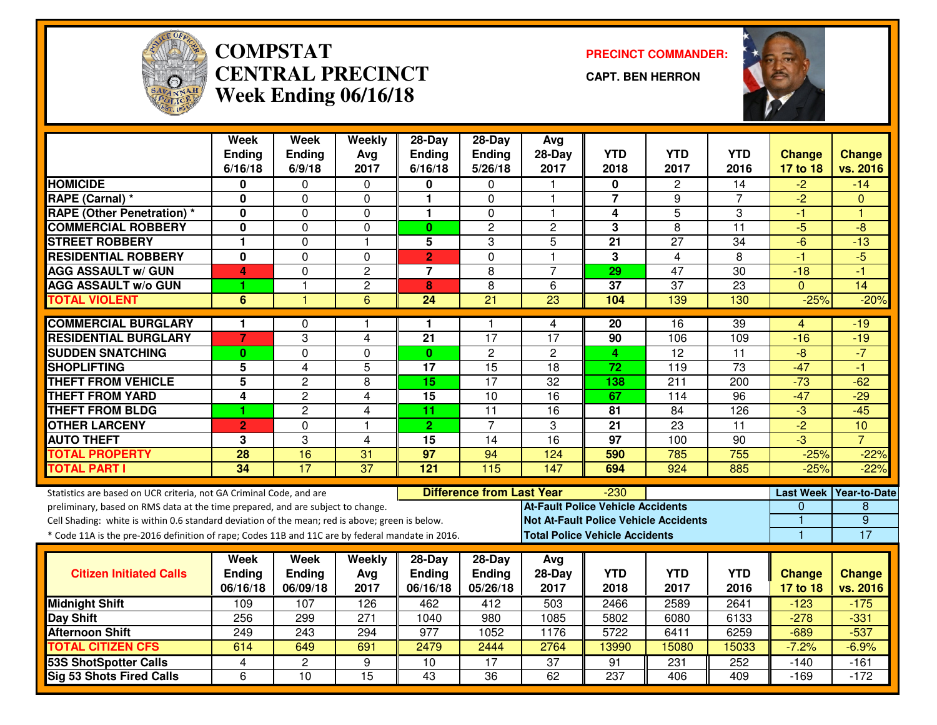

#### **COMPSTAT PRECINCT COMMANDER: CENTRAL PRECINCTWeek Ending 06/16/18**

**CAPT. BEN HERRON**



|                                                                                                  | <b>Week</b><br><b>Ending</b> | <b>Week</b><br><b>Ending</b> | Weekly<br>Avg           | 28-Day<br><b>Ending</b> | 28-Day<br>Ending                 | Avg<br>$28-Day$                       | <b>YTD</b>       | <b>YTD</b>                                   | <b>YTD</b>       | <b>Change</b>        | <b>Change</b>       |
|--------------------------------------------------------------------------------------------------|------------------------------|------------------------------|-------------------------|-------------------------|----------------------------------|---------------------------------------|------------------|----------------------------------------------|------------------|----------------------|---------------------|
|                                                                                                  | 6/16/18                      | 6/9/18                       | 2017                    | 6/16/18                 | 5/26/18                          | 2017                                  | 2018             | 2017                                         | 2016             | 17 to 18             | vs. 2016            |
| <b>HOMICIDE</b>                                                                                  | 0                            | 0                            | 0                       | 0                       | 0                                |                                       | 0                | 2                                            | 14               | $-2$                 | $-14$               |
| RAPE (Carnal) *                                                                                  | 0                            | 0                            | 0                       | $\mathbf{1}$            | $\Omega$                         | $\overline{\mathbf{1}}$               | 7                | 9                                            | 7                | $-2$                 | $\Omega$            |
| <b>RAPE (Other Penetration) *</b>                                                                | 0                            | 0                            | $\mathbf 0$             | $\mathbf{1}$            | $\mathbf 0$                      | $\mathbf 1$                           | 4                | $\overline{5}$                               | 3                | -1                   | 4                   |
| <b>COMMERCIAL ROBBERY</b>                                                                        | 0                            | $\mathbf 0$                  | $\Omega$                | $\mathbf{0}$            | $\overline{c}$                   | $\overline{c}$                        | 3                | 8                                            | 11               | $-5$                 | $-8$                |
| <b>STREET ROBBERY</b>                                                                            | $\mathbf{1}$                 | $\mathbf 0$                  | $\overline{\mathbf{1}}$ | 5                       | 3                                | 5                                     | 21               | 27                                           | 34               | $-6$                 | $-13$               |
| <b>RESIDENTIAL ROBBERY</b>                                                                       | 0                            | 0                            | $\Omega$                | $\overline{2}$          | $\mathbf{0}$                     | $\mathbf{1}$                          | 3                | $\overline{4}$                               | 8                | $-1$                 | $-5$                |
| <b>AGG ASSAULT w/ GUN</b>                                                                        | 4                            | 0                            | $\overline{c}$          | $\overline{7}$          | 8                                | $\overline{7}$                        | 29               | $\overline{47}$                              | $\overline{30}$  | $-18$                | $-1$                |
| <b>AGG ASSAULT W/o GUN</b>                                                                       | 1                            | 1                            | $\overline{2}$          | 8                       | $\overline{8}$                   | 6                                     | $\overline{37}$  | $\overline{37}$                              | $\overline{23}$  | $\Omega$             | $\overline{14}$     |
| <b>TOTAL VIOLENT</b>                                                                             | 6                            | 1                            | 6                       | 24                      | 21                               | 23                                    | 104              | 139                                          | 130              | $-25%$               | $-20%$              |
| <b>COMMERCIAL BURGLARY</b>                                                                       | $\mathbf 1$                  | 0                            | -1                      | 1                       | 1                                | 4                                     | 20               | 16                                           | $\overline{39}$  | 4                    | $-19$               |
| <b>RESIDENTIAL BURGLARY</b>                                                                      | $\overline{7}$               | 3                            | 4                       | 21                      | 17                               | $\overline{17}$                       | 90               | 106                                          | 109              | $-16$                | $-19$               |
| <b>SUDDEN SNATCHING</b>                                                                          | $\mathbf{0}$                 | 0                            | $\Omega$                | $\mathbf{0}$            | $\overline{c}$                   | $\mathbf{2}$                          | 4                | $\overline{12}$                              | 11               | $-8$                 | $-7$                |
| <b>SHOPLIFTING</b>                                                                               | 5                            | $\overline{4}$               | 5                       | 17                      | $\overline{15}$                  | $\overline{18}$                       | 72               | 119                                          | $\overline{73}$  | $-47$                | $-1$                |
| <b>THEFT FROM VEHICLE</b>                                                                        | $\overline{5}$               | $\overline{2}$               | 8                       | $\overline{15}$         | $\overline{17}$                  | $\overline{32}$                       | 138              | $\overline{211}$                             | $\overline{200}$ | $-73$                | $-62$               |
| <b>THEFT FROM YARD</b>                                                                           | $\overline{\mathbf{4}}$      | $\overline{2}$               | 4                       | 15                      | $\overline{10}$                  | $\overline{16}$                       | 67               | 114                                          | 96               | $-47$                | $-29$               |
| <b>THEFT FROM BLDG</b>                                                                           | 1                            | $\overline{c}$               | 4                       | 11                      | 11                               | 16                                    | 81               | 84                                           | 126              | $-3$                 | $-45$               |
| <b>OTHER LARCENY</b>                                                                             | $\overline{2}$               | $\overline{0}$               | $\overline{\mathbf{1}}$ | $\overline{2}$          | $\overline{7}$                   | 3                                     | $\overline{21}$  | $\overline{23}$                              | $\overline{11}$  | $-2$                 | 10                  |
| <b>AUTO THEFT</b>                                                                                | 3                            | 3                            | $\overline{4}$          | $\overline{15}$         | 14                               | $\overline{16}$                       | $\overline{97}$  | 100                                          | $\overline{90}$  | $-3$                 | $\overline{7}$      |
| <b>TOTAL PROPERTY</b>                                                                            | 28                           | 16                           | 31                      | 97                      | 94                               | 124                                   | 590              | 785                                          | 755              | $-25%$               | $-22%$              |
| <b>TOTAL PART I</b>                                                                              | 34                           | 17                           | $\overline{37}$         | 121                     | 115                              | 147                                   | 694              | 924                                          | 885              | $-25%$               | $-22%$              |
| Statistics are based on UCR criteria, not GA Criminal Code, and are                              |                              |                              |                         |                         | <b>Difference from Last Year</b> |                                       | $-230$           |                                              |                  | <b>Last Week</b>     | <b>Year-to-Date</b> |
| preliminary, based on RMS data at the time prepared, and are subject to change.                  |                              |                              |                         |                         |                                  | At-Fault Police Vehicle Accidents     |                  |                                              |                  | 0                    | 8                   |
| Cell Shading: white is within 0.6 standard deviation of the mean; red is above; green is below.  |                              |                              |                         |                         |                                  |                                       |                  | <b>Not At-Fault Police Vehicle Accidents</b> |                  | 1                    | $\overline{9}$      |
| * Code 11A is the pre-2016 definition of rape; Codes 11B and 11C are by federal mandate in 2016. |                              |                              |                         |                         |                                  | <b>Total Police Vehicle Accidents</b> |                  |                                              |                  | $\blacktriangleleft$ | $\overline{17}$     |
|                                                                                                  | Week                         | Week                         | Weekly                  | $28-Day$                | $28-Day$                         | Avg                                   |                  |                                              |                  |                      |                     |
| <b>Citizen Initiated Calls</b>                                                                   | <b>Ending</b>                | <b>Ending</b>                | Avg                     | <b>Ending</b>           | Ending                           | 28-Day                                | <b>YTD</b>       | YTD                                          | <b>YTD</b>       | <b>Change</b>        | <b>Change</b>       |
|                                                                                                  | 06/16/18                     | 06/09/18                     | 2017                    | 06/16/18                | 05/26/18                         | 2017                                  | 2018             | 2017                                         | 2016             | 17 to 18             | vs. 2016            |
| <b>Midnight Shift</b>                                                                            | 109                          | 107                          | 126                     | 462                     | 412                              | 503                                   | 2466             | 2589                                         | 2641             | $-123$               | $-175$              |
| Day Shift                                                                                        | 256                          | 299                          | $\overline{271}$        | 1040                    | 980                              | 1085                                  | 5802             | 6080                                         | 6133             | $-278$               | $-331$              |
| <b>Afternoon Shift</b>                                                                           | 249                          | 243                          | 294                     | 977                     | 1052                             | 1176                                  | 5722             | 6411                                         | 6259             | $-689$               | $-537$              |
| <b>TOTAL CITIZEN CFS</b>                                                                         | 614                          | 649                          | 691                     | 2479                    | 2444                             | 2764                                  | 13990            | 15080                                        | 15033            | $-7.2%$              | $-6.9%$             |
| <b>53S ShotSpotter Calls</b>                                                                     | 4                            | $\overline{2}$               | 9                       | 10                      | $\overline{17}$                  | $\overline{37}$                       | 91               | 231                                          | 252              | -140                 | $-161$              |
| <b>Sig 53 Shots Fired Calls</b>                                                                  | 6                            | 10                           | 15                      | 43                      | $\overline{36}$                  | 62                                    | $\overline{237}$ | 406                                          | 409              | $-169$               | $-172$              |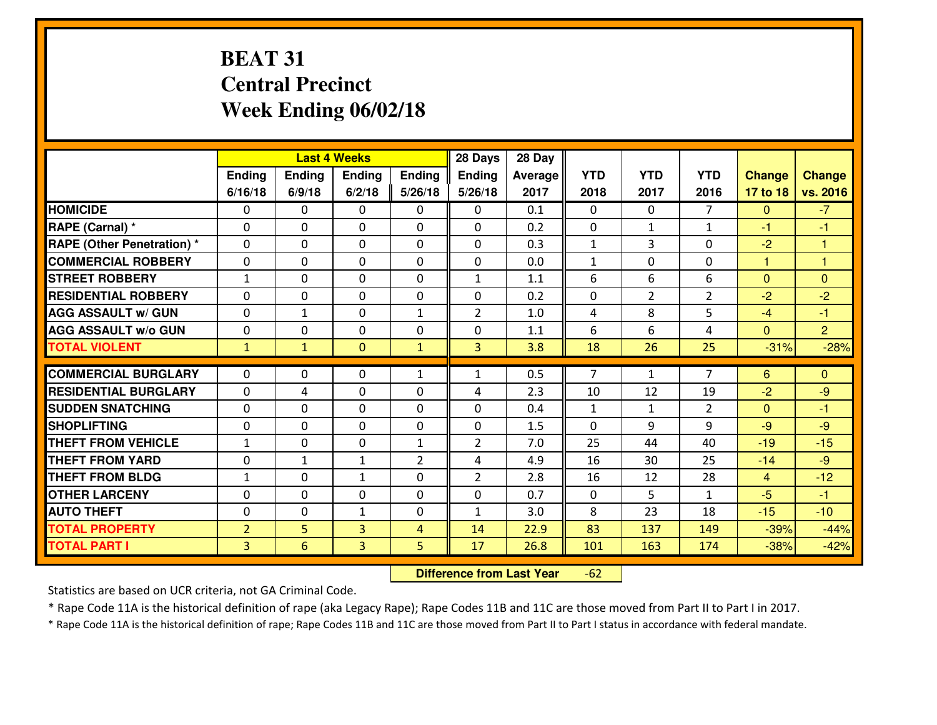# **BEAT 31 Central PrecinctWeek Ending 06/02/18**

|                                  | <b>Last 4 Weeks</b> |              |                | 28 Days        | 28 Day         |         |              |                |                |                |                |
|----------------------------------|---------------------|--------------|----------------|----------------|----------------|---------|--------------|----------------|----------------|----------------|----------------|
|                                  | Ending              | Ending       | <b>Ending</b>  | Ending         | <b>Ending</b>  | Average | <b>YTD</b>   | <b>YTD</b>     | <b>YTD</b>     | <b>Change</b>  | <b>Change</b>  |
|                                  | 6/16/18             | 6/9/18       | 6/2/18         | 5/26/18        | 5/26/18        | 2017    | 2018         | 2017           | 2016           | 17 to 18       | vs. 2016       |
| <b>HOMICIDE</b>                  | $\Omega$            | 0            | $\Omega$       | 0              | $\Omega$       | 0.1     | 0            | $\Omega$       | $\overline{7}$ | $\Omega$       | $-7$           |
| RAPE (Carnal) *                  | $\Omega$            | 0            | $\mathbf{0}$   | $\Omega$       | $\Omega$       | 0.2     | $\Omega$     | $\mathbf{1}$   | $\mathbf{1}$   | $-1$           | $-1$           |
| <b>RAPE (Other Penetration)*</b> | 0                   | 0            | $\mathbf 0$    | 0              | 0              | 0.3     | $\mathbf{1}$ | 3              | 0              | $-2$           | $\overline{1}$ |
| <b>COMMERCIAL ROBBERY</b>        | 0                   | 0            | $\mathbf 0$    | 0              | 0              | 0.0     | $\mathbf{1}$ | 0              | 0              | $\mathbf{1}$   | $\overline{1}$ |
| <b>STREET ROBBERY</b>            | $\mathbf{1}$        | 0            | $\mathbf 0$    | 0              | $\mathbf{1}$   | 1.1     | 6            | 6              | 6              | $\mathbf{0}$   | $\overline{0}$ |
| <b>RESIDENTIAL ROBBERY</b>       | $\Omega$            | 0            | $\mathbf 0$    | 0              | 0              | 0.2     | 0            | $\overline{2}$ | $\overline{2}$ | $-2$           | $-2$           |
| <b>AGG ASSAULT W/ GUN</b>        | 0                   | $\mathbf{1}$ | $\mathbf 0$    | $\mathbf{1}$   | $\overline{2}$ | 1.0     | 4            | 8              | 5              | $-4$           | $-1$           |
| <b>AGG ASSAULT W/o GUN</b>       | 0                   | 0            | 0              | 0              | 0              | 1.1     | 6            | 6              | 4              | $\mathbf{0}$   | $\overline{2}$ |
| <b>TOTAL VIOLENT</b>             | $\mathbf{1}$        | $\mathbf{1}$ | $\mathbf{O}$   | $\mathbf{1}$   | $\overline{3}$ | 3.8     | 18           | 26             | 25             | $-31%$         | $-28%$         |
| <b>COMMERCIAL BURGLARY</b>       | $\Omega$            |              |                |                |                |         | 7            |                | $\overline{7}$ |                |                |
|                                  |                     | 0            | $\mathbf{0}$   | $\mathbf{1}$   | $\mathbf{1}$   | 0.5     |              | $\mathbf{1}$   |                | 6              | $\mathbf{0}$   |
| <b>RESIDENTIAL BURGLARY</b>      | $\mathbf{0}$        | 4            | 0              | 0              | 4              | 2.3     | 10           | 12             | 19             | $-2$           | $-9$           |
| <b>SUDDEN SNATCHING</b>          | $\mathbf{0}$        | 0            | $\mathbf 0$    | 0              | 0              | 0.4     | $\mathbf{1}$ | $\mathbf{1}$   | $\overline{2}$ | $\Omega$       | $-1$           |
| <b>SHOPLIFTING</b>               | 0                   | 0            | $\mathbf 0$    | 0              | 0              | 1.5     | 0            | 9              | 9              | $-9$           | $-9$           |
| <b>THEFT FROM VEHICLE</b>        | $\mathbf{1}$        | 0            | $\mathbf 0$    | $\mathbf{1}$   | $\overline{2}$ | 7.0     | 25           | 44             | 40             | $-19$          | $-15$          |
| <b>THEFT FROM YARD</b>           | 0                   | $\mathbf{1}$ | 1              | $\overline{2}$ | 4              | 4.9     | 16           | 30             | 25             | $-14$          | $-9$           |
| <b>THEFT FROM BLDG</b>           | $\mathbf{1}$        | 0            | $\mathbf{1}$   | 0              | $\overline{2}$ | 2.8     | 16           | 12             | 28             | $\overline{4}$ | $-12$          |
| <b>OTHER LARCENY</b>             | 0                   | 0            | $\mathbf 0$    | $\mathbf 0$    | 0              | 0.7     | $\mathbf 0$  | 5              | $\mathbf{1}$   | $-5$           | $-1$           |
| <b>AUTO THEFT</b>                | 0                   | 0            | $\mathbf{1}$   | 0              | $\mathbf{1}$   | 3.0     | 8            | 23             | 18             | $-15$          | $-10$          |
| <b>TOTAL PROPERTY</b>            | $\overline{2}$      | 5            | 3              | $\overline{4}$ | 14             | 22.9    | 83           | 137            | 149            | $-39%$         | $-44%$         |
| <b>TOTAL PART I</b>              | $\overline{3}$      | 6            | $\overline{3}$ | 5              | 17             | 26.8    | 101          | 163            | 174            | $-38%$         | $-42%$         |

 **Difference from Last Year** $-62$ 

Statistics are based on UCR criteria, not GA Criminal Code.

\* Rape Code 11A is the historical definition of rape (aka Legacy Rape); Rape Codes 11B and 11C are those moved from Part II to Part I in 2017.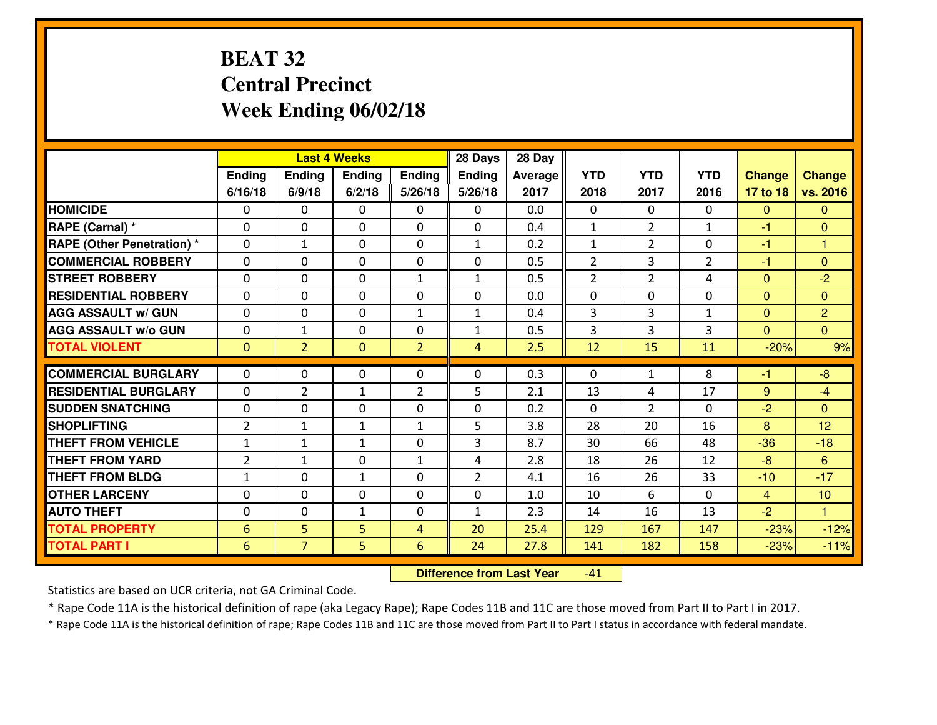# **BEAT 32 Central PrecinctWeek Ending 06/02/18**

|                                              |                                    |                     | <b>Last 4 Weeks</b> |                                  | 28 Days        | 28 Day         |                |                |                |                  |                  |
|----------------------------------------------|------------------------------------|---------------------|---------------------|----------------------------------|----------------|----------------|----------------|----------------|----------------|------------------|------------------|
|                                              | Ending                             | <b>Ending</b>       | <b>Ending</b>       | Ending                           | Ending         | <b>Average</b> | <b>YTD</b>     | <b>YTD</b>     | <b>YTD</b>     | <b>Change</b>    | <b>Change</b>    |
|                                              | 6/16/18                            | 6/9/18              | 6/2/18              | 5/26/18                          | 5/26/18        | 2017           | 2018           | 2017           | 2016           | 17 to 18         | vs. 2016         |
| <b>HOMICIDE</b>                              | $\Omega$                           | 0                   | $\Omega$            | 0                                | 0              | 0.0            | $\Omega$       | $\Omega$       | 0              | $\mathbf{0}$     | $\Omega$         |
| RAPE (Carnal) *                              | $\Omega$                           | 0                   | $\mathbf{0}$        | $\Omega$                         | 0              | 0.4            | $\mathbf{1}$   | $\overline{2}$ | $\mathbf{1}$   | $-1$             | $\mathbf{0}$     |
| <b>RAPE (Other Penetration) *</b>            | $\Omega$                           | 1                   | 0                   | $\Omega$                         | $\mathbf{1}$   | 0.2            | $\mathbf{1}$   | $\overline{2}$ | $\Omega$       | $-1$             | 1.               |
| <b>COMMERCIAL ROBBERY</b>                    | 0                                  | $\Omega$            | $\mathbf{0}$        | $\Omega$                         | 0              | 0.5            | $\overline{2}$ | 3              | $\overline{2}$ | $-1$             | $\Omega$         |
| <b>ISTREET ROBBERY</b>                       | 0                                  | 0                   | $\mathbf 0$         | $\mathbf{1}$                     | $\mathbf{1}$   | 0.5            | $\overline{2}$ | $\overline{2}$ | 4              | $\mathbf{0}$     | $-2$             |
| <b>RESIDENTIAL ROBBERY</b>                   | 0                                  | 0                   | $\mathbf 0$         | 0                                | 0              | 0.0            | $\mathbf 0$    | 0              | 0              | $\mathbf{0}$     | $\overline{0}$   |
| <b>AGG ASSAULT w/ GUN</b>                    | $\Omega$                           | 0                   | $\mathbf 0$         | $\mathbf{1}$                     | $\mathbf{1}$   | 0.4            | 3              | 3              | $\mathbf{1}$   | $\mathbf{0}$     | $\overline{2}$   |
| <b>AGG ASSAULT W/o GUN</b>                   | 0                                  | 1                   | $\mathbf 0$         | 0                                | $\mathbf{1}$   | 0.5            | 3              | 3              | 3              | $\Omega$         | $\overline{0}$   |
| <b>TOTAL VIOLENT</b>                         | $\mathbf{0}$                       | $\overline{2}$      | $\mathbf{0}$        | $\overline{2}$                   | $\overline{4}$ | 2.5            | 12             | 15             | 11             | $-20%$           | 9%               |
| <b>COMMERCIAL BURGLARY</b>                   | $\mathbf{0}$                       | 0                   | 0                   | $\mathbf{0}$                     | $\Omega$       | 0.3            | $\mathbf{0}$   | $\mathbf{1}$   | 8              | -1               | $-8$             |
| <b>RESIDENTIAL BURGLARY</b>                  | $\mathbf{0}$                       | $\overline{2}$      | $\mathbf{1}$        | 2                                | 5              | 2.1            | 13             | 4              | 17             | 9                | $-4$             |
| <b>SUDDEN SNATCHING</b>                      | $\mathbf{0}$                       | 0                   | $\mathbf{0}$        | 0                                | 0              | 0.2            | $\mathbf{0}$   | $\overline{2}$ | $\Omega$       | $-2$             | $\mathbf{0}$     |
| <b>SHOPLIFTING</b>                           | $\overline{2}$                     | 1                   | $\mathbf{1}$        | $\mathbf{1}$                     | 5              | 3.8            | 28             | 20             | 16             | 8                | 12               |
| <b>THEFT FROM VEHICLE</b>                    | $\mathbf{1}$                       | 1                   | $\mathbf{1}$        | 0                                | 3              | 8.7            | 30             | 66             | 48             | $-36$            | $-18$            |
| <b>THEFT FROM YARD</b>                       | $\overline{2}$                     | $\mathbf{1}$        | 0                   | $\mathbf{1}$                     | 4              | 2.8            | 18             | 26             | 12             | $-8$             | 6                |
| <b>THEFT FROM BLDG</b>                       | $\mathbf{1}$                       | 0                   | $\mathbf{1}$        | 0                                | $\overline{2}$ | 4.1            | 16             | 26             | 33             | $-10$            | $-17$            |
| <b>OTHER LARCENY</b>                         | $\mathbf 0$                        | 0                   | 0                   | 0                                | 0              | 1.0            | 10             | 6              | 0              | $\overline{4}$   | 10               |
| <b>AUTO THEFT</b>                            | 0                                  | 0                   | $\mathbf{1}$        | 0                                | $\mathbf{1}$   | 2.3            | 14             | 16             | 13             | $-2$             | $\mathbf{1}$     |
|                                              |                                    |                     |                     |                                  |                |                |                |                |                |                  |                  |
|                                              |                                    |                     |                     |                                  |                |                |                |                |                |                  |                  |
| <b>TOTAL PROPERTY</b><br><b>TOTAL PART I</b> | $6\phantom{1}6$<br>$6\phantom{1}6$ | 5<br>$\overline{7}$ | 5<br>5              | $\overline{4}$<br>$6\phantom{1}$ | 20<br>24       | 25.4<br>27.8   | 129<br>141     | 167<br>182     | 147<br>158     | $-23%$<br>$-23%$ | $-12%$<br>$-11%$ |

 **Difference from Last Year**-41

Statistics are based on UCR criteria, not GA Criminal Code.

\* Rape Code 11A is the historical definition of rape (aka Legacy Rape); Rape Codes 11B and 11C are those moved from Part II to Part I in 2017.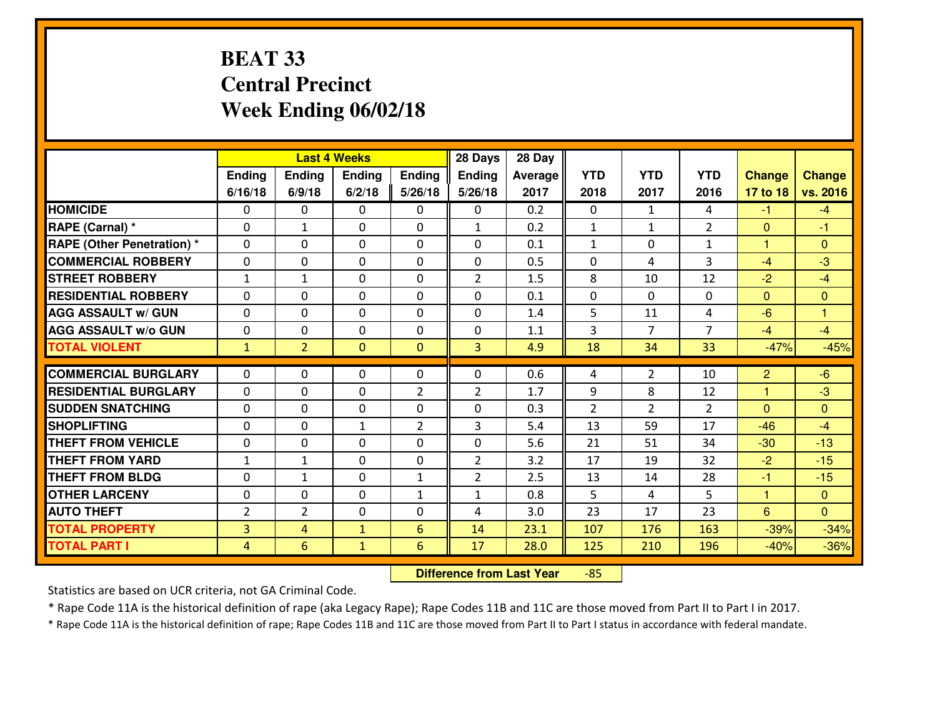# **BEAT 33 Central PrecinctWeek Ending 06/02/18**

|                                  |                |                | <b>Last 4 Weeks</b> |                | 28 Days        | 28 Day  |                |                |                |                |                |
|----------------------------------|----------------|----------------|---------------------|----------------|----------------|---------|----------------|----------------|----------------|----------------|----------------|
|                                  | Ending         | <b>Ending</b>  | <b>Ending</b>       | Ending         | Ending         | Average | <b>YTD</b>     | <b>YTD</b>     | <b>YTD</b>     | <b>Change</b>  | <b>Change</b>  |
|                                  | 6/16/18        | 6/9/18         | 6/2/18              | 5/26/18        | 5/26/18        | 2017    | 2018           | 2017           | 2016           | 17 to 18       | vs. 2016       |
| <b>HOMICIDE</b>                  | 0              | 0              | $\Omega$            | $\mathbf{0}$   | 0              | 0.2     | $\Omega$       | $\mathbf{1}$   | 4              | $-1$           | $-4$           |
| RAPE (Carnal) *                  | $\Omega$       | 1              | $\mathbf 0$         | 0              | $\mathbf{1}$   | 0.2     | $\mathbf{1}$   | $\mathbf{1}$   | $\overline{2}$ | $\mathbf{0}$   | $-1$           |
| <b>RAPE (Other Penetration)*</b> | $\Omega$       | $\Omega$       | $\Omega$            | $\Omega$       | $\Omega$       | 0.1     | $\mathbf{1}$   | $\Omega$       | $\mathbf{1}$   | 1              | $\Omega$       |
| <b>COMMERCIAL ROBBERY</b>        | $\Omega$       | $\Omega$       | $\mathbf 0$         | $\Omega$       | $\Omega$       | 0.5     | $\Omega$       | 4              | 3              | $-4$           | $-3$           |
| <b>ISTREET ROBBERY</b>           | $\mathbf{1}$   | 1              | $\mathbf{0}$        | 0              | $\overline{2}$ | 1.5     | 8              | 10             | 12             | $-2$           | $-4$           |
| <b>RESIDENTIAL ROBBERY</b>       | 0              | 0              | $\mathbf 0$         | 0              | 0              | 0.1     | $\mathbf 0$    | $\Omega$       | 0              | $\mathbf{0}$   | $\mathbf{0}$   |
| <b>AGG ASSAULT w/ GUN</b>        | 0              | 0              | $\mathbf 0$         | 0              | 0              | 1.4     | 5              | 11             | 4              | $-6$           | $\mathbf{1}$   |
| <b>AGG ASSAULT W/o GUN</b>       | 0              | 0              | $\mathbf{0}$        | 0              | 0              | 1.1     | 3              | $\overline{7}$ | $\overline{7}$ | $-4$           | $-4$           |
| <b>TOTAL VIOLENT</b>             | $\mathbf{1}$   | $\overline{2}$ | $\mathbf{0}$        | $\overline{0}$ | $\overline{3}$ | 4.9     | 18             | 34             | 33             | $-47%$         | $-45%$         |
| <b>COMMERCIAL BURGLARY</b>       | $\Omega$       | 0              | $\mathbf{0}$        | 0              | $\Omega$       | 0.6     | 4              | $\overline{2}$ | 10             | $\overline{2}$ | $-6$           |
| <b>RESIDENTIAL BURGLARY</b>      | $\Omega$       |                |                     |                |                |         |                |                |                |                |                |
|                                  |                | 0              | $\mathbf 0$         | $\overline{2}$ | $\overline{2}$ | 1.7     | 9              | 8              | 12             | 1              | $-3$           |
| <b>SUDDEN SNATCHING</b>          | 0              | $\Omega$       | $\mathbf 0$         | 0              | 0              | 0.3     | $\overline{2}$ | $\overline{2}$ | $\overline{2}$ | $\Omega$       | $\Omega$       |
| <b>SHOPLIFTING</b>               | 0              | 0              | $\mathbf{1}$        | 2              | 3              | 5.4     | 13             | 59             | 17             | $-46$          | $-4$           |
| <b>THEFT FROM VEHICLE</b>        | 0              | 0              | $\mathbf 0$         | 0              | 0              | 5.6     | 21             | 51             | 34             | $-30$          | $-13$          |
| <b>THEFT FROM YARD</b>           | $1\,$          | $\mathbf{1}$   | 0                   | 0              | $\overline{2}$ | 3.2     | 17             | 19             | 32             | $-2$           | $-15$          |
| <b>THEFT FROM BLDG</b>           | $\mathbf{0}$   | 1              | $\mathbf{0}$        | $\mathbf{1}$   | $\overline{2}$ | 2.5     | 13             | 14             | 28             | $-1$           | $-15$          |
| <b>OTHER LARCENY</b>             | 0              | 0              | 0                   | $\mathbf{1}$   | $\mathbf{1}$   | 0.8     | 5              | 4              | 5              | $\mathbf{1}$   | $\overline{0}$ |
| <b>AUTO THEFT</b>                | $\overline{2}$ | $\overline{2}$ | 0                   | 0              | 4              | 3.0     | 23             | 17             | 23             | $6\phantom{1}$ | $\overline{0}$ |
| <b>TOTAL PROPERTY</b>            | $\overline{3}$ | $\overline{4}$ | $\mathbf{1}$        | $6\phantom{1}$ | 14             | 23.1    | 107            | 176            | 163            | $-39%$         | $-34%$         |
| <b>TOTAL PART I</b>              | $\overline{4}$ | 6              | $\mathbf{1}$        | $6\phantom{1}$ | 17             | 28.0    | 125            | 210            | 196            | $-40%$         | $-36%$         |

 **Difference from Last Year**-85

Statistics are based on UCR criteria, not GA Criminal Code.

\* Rape Code 11A is the historical definition of rape (aka Legacy Rape); Rape Codes 11B and 11C are those moved from Part II to Part I in 2017.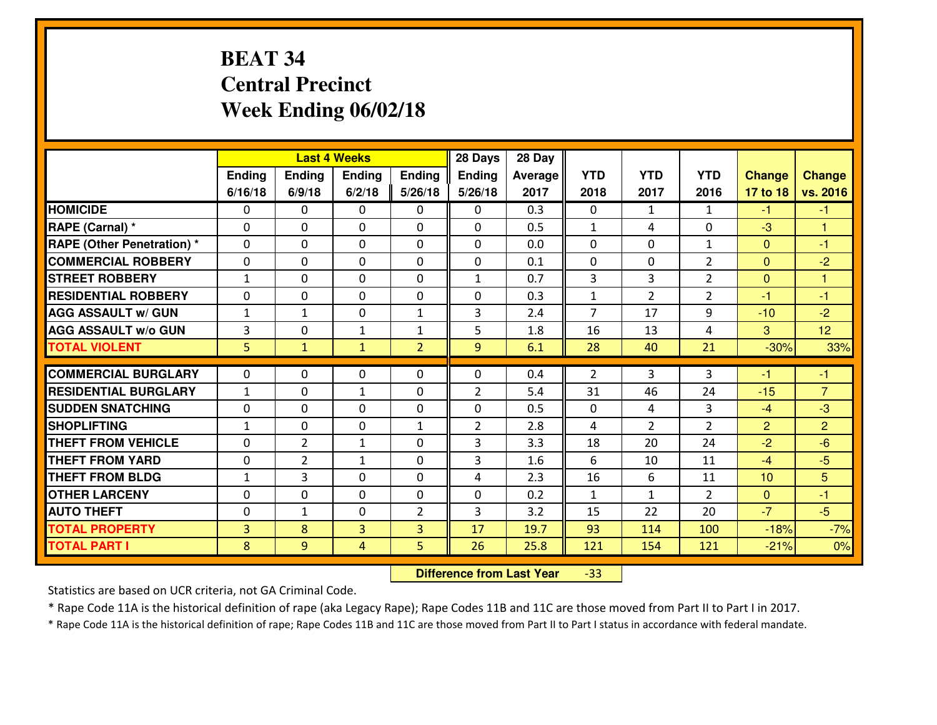# **BEAT 34 Central PrecinctWeek Ending 06/02/18**

|                                  |                |                | <b>Last 4 Weeks</b> |                | 28 Days        | 28 Day  |                |                |                |                |                |
|----------------------------------|----------------|----------------|---------------------|----------------|----------------|---------|----------------|----------------|----------------|----------------|----------------|
|                                  | Ending         | Ending         | Ending              | Ending         | <b>Ending</b>  | Average | <b>YTD</b>     | <b>YTD</b>     | <b>YTD</b>     | <b>Change</b>  | <b>Change</b>  |
|                                  | 6/16/18        | 6/9/18         | 6/2/18              | 5/26/18        | 5/26/18        | 2017    | 2018           | 2017           | 2016           | 17 to 18       | vs. 2016       |
| <b>HOMICIDE</b>                  | 0              | 0              | 0                   | 0              | 0              | 0.3     | 0              | $\mathbf{1}$   | $\mathbf{1}$   | $-1$           | $-1$           |
| RAPE (Carnal) *                  | $\Omega$       | 0              | 0                   | $\Omega$       | 0              | 0.5     | $\mathbf{1}$   | 4              | 0              | -3             | 1              |
| <b>RAPE (Other Penetration)*</b> | $\Omega$       | $\Omega$       | $\mathbf 0$         | $\Omega$       | $\Omega$       | 0.0     | $\Omega$       | $\Omega$       | $\mathbf{1}$   | $\Omega$       | $-1$           |
| <b>COMMERCIAL ROBBERY</b>        | $\Omega$       | $\Omega$       | $\mathbf 0$         | $\Omega$       | 0              | 0.1     | $\Omega$       | 0              | $\mathcal{P}$  | $\mathbf{0}$   | $-2$           |
| <b>ISTREET ROBBERY</b>           | $\mathbf{1}$   | 0              | $\mathbf{0}$        | 0              | $\mathbf{1}$   | 0.7     | 3              | 3              | $\overline{2}$ | $\mathbf{0}$   | 1              |
| <b>RESIDENTIAL ROBBERY</b>       | 0              | 0              | $\mathbf 0$         | 0              | 0              | 0.3     | $\mathbf{1}$   | $\overline{2}$ | $\overline{2}$ | $-1$           | $-1$           |
| <b>AGG ASSAULT W/ GUN</b>        | $\mathbf{1}$   | $\mathbf{1}$   | $\mathbf 0$         | $\mathbf{1}$   | 3              | 2.4     | $\overline{7}$ | 17             | 9              | $-10$          | $-2$           |
| <b>AGG ASSAULT W/o GUN</b>       | 3              | 0              | $\mathbf{1}$        | $\mathbf{1}$   | 5              | 1.8     | 16             | 13             | 4              | 3              | 12             |
| <b>TOTAL VIOLENT</b>             | 5              | $\mathbf{1}$   | $\mathbf{1}$        | $\overline{2}$ | 9 <sup>°</sup> | 6.1     | 28             | 40             | 21             | $-30%$         | 33%            |
| <b>COMMERCIAL BURGLARY</b>       | $\Omega$       | 0              | $\mathbf{0}$        | $\Omega$       | $\Omega$       | 0.4     | $\overline{2}$ | 3              | 3              | $-1$           | $-1$           |
| <b>RESIDENTIAL BURGLARY</b>      | $\mathbf{1}$   | 0              | 1                   | 0              | $\overline{2}$ | 5.4     | 31             | 46             | 24             | $-15$          | $\overline{7}$ |
| <b>SUDDEN SNATCHING</b>          | 0              | 0              | $\mathbf 0$         | $\Omega$       | 0              | 0.5     | 0              | 4              | 3              | $-4$           | $-3$           |
| <b>SHOPLIFTING</b>               | $\mathbf{1}$   | 0              | $\mathbf 0$         | $\mathbf{1}$   | $\overline{2}$ | 2.8     | 4              | $\overline{2}$ | $\overline{2}$ | $\overline{2}$ | $\overline{2}$ |
| <b>THEFT FROM VEHICLE</b>        | 0              | $\overline{2}$ | $\mathbf{1}$        | 0              | 3              | 3.3     | 18             | 20             | 24             | $-2$           | $-6$           |
| <b>THEFT FROM YARD</b>           | 0              | $\overline{2}$ | $\mathbf{1}$        | 0              | 3              | 1.6     | 6              | 10             | 11             | $-4$           | $-5$           |
| <b>THEFT FROM BLDG</b>           | $\mathbf{1}$   | 3              | 0                   | $\mathbf{0}$   | 4              | 2.3     | 16             | 6              | 11             | 10             | 5              |
| <b>OTHER LARCENY</b>             | 0              | 0              | $\mathbf 0$         | 0              | 0              | 0.2     | $\mathbf{1}$   | $\mathbf{1}$   | $\overline{2}$ | $\mathbf{0}$   | $-1$           |
| <b>AUTO THEFT</b>                | 0              | $\mathbf{1}$   | 0                   | $\overline{2}$ | 3              | 3.2     | 15             | 22             | 20             | $-7$           | $-5$           |
| <b>TOTAL PROPERTY</b>            | $\overline{3}$ | 8              | 3                   | 3              | 17             | 19.7    | 93             | 114            | 100            | $-18%$         | $-7%$          |
| <b>TOTAL PART I</b>              | 8              | 9              | 4                   | 5              | 26             | 25.8    | 121            | 154            | 121            | $-21%$         | 0%             |

 **Difference from Last Year**-33

Statistics are based on UCR criteria, not GA Criminal Code.

\* Rape Code 11A is the historical definition of rape (aka Legacy Rape); Rape Codes 11B and 11C are those moved from Part II to Part I in 2017.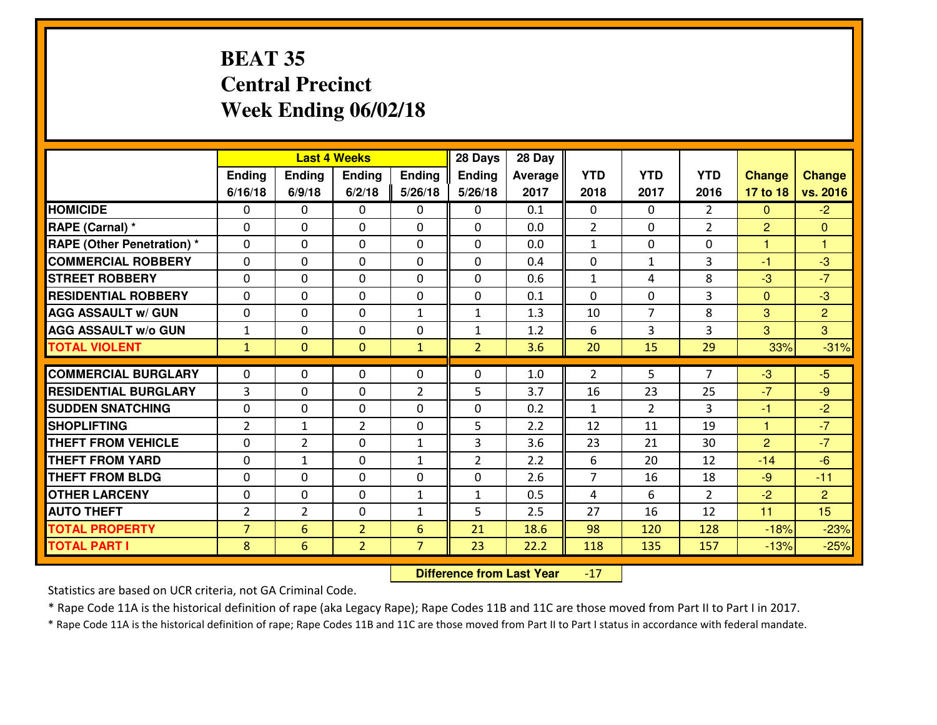# **BEAT 35 Central PrecinctWeek Ending 06/02/18**

|                                              |                     |                | <b>Last 4 Weeks</b>              |                                  | 28 Days        | 28 Day         |                |                |                |                  |                  |
|----------------------------------------------|---------------------|----------------|----------------------------------|----------------------------------|----------------|----------------|----------------|----------------|----------------|------------------|------------------|
|                                              | Ending              | Ending         | <b>Ending</b>                    | Ending                           | <b>Ending</b>  | <b>Average</b> | <b>YTD</b>     | <b>YTD</b>     | <b>YTD</b>     | <b>Change</b>    | <b>Change</b>    |
|                                              | 6/16/18             | 6/9/18         | 6/2/18                           | 5/26/18                          | 5/26/18        | 2017           | 2018           | 2017           | 2016           | 17 to 18         | vs. 2016         |
| <b>HOMICIDE</b>                              | $\Omega$            | 0              | $\Omega$                         | $\Omega$                         | 0              | 0.1            | $\Omega$       | $\Omega$       | $\overline{2}$ | $\mathbf{0}$     | $-2$             |
| RAPE (Carnal) *                              | $\mathbf{0}$        | 0              | $\mathbf{0}$                     | 0                                | 0              | 0.0            | $\overline{2}$ | 0              | $\overline{2}$ | 2                | $\mathbf{0}$     |
| <b>RAPE (Other Penetration) *</b>            | $\mathbf{0}$        | 0              | $\mathbf{0}$                     | 0                                | 0              | 0.0            | $\mathbf{1}$   | $\Omega$       | $\Omega$       | 1                | 1.               |
| <b>COMMERCIAL ROBBERY</b>                    | $\mathbf{0}$        | 0              | $\mathbf{0}$                     | $\Omega$                         | $\Omega$       | 0.4            | $\mathbf{0}$   | $\mathbf{1}$   | 3              | -1               | $-3$             |
| <b>STREET ROBBERY</b>                        | $\mathbf{0}$        | 0              | $\mathbf{0}$                     | $\Omega$                         | 0              | 0.6            | 1              | 4              | 8              | $-3$             | $-7$             |
| <b>RESIDENTIAL ROBBERY</b>                   | $\Omega$            | 0              | $\mathbf 0$                      | 0                                | 0              | 0.1            | $\Omega$       | $\Omega$       | 3              | $\mathbf{0}$     | $-3$             |
| <b>AGG ASSAULT w/ GUN</b>                    | 0                   | 0              | $\mathbf 0$                      | $\mathbf{1}$                     | $\mathbf{1}$   | 1.3            | 10             | $\overline{7}$ | 8              | 3                | $\overline{2}$   |
| <b>AGG ASSAULT W/o GUN</b>                   | $1\,$               | 0              | $\mathbf 0$                      | 0                                | $\mathbf{1}$   | 1.2            | 6              | 3              | 3              | 3                | $\overline{3}$   |
| <b>TOTAL VIOLENT</b>                         | $\mathbf{1}$        | $\overline{0}$ | $\mathbf{0}$                     | $\mathbf{1}$                     | $\overline{2}$ | 3.6            | 20             | 15             | 29             | 33%              | $-31%$           |
|                                              |                     |                |                                  |                                  |                |                |                |                |                |                  |                  |
|                                              |                     |                |                                  |                                  |                |                |                |                |                |                  |                  |
| <b>COMMERCIAL BURGLARY</b>                   | $\mathbf{0}$        | 0              | 0                                | $\mathbf{0}$                     | 0              | 1.0            | $\overline{2}$ | 5              | 7              | $-3$             | $-5$             |
| <b>RESIDENTIAL BURGLARY</b>                  | 3                   | 0              | $\mathbf{0}$                     | 2                                | 5              | 3.7            | 16             | 23             | 25             | $-7$             | $-9$             |
| <b>SUDDEN SNATCHING</b>                      | $\mathbf{0}$        | 0              | $\mathbf{0}$                     | 0                                | 0              | 0.2            | $\mathbf{1}$   | $\overline{2}$ | 3              | $-1$             | $-2$             |
| <b>SHOPLIFTING</b>                           | $\overline{2}$      | $\mathbf{1}$   | $\overline{2}$                   | 0                                | 5              | 2.2            | 12             | 11             | 19             | $\mathbf{1}$     | $-7$             |
| <b>THEFT FROM VEHICLE</b>                    | $\Omega$            | $\overline{2}$ | $\mathbf 0$                      | $\mathbf{1}$                     | 3              | 3.6            | 23             | 21             | 30             | $\overline{2}$   | $-7$             |
| <b>THEFT FROM YARD</b>                       | 0                   | 1              | $\mathbf 0$                      | $\mathbf{1}$                     | $\overline{2}$ | 2.2            | 6              | 20             | 12             | $-14$            | $-6$             |
| <b>THEFT FROM BLDG</b>                       | $\mathbf{0}$        | 0              | 0                                | 0                                | 0              | 2.6            | $\overline{7}$ | 16             | 18             | $-9$             | $-11$            |
| <b>OTHER LARCENY</b>                         | 0                   | 0              | 0                                | $\mathbf{1}$                     | $\mathbf{1}$   | 0.5            | 4              | 6              | $\overline{2}$ | $-2$             | $\overline{2}$   |
| <b>AUTO THEFT</b>                            | $\overline{2}$      | $\overline{2}$ | 0                                | $\mathbf{1}$                     | 5              | 2.5            | 27             | 16             | 12             | 11               | 15               |
| <b>TOTAL PROPERTY</b><br><b>TOTAL PART I</b> | $\overline{7}$<br>8 | 6<br>6         | $\overline{2}$<br>$\overline{2}$ | $6\phantom{1}$<br>$\overline{7}$ | 21<br>23       | 18.6<br>22.2   | 98<br>118      | 120<br>135     | 128<br>157     | $-18%$<br>$-13%$ | $-23%$<br>$-25%$ |

 **Difference from Last Year**-17

Statistics are based on UCR criteria, not GA Criminal Code.

\* Rape Code 11A is the historical definition of rape (aka Legacy Rape); Rape Codes 11B and 11C are those moved from Part II to Part I in 2017.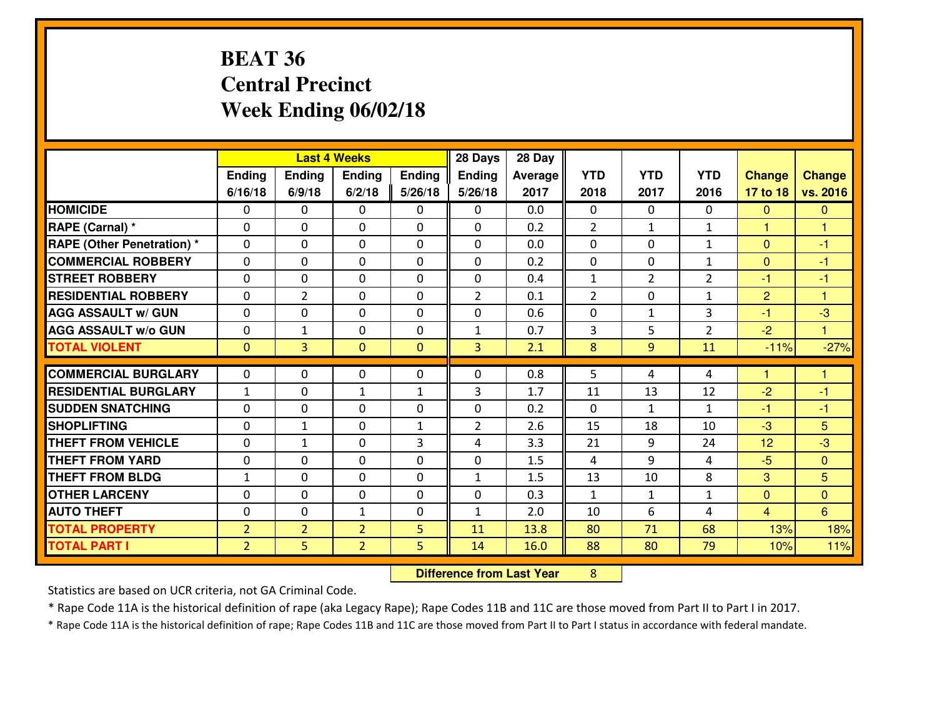# **BEAT 36 Central PrecinctWeek Ending 06/02/18**

|                                              |                                  |                     | <b>Last 4 Weeks</b>              |               | 28 Days        | 28 Day         |                |                |                |                      |                |
|----------------------------------------------|----------------------------------|---------------------|----------------------------------|---------------|----------------|----------------|----------------|----------------|----------------|----------------------|----------------|
|                                              | Ending                           | <b>Ending</b>       | <b>Ending</b>                    | <b>Ending</b> | Ending         | <b>Average</b> | <b>YTD</b>     | <b>YTD</b>     | <b>YTD</b>     | <b>Change</b>        | <b>Change</b>  |
|                                              | 6/16/18                          | 6/9/18              | 6/2/18                           | 5/26/18       | 5/26/18        | 2017           | 2018           | 2017           | 2016           | 17 to 18             | vs. 2016       |
| <b>HOMICIDE</b>                              | 0                                | 0                   | $\mathbf{0}$                     | $\mathbf{0}$  | 0              | 0.0            | $\mathbf{0}$   | $\Omega$       | $\Omega$       | $\mathbf{0}$         | $\overline{0}$ |
| RAPE (Carnal) *                              | $\Omega$                         | 0                   | $\mathbf 0$                      | $\Omega$      | 0              | 0.2            | $\overline{2}$ | $\mathbf{1}$   | $\mathbf{1}$   | $\blacktriangleleft$ | 1              |
| <b>RAPE (Other Penetration) *</b>            | $\Omega$                         | 0                   | $\Omega$                         | $\Omega$      | $\Omega$       | 0.0            | $\Omega$       | $\Omega$       | $\mathbf{1}$   | $\Omega$             | $-1$           |
| <b>COMMERCIAL ROBBERY</b>                    | 0                                | 0                   | $\mathbf 0$                      | 0             | 0              | 0.2            | $\mathbf 0$    | 0              | $\mathbf{1}$   | $\mathbf{0}$         | $-1$           |
| <b>STREET ROBBERY</b>                        | $\Omega$                         | 0                   | $\mathbf{0}$                     | $\Omega$      | 0              | 0.4            | $\mathbf{1}$   | $\overline{2}$ | $\overline{2}$ | $-1$                 | $-1$           |
| <b>RESIDENTIAL ROBBERY</b>                   | $\Omega$                         | $\overline{2}$      | $\mathbf{0}$                     | $\Omega$      | $\overline{2}$ | 0.1            | $\overline{2}$ | $\Omega$       | $\mathbf{1}$   | $\overline{2}$       | 1              |
| <b>AGG ASSAULT w/ GUN</b>                    | $\Omega$                         | 0                   | $\mathbf 0$                      | $\Omega$      | $\Omega$       | 0.6            | $\Omega$       | $\mathbf{1}$   | 3              | $-1$                 | $-3$           |
| <b>AGG ASSAULT W/o GUN</b>                   | 0                                | $\mathbf{1}$        | $\mathbf 0$                      | 0             | $\mathbf{1}$   | 0.7            | 3              | 5              | $\overline{2}$ | $-2$                 | $\mathbf{1}$   |
| <b>TOTAL VIOLENT</b>                         | $\mathbf{0}$                     | $\overline{3}$      | $\mathbf{0}$                     | $\mathbf{0}$  | 3 <sup>1</sup> | 2.1            | 8              | 9              | 11             | $-11%$               | $-27%$         |
| <b>COMMERCIAL BURGLARY</b>                   | $\Omega$                         | 0                   | $\mathbf{0}$                     | $\mathbf{0}$  | 0              | 0.8            | 5              | 4              | 4              | 1                    | 1.             |
|                                              |                                  |                     |                                  |               |                |                |                |                |                |                      |                |
|                                              |                                  |                     |                                  |               |                |                |                |                |                |                      |                |
| <b>RESIDENTIAL BURGLARY</b>                  | $\mathbf{1}$                     | 0                   | $\mathbf{1}$                     | $\mathbf{1}$  | 3              | 1.7            | 11             | 13             | 12             | $-2$                 | -1             |
| <b>SUDDEN SNATCHING</b>                      | 0                                | 0                   | $\mathbf 0$                      | 0             | 0              | 0.2            | $\mathbf 0$    | $\mathbf{1}$   | $\mathbf{1}$   | $-1$                 | $-1$           |
| <b>SHOPLIFTING</b>                           | $\Omega$                         | 1                   | $\mathbf{0}$                     | $\mathbf{1}$  | $\overline{2}$ | 2.6            | 15             | 18             | 10             | $-3$                 | 5              |
| <b>THEFT FROM VEHICLE</b>                    | $\Omega$                         | $\mathbf{1}$        | $\mathbf{0}$                     | 3             | 4              | 3.3            | 21             | 9              | 24             | 12                   | $-3$           |
| <b>THEFT FROM YARD</b>                       | 0                                | $\Omega$            | $\mathbf 0$                      | $\Omega$      | 0              | 1.5            | 4              | 9              | 4              | $-5$                 | $\overline{0}$ |
| <b>THEFT FROM BLDG</b>                       | $\mathbf{1}$                     | 0                   | 0                                | 0             | $\mathbf{1}$   | 1.5            | 13             | 10             | 8              | 3                    | 5              |
| <b>OTHER LARCENY</b>                         | 0                                | 0                   | 0                                | 0             | 0              | 0.3            | $\mathbf{1}$   | $\mathbf{1}$   | $\mathbf{1}$   | $\mathbf{0}$         | $\overline{0}$ |
| <b>AUTO THEFT</b>                            | 0                                | 0                   | $\mathbf{1}$                     | 0             | $\mathbf{1}$   | 2.0            | 10             | 6              | 4              | $\overline{4}$       | 6              |
| <b>TOTAL PROPERTY</b><br><b>TOTAL PART I</b> | 2 <sup>1</sup><br>2 <sup>1</sup> | $\overline{2}$<br>5 | $\overline{2}$<br>$\overline{2}$ | 5<br>5        | 11<br>14       | 13.8<br>16.0   | 80<br>88       | 71<br>80       | 68<br>79       | 13%<br>10%           | 18%<br>11%     |

**Difference from Last Year** 8

Statistics are based on UCR criteria, not GA Criminal Code.

\* Rape Code 11A is the historical definition of rape (aka Legacy Rape); Rape Codes 11B and 11C are those moved from Part II to Part I in 2017.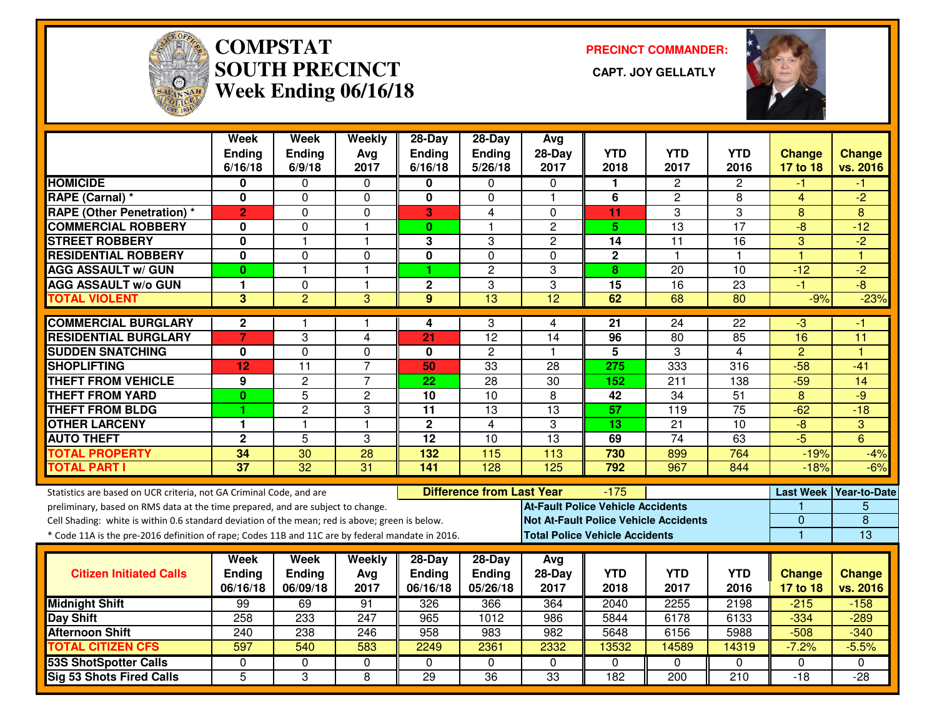

# **COMPSTAT PRECINCT COMMANDER: SOUTH PRECINCT CAPT. JOY GELLATLYWeek Ending 06/16/18**



|                                                                                                  | <b>Week</b><br><b>Ending</b> | <b>Week</b><br><b>Ending</b> | Weekly<br>Avg    | 28-Day<br><b>Ending</b>   | 28-Day<br>Ending                 | Avg<br>$28-Day$  | <b>YTD</b>                               | <b>YTD</b>                                   | <b>YTD</b>         | <b>Change</b>             | <b>Change</b>             |
|--------------------------------------------------------------------------------------------------|------------------------------|------------------------------|------------------|---------------------------|----------------------------------|------------------|------------------------------------------|----------------------------------------------|--------------------|---------------------------|---------------------------|
|                                                                                                  | 6/16/18                      | 6/9/18                       | 2017             | 6/16/18                   | 5/26/18                          | 2017             | 2018                                     | 2017                                         | 2016               | 17 to 18                  | vs. 2016                  |
| <b>HOMICIDE</b>                                                                                  | 0                            | 0                            | 0                | 0                         | 0                                | $\Omega$         | 1                                        | $\overline{2}$                               | $\overline{2}$     | -1                        | -1                        |
| RAPE (Carnal) *                                                                                  | $\mathbf{0}$                 | 0                            | $\mathbf 0$      | $\mathbf{0}$              | 0                                | $\overline{1}$   | 6                                        | $\overline{c}$                               | 8                  | $\overline{4}$            | $-2$                      |
| <b>RAPE (Other Penetration) *</b>                                                                | $\overline{2}$               | 0                            | 0                | 3                         | 4                                | $\Omega$         | 11                                       | 3                                            | 3                  | 8                         | 8                         |
| <b>COMMERCIAL ROBBERY</b>                                                                        | 0                            | 0                            | $\mathbf{1}$     | $\mathbf{0}$              | 1.                               | $\overline{2}$   | 5.                                       | 13                                           | $\overline{17}$    | $-8$                      | $-12$                     |
| <b>STREET ROBBERY</b>                                                                            | $\mathbf 0$                  | $\overline{1}$               | 1                | 3                         | 3                                | $\overline{c}$   | 14                                       | 11                                           | 16                 | 3                         | $-2$                      |
| <b>RESIDENTIAL ROBBERY</b>                                                                       | 0                            | 0                            | $\Omega$         | 0                         | $\Omega$                         | $\Omega$         | $\mathbf{2}$                             | $\mathbf{1}$                                 | 1                  | $\overline{1}$            | $\overline{1}$            |
| <b>AGG ASSAULT w/ GUN</b>                                                                        | $\bf{0}$                     | $\mathbf{1}$                 | $\mathbf{1}$     | 1                         | $\overline{c}$                   | 3                | 8                                        | 20                                           | 10                 | $-12$                     | $-2$                      |
| <b>AGG ASSAULT w/o GUN</b>                                                                       | 1                            | 0                            | $\mathbf{1}$     | $\mathbf 2$               | 3                                | 3                | 15                                       | $\overline{16}$                              | 23                 | $-1$                      | $-\frac{1}{\sqrt{2}}$     |
| <b>TOTAL VIOLENT</b>                                                                             | 3                            | $\overline{2}$               | $\overline{3}$   | 9                         | 13                               | $\overline{12}$  | 62                                       | 68                                           | 80                 | $-9%$                     | $-23%$                    |
| <b>COMMERCIAL BURGLARY</b>                                                                       | $\mathbf{2}$                 | 1                            | 1                | 4                         | 3                                | 4                | 21                                       | 24                                           | 22                 | لې.                       | -1                        |
| <b>RESIDENTIAL BURGLARY</b>                                                                      | 7                            | 3                            | 4                | 21                        | 12                               | 14               | 96                                       | 80                                           | 85                 | 16                        | 11                        |
| <b>SUDDEN SNATCHING</b>                                                                          | 0                            | $\Omega$                     | $\mathbf 0$      | $\mathbf{0}$              | $\overline{2}$                   |                  | $\overline{5}$                           | 3                                            | $\overline{4}$     | $\overline{2}$            | и                         |
| <b>SHOPLIFTING</b>                                                                               | 12                           | $\overline{11}$              | $\overline{7}$   | 50                        | 33                               | 28               | 275                                      | 333                                          | 316                | $-58$                     | $-41$                     |
| <b>THEFT FROM VEHICLE</b>                                                                        | 9                            | $\overline{2}$               | $\overline{7}$   | 22                        | $\overline{28}$                  | $\overline{30}$  | 152                                      | 211                                          | 138                | $-59$                     | 14                        |
| <b>THEFT FROM YARD</b>                                                                           | $\bf{0}$                     | $\overline{5}$               | $\overline{c}$   | 10                        | 10                               | 8                | 42                                       | 34                                           | 51                 | 8                         | $-9$                      |
| <b>THEFT FROM BLDG</b>                                                                           |                              | $\overline{c}$               | 3                | 11                        | 13                               | 13               | 57                                       | 119                                          | $\overline{75}$    | $-62$                     | $-18$                     |
| <b>OTHER LARCENY</b>                                                                             | 1                            | $\mathbf{1}$                 | $\mathbf{1}$     | $\mathbf{2}$              | $\overline{4}$                   | 3                | 13                                       | $\overline{21}$                              | 10                 | $-\frac{1}{\sqrt{2}}$     | 3                         |
| <b>AUTO THEFT</b>                                                                                | $\mathbf 2$                  | $\overline{5}$               | 3                | $\overline{12}$           | 10                               | $\overline{13}$  | 69                                       | 74                                           | 63                 | $-5$                      | $\overline{6}$            |
| <b>TOTAL PROPERTY</b>                                                                            | 34                           | 30                           | 28               | 132                       | 115                              | 113              | 730                                      | 899                                          | 764                | $-19%$                    | $-4%$                     |
| <b>TOTAL PART I</b>                                                                              | $\overline{37}$              | $\overline{32}$              | $\overline{31}$  | $\frac{141}{1}$           | $\overline{128}$                 | $\overline{125}$ | 792                                      | 967                                          | 844                | $-18%$                    | $-6%$                     |
| Statistics are based on UCR criteria, not GA Criminal Code, and are                              |                              |                              |                  |                           | <b>Difference from Last Year</b> |                  | $-175$                                   |                                              |                    | <b>Last Week</b>          | Year-to-Date              |
| preliminary, based on RMS data at the time prepared, and are subject to change.                  |                              |                              |                  |                           |                                  |                  | <b>At-Fault Police Vehicle Accidents</b> |                                              |                    |                           | 5                         |
| Cell Shading: white is within 0.6 standard deviation of the mean; red is above; green is below.  |                              |                              |                  |                           |                                  |                  |                                          | <b>Not At-Fault Police Vehicle Accidents</b> |                    | $\overline{0}$            | $\overline{8}$            |
| * Code 11A is the pre-2016 definition of rape; Codes 11B and 11C are by federal mandate in 2016. |                              |                              |                  |                           |                                  |                  | <b>Total Police Vehicle Accidents</b>    |                                              |                    | $\mathbf{1}$              | 13                        |
|                                                                                                  |                              |                              |                  |                           |                                  |                  |                                          |                                              |                    |                           |                           |
|                                                                                                  | Week                         | Week                         | Weekly           | 28-Day                    | $28-Day$                         | Avg              |                                          |                                              |                    |                           |                           |
| <b>Citizen Initiated Calls</b>                                                                   | <b>Ending</b><br>06/16/18    | <b>Ending</b><br>06/09/18    | Avg<br>2017      | <b>Ending</b><br>06/16/18 | Ending<br>05/26/18               | 28-Day<br>2017   | <b>YTD</b><br>2018                       | <b>YTD</b><br>2017                           | <b>YTD</b><br>2016 | <b>Change</b><br>17 to 18 | <b>Change</b><br>vs. 2016 |
|                                                                                                  |                              |                              |                  |                           |                                  |                  |                                          |                                              |                    |                           |                           |
| <b>Midnight Shift</b>                                                                            | 99<br>258                    | 69<br>233                    | 91<br>247        | 326<br>965                | 366<br>1012                      | 364<br>986       | 2040<br>5844                             | 2255<br>6178                                 | 2198<br>6133       | $-215$<br>$-334$          | $-158$<br>$-289$          |
| <b>Day Shift</b><br><b>Afternoon Shift</b>                                                       | 240                          | 238                          | 246              | 958                       | 983                              | 982              | 5648                                     | 6156                                         | 5988               | $-508$                    | $-340$                    |
| <b>TOTAL CITIZEN CFS</b>                                                                         | 597                          | 540                          | 583              | 2249                      | 2361                             | 2332             | 13532                                    | 14589                                        | 14319              | $-7.2%$                   | $-5.5%$                   |
|                                                                                                  |                              | 0                            |                  | $\Omega$                  | $\mathbf{0}$                     |                  | $\Omega$                                 | $\Omega$                                     | $\Omega$           |                           | $\Omega$                  |
| <b>53S ShotSpotter Calls</b>                                                                     | $\Omega$<br>$\overline{5}$   | 3                            | $\mathbf 0$<br>8 | 29                        | $\overline{36}$                  | $\Omega$<br>33   | 182                                      | 200                                          | 210                | $\mathbf{0}$<br>$-18$     | $-28$                     |
| <b>Sig 53 Shots Fired Calls</b>                                                                  |                              |                              |                  |                           |                                  |                  |                                          |                                              |                    |                           |                           |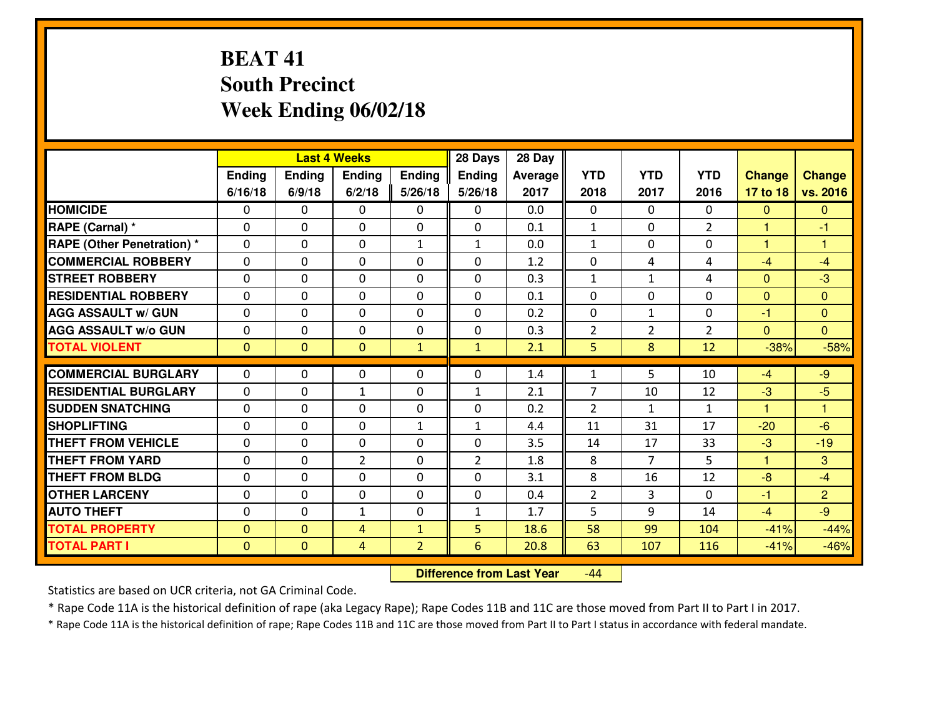# **BEAT 41 South PrecinctWeek Ending 06/02/18**

|                                   |              | <b>Last 4 Weeks</b><br>Ending<br>Ending<br><b>Ending</b><br>Ending |                  |                |                   | 28 Day  |                |                    |                |                |                      |
|-----------------------------------|--------------|--------------------------------------------------------------------|------------------|----------------|-------------------|---------|----------------|--------------------|----------------|----------------|----------------------|
|                                   |              |                                                                    |                  |                | <b>Ending</b>     | Average | <b>YTD</b>     | <b>YTD</b>         | <b>YTD</b>     | <b>Change</b>  | <b>Change</b>        |
|                                   | 6/16/18      | 6/9/18                                                             | 6/2/18           | 5/26/18        | 5/26/18           | 2017    | 2018           | 2017               | 2016           | 17 to 18       | vs. 2016             |
| <b>HOMICIDE</b>                   | $\Omega$     | 0                                                                  | $\Omega$         | 0              | $\Omega$          | 0.0     | 0              | $\Omega$           | 0              | $\Omega$       | $\mathbf{0}$         |
| RAPE (Carnal) *                   | $\Omega$     | 0                                                                  | $\mathbf{0}$     | $\Omega$       | $\Omega$          | 0.1     | $\mathbf{1}$   | $\Omega$           | $\overline{2}$ | $\mathbf{1}$   | -1                   |
| <b>RAPE (Other Penetration) *</b> | 0            | 0                                                                  | $\mathbf 0$      | $\mathbf{1}$   | $\mathbf{1}$      | 0.0     | $\mathbf{1}$   | 0                  | 0              | $\mathbf{1}$   | $\overline{1}$       |
| <b>COMMERCIAL ROBBERY</b>         | 0            | 0                                                                  | $\mathbf 0$      | 0              | 0                 | 1.2     | 0              | 4                  | 4              | $-4$           | $-4$                 |
| <b>STREET ROBBERY</b>             | 0            | 0                                                                  | $\mathbf 0$      | 0              | 0                 | 0.3     | $\mathbf{1}$   | $\mathbf{1}$       | 4              | $\mathbf{0}$   | $-3$                 |
| <b>RESIDENTIAL ROBBERY</b>        | 0            | 0                                                                  | $\mathbf 0$      | 0              | 0                 | 0.1     | 0              | 0                  | 0              | $\mathbf{0}$   | $\mathbf{0}$         |
| <b>AGG ASSAULT W/ GUN</b>         | 0            | 0                                                                  | $\mathbf 0$      | 0              | 0                 | 0.2     | 0              | $\mathbf{1}$       | 0              | $-1$           | $\overline{0}$       |
| <b>AGG ASSAULT W/o GUN</b>        | 0            | 0                                                                  | 0                | 0              | $\mathbf 0$       | 0.3     | $\overline{2}$ | $\overline{2}$     | $\overline{2}$ | $\mathbf{0}$   | $\overline{0}$       |
| <b>TOTAL VIOLENT</b>              | $\mathbf{0}$ | $\overline{0}$                                                     | $\mathbf{O}$     | $\mathbf{1}$   | $\mathbf{1}$      | 2.1     | 5              | 8                  | 12             | $-38%$         | $-58%$               |
| <b>COMMERCIAL BURGLARY</b>        | $\Omega$     | 0                                                                  | $\mathbf{0}$     | 0              | $\Omega$          | 1.4     | $\mathbf{1}$   | 5.                 | 10             | $-4$           | $-9$                 |
| <b>RESIDENTIAL BURGLARY</b>       | 0            | 0                                                                  |                  | 0              |                   | 2.1     | $\overline{7}$ |                    | 12             | $-3$           | $-5$                 |
| <b>SUDDEN SNATCHING</b>           | $\mathbf{0}$ | 0                                                                  | 1<br>$\mathbf 0$ | 0              | $\mathbf{1}$<br>0 | 0.2     | $\overline{2}$ | 10<br>$\mathbf{1}$ | $\mathbf{1}$   | $\overline{1}$ | $\blacktriangleleft$ |
| <b>SHOPLIFTING</b>                | 0            | 0                                                                  | $\mathbf 0$      | $\mathbf{1}$   | $\mathbf{1}$      | 4.4     | 11             | 31                 | 17             | $-20$          | $-6$                 |
| <b>THEFT FROM VEHICLE</b>         | 0            | 0                                                                  | $\mathbf 0$      | $\Omega$       | 0                 | 3.5     | 14             | 17                 | 33             | $-3$           | $-19$                |
| <b>THEFT FROM YARD</b>            | 0            | 0                                                                  | $\overline{2}$   | 0              | $\overline{2}$    | 1.8     | 8              | $\overline{7}$     | 5              | $\mathbf{1}$   | 3                    |
| <b>THEFT FROM BLDG</b>            | 0            | 0                                                                  | $\mathbf 0$      | $\mathbf{0}$   | 0                 | 3.1     | 8              | 16                 | 12             | $-8$           | $-4$                 |
| <b>OTHER LARCENY</b>              | 0            | 0                                                                  | $\mathbf 0$      | 0              | 0                 | 0.4     | $\overline{2}$ | 3                  | 0              | $-1$           | $\overline{2}$       |
| <b>AUTO THEFT</b>                 | 0            | 0                                                                  | $\mathbf{1}$     | 0              | $\mathbf{1}$      | 1.7     | 5              | 9                  | 14             | $-4$           | $-9$                 |
| <b>TOTAL PROPERTY</b>             | $\mathbf{0}$ | $\mathbf{0}$                                                       | 4                | $\mathbf{1}$   | 5                 | 18.6    | 58             | 99                 | 104            | $-41%$         | $-44%$               |
| <b>TOTAL PART I</b>               | $\mathbf 0$  | $\mathbf{0}$                                                       | $\overline{4}$   | $\overline{2}$ | 6                 | 20.8    | 63             | 107                | 116            | $-41%$         |                      |
|                                   |              |                                                                    |                  |                |                   |         |                |                    |                |                | $-46%$               |

 **Difference from Last Year**-44

Statistics are based on UCR criteria, not GA Criminal Code.

\* Rape Code 11A is the historical definition of rape (aka Legacy Rape); Rape Codes 11B and 11C are those moved from Part II to Part I in 2017.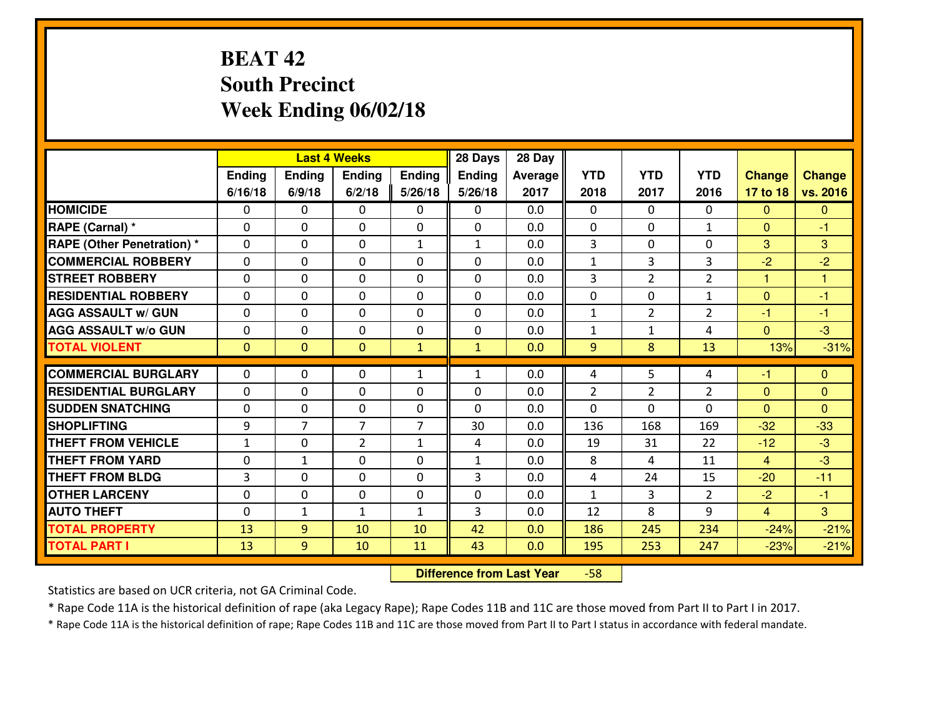# **BEAT 42 South PrecinctWeek Ending 06/02/18**

|                                              |              |                | <b>Last 4 Weeks</b> |                | 28 Days       | 28 Day     |                |                |                |                  |                  |
|----------------------------------------------|--------------|----------------|---------------------|----------------|---------------|------------|----------------|----------------|----------------|------------------|------------------|
|                                              | Ending       | Ending         | Ending              | <b>Ending</b>  | <b>Ending</b> | Average    | <b>YTD</b>     | <b>YTD</b>     | <b>YTD</b>     | <b>Change</b>    | <b>Change</b>    |
|                                              | 6/16/18      | 6/9/18         | 6/2/18              | 5/26/18        | 5/26/18       | 2017       | 2018           | 2017           | 2016           | 17 to 18         | vs. 2016         |
| <b>HOMICIDE</b>                              | $\Omega$     | 0              | 0                   | 0              | 0             | 0.0        | 0              | $\Omega$       | $\Omega$       | $\Omega$         | $\Omega$         |
| RAPE (Carnal) *                              | $\mathbf{0}$ | 0              | $\mathbf 0$         | 0              | 0             | 0.0        | $\mathbf{0}$   | $\mathbf{0}$   | $\mathbf{1}$   | $\Omega$         | $-1$             |
| <b>RAPE (Other Penetration) *</b>            | $\mathbf{0}$ | 0              | $\mathbf{0}$        | $\mathbf{1}$   | $\mathbf{1}$  | 0.0        | 3              | 0              | 0              | 3                | 3                |
| <b>COMMERCIAL ROBBERY</b>                    | $\mathbf{0}$ | 0              | 0                   | $\Omega$       | $\Omega$      | 0.0        | 1              | 3              | 3              | $-2$             | $-2$             |
| <b>STREET ROBBERY</b>                        | $\mathbf{0}$ | 0              | $\mathbf 0$         | 0              | $\Omega$      | 0.0        | 3              | $\overline{2}$ | $\overline{2}$ | 1                | 1                |
| <b>RESIDENTIAL ROBBERY</b>                   | $\Omega$     | 0              | $\mathbf 0$         | 0              | 0             | 0.0        | 0              | 0              | $\mathbf{1}$   | $\mathbf{0}$     | $-1$             |
| <b>AGG ASSAULT W/ GUN</b>                    | 0            | 0              | $\mathbf 0$         | 0              | 0             | 0.0        | $\mathbf{1}$   | $\overline{2}$ | $\overline{2}$ | $-1$             | $-1$             |
| <b>AGG ASSAULT W/o GUN</b>                   | 0            | 0              | $\mathbf 0$         | 0              | 0             | 0.0        | $\mathbf 1$    | $\mathbf{1}$   | 4              | $\mathbf{0}$     | $-3$             |
| <b>TOTAL VIOLENT</b>                         | $\mathbf{0}$ | $\overline{0}$ | $\mathbf{0}$        | $\mathbf{1}$   | $\mathbf{1}$  | 0.0        | 9              | 8              | 13             | 13%              | $-31%$           |
| <b>COMMERCIAL BURGLARY</b>                   |              |                |                     |                |               |            |                |                |                |                  |                  |
|                                              |              |                |                     |                |               |            |                |                |                |                  |                  |
|                                              | $\mathbf{0}$ | 0              | 0                   | $\mathbf{1}$   | 1             | 0.0        | 4              | 5              | 4              | -1               | $\mathbf{0}$     |
| <b>RESIDENTIAL BURGLARY</b>                  | $\Omega$     | 0              | $\mathbf{0}$        | $\Omega$       | $\Omega$      | 0.0        | $\overline{2}$ | 2              | $\overline{2}$ | $\mathbf{0}$     | $\mathbf{0}$     |
| <b>SUDDEN SNATCHING</b>                      | $\mathbf{0}$ | 0              | 0                   | 0              | $\Omega$      | 0.0        | $\Omega$       | 0              | $\Omega$       | $\Omega$         | $\Omega$         |
| <b>SHOPLIFTING</b>                           | 9            | $\overline{7}$ | $\overline{7}$      | $\overline{7}$ | 30            | 0.0        | 136            | 168            | 169            | $-32$            | $-33$            |
| <b>THEFT FROM VEHICLE</b>                    | $\mathbf{1}$ | 0              | $\overline{2}$      | $\mathbf{1}$   | 4             | 0.0        | 19             | 31             | 22             | $-12$            | $-3$             |
| <b>THEFT FROM YARD</b>                       | 0            | $\mathbf{1}$   | $\mathbf 0$         | 0              | $\mathbf{1}$  | 0.0        | 8              | 4              | 11             | $\overline{4}$   | $-3$             |
| <b>THEFT FROM BLDG</b>                       | 3            | 0              | $\mathbf 0$         | 0              | 3             | 0.0        | 4              | 24             | 15             | $-20$            | $-11$            |
| <b>OTHER LARCENY</b>                         | 0            | 0              | $\mathbf 0$         | 0              | 0             | 0.0        | $\mathbf{1}$   | 3              | $\overline{2}$ | $-2$             | $-1$             |
| <b>AUTO THEFT</b>                            | $\mathbf{0}$ | $\mathbf{1}$   | $\mathbf{1}$        | $\mathbf{1}$   | 3             | 0.0        | 12             | 8              | 9              | $\overline{4}$   | $\overline{3}$   |
| <b>TOTAL PROPERTY</b><br><b>TOTAL PART I</b> | 13<br>13     | 9<br>9         | 10<br>10            | 10<br>11       | 42<br>43      | 0.0<br>0.0 | 186<br>195     | 245<br>253     | 234<br>247     | $-24%$<br>$-23%$ | $-21%$<br>$-21%$ |

 **Difference from Last Year**-58

Statistics are based on UCR criteria, not GA Criminal Code.

\* Rape Code 11A is the historical definition of rape (aka Legacy Rape); Rape Codes 11B and 11C are those moved from Part II to Part I in 2017.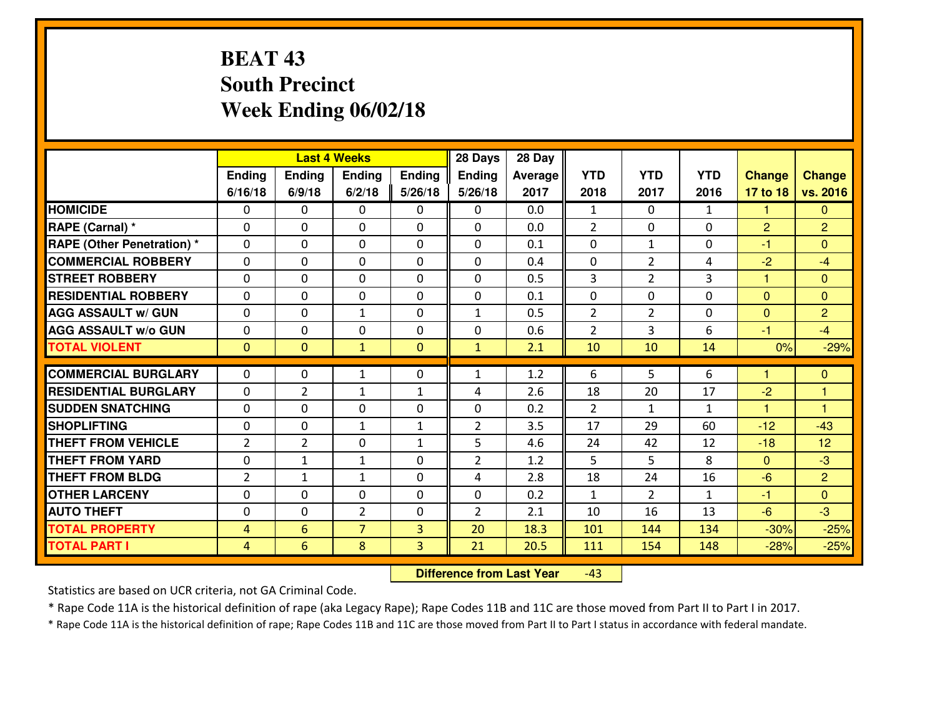# **BEAT 43 South PrecinctWeek Ending 06/02/18**

|                                  |                |                | <b>Last 4 Weeks</b> |                | 28 Days        | 28 Day  |                |                |              |                |                |
|----------------------------------|----------------|----------------|---------------------|----------------|----------------|---------|----------------|----------------|--------------|----------------|----------------|
|                                  | Ending         | Ending         | Ending              | <b>Ending</b>  | <b>Ending</b>  | Average | <b>YTD</b>     | <b>YTD</b>     | <b>YTD</b>   | <b>Change</b>  | <b>Change</b>  |
|                                  | 6/16/18        | 6/9/18         | 6/2/18              | 5/26/18        | 5/26/18        | 2017    | 2018           | 2017           | 2016         | 17 to 18       | vs. 2016       |
| <b>HOMICIDE</b>                  | 0              | 0              | 0                   | 0              | 0              | 0.0     | $\mathbf{1}$   | $\Omega$       | $\mathbf{1}$ | 1              | $\mathbf{0}$   |
| RAPE (Carnal) *                  | $\Omega$       | 0              | 0                   | $\Omega$       | 0              | 0.0     | $\overline{2}$ | $\Omega$       | 0            | $\overline{2}$ | $\overline{2}$ |
| <b>RAPE (Other Penetration)*</b> | $\Omega$       | $\Omega$       | $\mathbf 0$         | $\Omega$       | $\Omega$       | 0.1     | $\Omega$       | $\mathbf{1}$   | $\Omega$     | $-1$           | $\Omega$       |
| <b>COMMERCIAL ROBBERY</b>        | $\Omega$       | $\Omega$       | $\mathbf 0$         | $\Omega$       | $\Omega$       | 0.4     | $\Omega$       | $\overline{2}$ | 4            | $-2$           | $-4$           |
| <b>ISTREET ROBBERY</b>           | $\mathbf{0}$   | 0              | $\mathbf{0}$        | 0              | $\Omega$       | 0.5     | 3              | $\overline{2}$ | 3            | 1              | $\mathbf{0}$   |
| <b>RESIDENTIAL ROBBERY</b>       | 0              | 0              | $\mathbf 0$         | 0              | 0              | 0.1     | 0              | 0              | 0            | $\mathbf{0}$   | $\overline{0}$ |
| <b>AGG ASSAULT W/ GUN</b>        | 0              | 0              | $\mathbf{1}$        | 0              | $\mathbf{1}$   | 0.5     | $\overline{2}$ | $\overline{2}$ | 0            | $\overline{0}$ | $\overline{2}$ |
| <b>AGG ASSAULT W/o GUN</b>       | 0              | 0              | $\mathbf 0$         | 0              | 0              | 0.6     | $\overline{2}$ | 3              | 6            | $-1$           | $-4$           |
| <b>TOTAL VIOLENT</b>             | $\mathbf{0}$   | $\overline{0}$ | $\mathbf{1}$        | $\mathbf{0}$   | $\mathbf{1}$   | 2.1     | 10             | 10             | 14           | 0%             | $-29%$         |
| <b>COMMERCIAL BURGLARY</b>       | $\Omega$       | 0              |                     | 0              | $\mathbf{1}$   | 1.2     | 6              | 5              | 6            | 1              | $\mathbf{0}$   |
|                                  |                |                | 1                   |                |                |         |                |                |              |                |                |
| <b>RESIDENTIAL BURGLARY</b>      | $\Omega$       | $\overline{2}$ | 1                   | $\mathbf{1}$   | 4              | 2.6     | 18             | 20             | 17           | $-2$           | 1              |
| <b>SUDDEN SNATCHING</b>          | 0              | $\Omega$       | $\mathbf 0$         | $\Omega$       | 0              | 0.2     | $\overline{2}$ | $\mathbf{1}$   | $\mathbf{1}$ | $\mathbf{1}$   | $\overline{1}$ |
| <b>SHOPLIFTING</b>               | 0              | 0              | $\mathbf{1}$        | $\mathbf{1}$   | $\overline{2}$ | 3.5     | 17             | 29             | 60           | $-12$          | $-43$          |
| <b>THEFT FROM VEHICLE</b>        | 2              | $\overline{2}$ | $\mathbf 0$         | $\mathbf{1}$   | 5              | 4.6     | 24             | 42             | 12           | $-18$          | 12             |
| <b>THEFT FROM YARD</b>           | 0              | $\mathbf{1}$   | $\mathbf{1}$        | 0              | $\overline{2}$ | 1.2     | 5              | 5              | 8            | $\mathbf{0}$   | $-3$           |
| <b>THEFT FROM BLDG</b>           | $\overline{2}$ | $\mathbf{1}$   | 1                   | $\mathbf{0}$   | 4              | 2.8     | 18             | 24             | 16           | $-6$           | $\overline{2}$ |
| <b>OTHER LARCENY</b>             | 0              | 0              | $\mathbf 0$         | 0              | 0              | 0.2     | $\mathbf{1}$   | $\overline{2}$ | $\mathbf{1}$ | $-1$           | $\overline{0}$ |
| <b>AUTO THEFT</b>                | 0              | 0              | $\overline{2}$      | $\mathbf{0}$   | $\overline{2}$ | 2.1     | 10             | 16             | 13           | $-6$           | $-3$           |
| <b>TOTAL PROPERTY</b>            | 4              | 6              | $\overline{7}$      | $\overline{3}$ | 20             | 18.3    | 101            | 144            | 134          | $-30%$         | $-25%$         |
| <b>TOTAL PART I</b>              | $\overline{4}$ | 6              | 8                   | 3              | 21             | 20.5    | <u>111</u>     | 154            | 148          | $-28%$         | $-25%$         |

 **Difference from Last Year**-43

Statistics are based on UCR criteria, not GA Criminal Code.

\* Rape Code 11A is the historical definition of rape (aka Legacy Rape); Rape Codes 11B and 11C are those moved from Part II to Part I in 2017.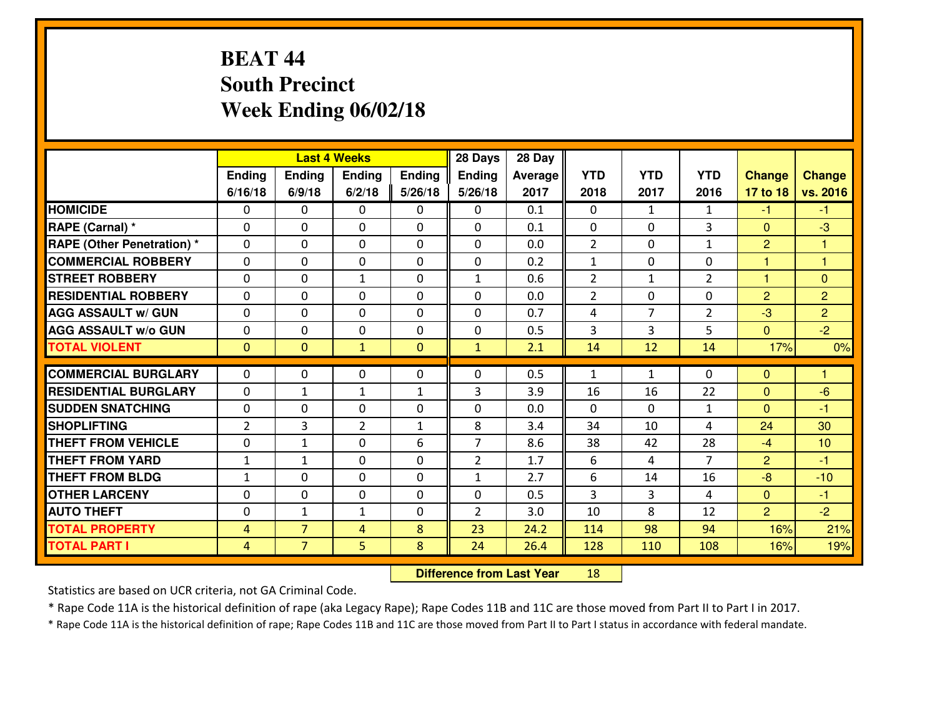# **BEAT 44 South PrecinctWeek Ending 06/02/18**

|                                   |                |                | <b>Last 4 Weeks</b> |                | 28 Days        | 28 Day  |                |                |                |                |                |
|-----------------------------------|----------------|----------------|---------------------|----------------|----------------|---------|----------------|----------------|----------------|----------------|----------------|
|                                   | Ending         | <b>Ending</b>  | <b>Ending</b>       | <b>Ending</b>  | <b>Ending</b>  | Average | <b>YTD</b>     | <b>YTD</b>     | <b>YTD</b>     | <b>Change</b>  | Change         |
|                                   | 6/16/18        | 6/9/18         | 6/2/18              | 5/26/18        | 5/26/18        | 2017    | 2018           | 2017           | 2016           | 17 to 18       | vs. 2016       |
| <b>HOMICIDE</b>                   | $\Omega$       | 0              | 0                   | 0              | 0              | 0.1     | $\Omega$       | $\mathbf{1}$   | $\mathbf{1}$   | $-1$           | -1.            |
| RAPE (Carnal) *                   | 0              | 0              | $\mathbf{0}$        | 0              | 0              | 0.1     | $\mathbf{0}$   | 0              | 3              | $\mathbf{0}$   | $-3$           |
| <b>RAPE (Other Penetration) *</b> | $\Omega$       | 0              | $\mathbf{0}$        | 0              | 0              | 0.0     | $\overline{2}$ | $\Omega$       | $\mathbf{1}$   | $\overline{2}$ | 1              |
| <b>COMMERCIAL ROBBERY</b>         | 0              | 0              | 0                   | $\Omega$       | $\Omega$       | 0.2     | $\mathbf{1}$   | $\mathbf{0}$   | $\Omega$       | 1              | 1              |
| <b>STREET ROBBERY</b>             | $\Omega$       | 0              | $\mathbf{1}$        | $\Omega$       | $\mathbf{1}$   | 0.6     | 2              | $\mathbf{1}$   | $\overline{2}$ | 1              | $\mathbf{0}$   |
| <b>RESIDENTIAL ROBBERY</b>        | $\Omega$       | 0              | $\mathbf 0$         | $\Omega$       | 0              | 0.0     | $\overline{2}$ | $\Omega$       | 0              | $\overline{2}$ | $\overline{2}$ |
| <b>AGG ASSAULT W/ GUN</b>         | $\Omega$       | 0              | $\mathbf 0$         | 0              | 0              | 0.7     | 4              | $\overline{7}$ | $\overline{2}$ | $-3$           | $\overline{2}$ |
| <b>AGG ASSAULT W/o GUN</b>        | 0              | 0              | $\mathbf 0$         | 0              | $\mathbf 0$    | 0.5     | 3              | $\overline{3}$ | 5              | $\overline{0}$ | $-2$           |
| <b>TOTAL VIOLENT</b>              | $\mathbf{0}$   | $\overline{0}$ | $\mathbf{1}$        | $\overline{0}$ | $\mathbf{1}$   | 2.1     | 14             | 12             | 14             | 17%            | 0%             |
| <b>COMMERCIAL BURGLARY</b>        | $\Omega$       | 0              | $\mathbf{0}$        | 0              | $\Omega$       | 0.5     | 1              | $\mathbf{1}$   | $\Omega$       | $\mathbf 0$    | 1              |
| <b>RESIDENTIAL BURGLARY</b>       |                |                |                     |                |                |         |                |                | 22             |                | $-6$           |
|                                   | $\Omega$       | $\mathbf{1}$   | $\mathbf{1}$        | $\mathbf{1}$   | 3              | 3.9     | 16             | 16             |                | $\mathbf{0}$   |                |
| <b>SUDDEN SNATCHING</b>           | 0              | 0              | $\mathbf 0$         | 0              | 0              | 0.0     | $\Omega$       | $\Omega$       | $\mathbf{1}$   | $\mathbf{0}$   | -1             |
| <b>SHOPLIFTING</b>                | $\overline{2}$ | 3              | $\overline{2}$      | $\mathbf{1}$   | 8              | 3.4     | 34             | 10             | 4              | 24             | 30             |
| <b>THEFT FROM VEHICLE</b>         | $\Omega$       | 1              | $\mathbf 0$         | 6              | $\overline{7}$ | 8.6     | 38             | 42             | 28             | $-4$           | 10             |
| <b>THEFT FROM YARD</b>            | $\mathbf{1}$   | 1              | $\mathbf 0$         | $\Omega$       | $\overline{2}$ | 1.7     | 6              | 4              | $\overline{7}$ | $\overline{2}$ | $-1$           |
| <b>THEFT FROM BLDG</b>            | $\mathbf{1}$   | 0              | $\mathbf 0$         | 0              | $\mathbf{1}$   | 2.7     | 6              | 14             | 16             | $-8$           | $-10$          |
| <b>OTHER LARCENY</b>              | $\mathbf 0$    | 0              | $\mathbf 0$         | 0              | 0              | 0.5     | 3              | $\overline{3}$ | 4              | $\overline{0}$ | $-1$           |
| <b>AUTO THEFT</b>                 | 0              | 1              | 1                   | 0              | $\overline{2}$ | 3.0     | 10             | 8              | 12             | $\overline{2}$ | $-2$           |
| <b>TOTAL PROPERTY</b>             | $\overline{4}$ | $\overline{7}$ | 4                   | 8              | 23             | 24.2    | 114            | 98             | 94             | 16%            | 21%            |
| <b>TOTAL PART I</b>               | $\overline{4}$ | $\overline{7}$ | 5                   | 8              | 24             | 26.4    | 128            | 110            | 108            | 16%            | 19%            |

 **Difference from Last Year**<sup>18</sup>

Statistics are based on UCR criteria, not GA Criminal Code.

\* Rape Code 11A is the historical definition of rape (aka Legacy Rape); Rape Codes 11B and 11C are those moved from Part II to Part I in 2017.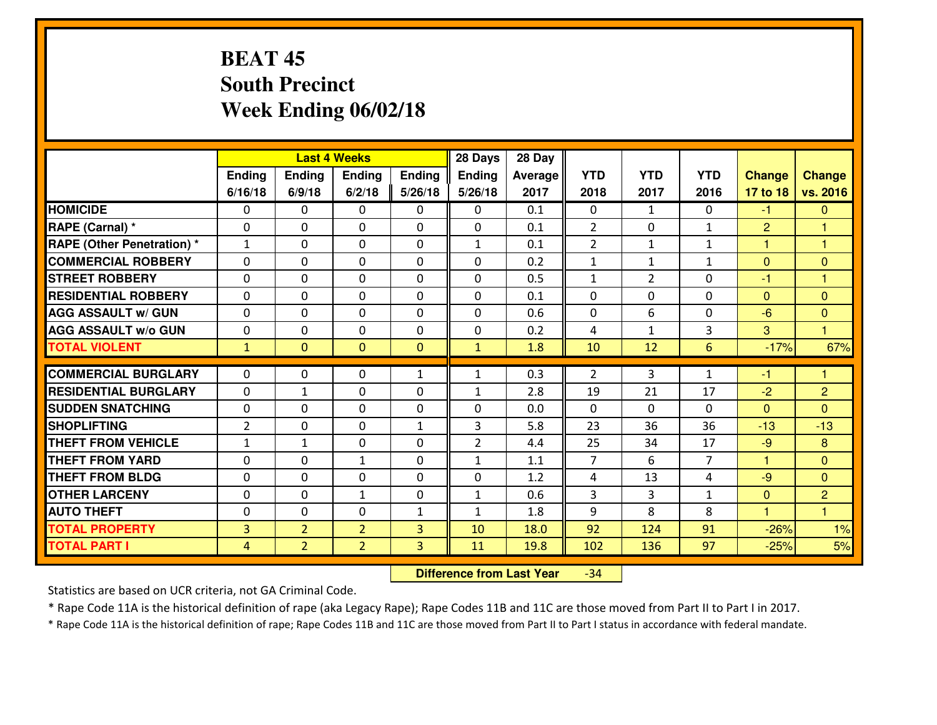# **BEAT 45 South PrecinctWeek Ending 06/02/18**

|                                  |                |                | <b>Last 4 Weeks</b> |              | 28 Days        | 28 Day  |                |                |                |                |                         |
|----------------------------------|----------------|----------------|---------------------|--------------|----------------|---------|----------------|----------------|----------------|----------------|-------------------------|
|                                  | Ending         | Ending         | Ending              | Ending       | <b>Ending</b>  | Average | <b>YTD</b>     | <b>YTD</b>     | <b>YTD</b>     | <b>Change</b>  | <b>Change</b>           |
|                                  | 6/16/18        | 6/9/18         | 6/2/18              | 5/26/18      | 5/26/18        | 2017    | 2018           | 2017           | 2016           | 17 to 18       | vs. 2016                |
| <b>HOMICIDE</b>                  | 0              | 0              | 0                   | 0            | 0              | 0.1     | 0              | $\mathbf{1}$   | 0              | $-1$           | $\mathbf{0}$            |
| RAPE (Carnal) *                  | $\mathbf{0}$   | 0              | 0                   | 0            | 0              | 0.1     | $\overline{2}$ | $\mathbf{0}$   | $\mathbf{1}$   | $\overline{2}$ | 1                       |
| <b>RAPE (Other Penetration)*</b> | $\mathbf{1}$   | $\Omega$       | $\mathbf 0$         | $\Omega$     | $\mathbf{1}$   | 0.1     | $\overline{2}$ | $\mathbf{1}$   | $\mathbf{1}$   | 1              | $\overline{\mathbf{1}}$ |
| <b>COMMERCIAL ROBBERY</b>        | $\Omega$       | $\Omega$       | $\mathbf 0$         | $\Omega$     | 0              | 0.2     | 1              | $\mathbf{1}$   | $\mathbf{1}$   | $\mathbf{0}$   | $\mathbf{0}$            |
| <b>ISTREET ROBBERY</b>           | $\mathbf{0}$   | 0              | $\mathbf{0}$        | 0            | $\Omega$       | 0.5     | $\mathbf{1}$   | $\overline{2}$ | 0              | $-1$           | 1                       |
| <b>RESIDENTIAL ROBBERY</b>       | 0              | 0              | $\mathbf 0$         | 0            | 0              | 0.1     | 0              | 0              | 0              | $\mathbf{0}$   | $\mathbf{0}$            |
| <b>AGG ASSAULT W/ GUN</b>        | 0              | 0              | $\mathbf 0$         | 0            | 0              | 0.6     | 0              | 6              | 0              | $-6$           | $\overline{0}$          |
| <b>AGG ASSAULT W/o GUN</b>       | 0              | 0              | $\mathbf 0$         | 0            | 0              | 0.2     | 4              | $\mathbf{1}$   | 3              | 3              | $\overline{1}$          |
| <b>TOTAL VIOLENT</b>             | $\mathbf{1}$   | $\overline{0}$ | $\overline{0}$      | $\mathbf{0}$ | $\mathbf{1}$   | 1.8     | 10             | 12             | 6              | $-17%$         | 67%                     |
| <b>COMMERCIAL BURGLARY</b>       | $\Omega$       | 0              | $\mathbf{0}$        | $\mathbf{1}$ | 1              | 0.3     | $\overline{2}$ | 3              | $\mathbf{1}$   | -1             | 1                       |
| <b>RESIDENTIAL BURGLARY</b>      | $\Omega$       | $\mathbf{1}$   | $\mathbf 0$         | 0            | 1              | 2.8     | 19             | 21             | 17             | $-2$           | $\overline{2}$          |
| <b>SUDDEN SNATCHING</b>          | 0              | 0              | $\mathbf 0$         | 0            | 0              | 0.0     | $\Omega$       | $\Omega$       | $\Omega$       | $\overline{0}$ | $\Omega$                |
| <b>SHOPLIFTING</b>               | $\overline{2}$ | 0              | $\mathbf 0$         | $\mathbf{1}$ | 3              | 5.8     | 23             | 36             | 36             | $-13$          | $-13$                   |
| <b>THEFT FROM VEHICLE</b>        | $\mathbf{1}$   | $\mathbf{1}$   | $\mathbf 0$         | 0            | $\overline{2}$ | 4.4     | 25             | 34             | 17             | $-9$           | 8                       |
| <b>THEFT FROM YARD</b>           | 0              | 0              | $\mathbf{1}$        | 0            | $\mathbf{1}$   | 1.1     | $\overline{7}$ | 6              | $\overline{7}$ | $\mathbf{1}$   | $\overline{0}$          |
| <b>THEFT FROM BLDG</b>           | $\mathbf{0}$   | 0              | 0                   | 0            | 0              | 1.2     | 4              | 13             | 4              | $-9$           | $\mathbf{0}$            |
| <b>OTHER LARCENY</b>             | 0              | 0              | 1                   | 0            | $\mathbf{1}$   | 0.6     | 3              | 3              | $\mathbf{1}$   | $\mathbf{0}$   | $\overline{2}$          |
| <b>AUTO THEFT</b>                | 0              | 0              | 0                   | $\mathbf{1}$ | 1              | 1.8     | 9              | 8              | 8              | $\mathbf{1}$   | $\overline{1}$          |
| <b>TOTAL PROPERTY</b>            | $\overline{3}$ | $\overline{2}$ | $\overline{2}$      | 3            | 10             | 18.0    | 92             | 124            | 91             | $-26%$         | 1%                      |
| <b>TOTAL PART I</b>              | $\overline{4}$ | $\overline{2}$ | $\overline{2}$      | 3            | 11             | 19.8    | 102            | 136            | 97             | $-25%$         | 5%                      |

 **Difference from Last Year**-34

Statistics are based on UCR criteria, not GA Criminal Code.

\* Rape Code 11A is the historical definition of rape (aka Legacy Rape); Rape Codes 11B and 11C are those moved from Part II to Part I in 2017.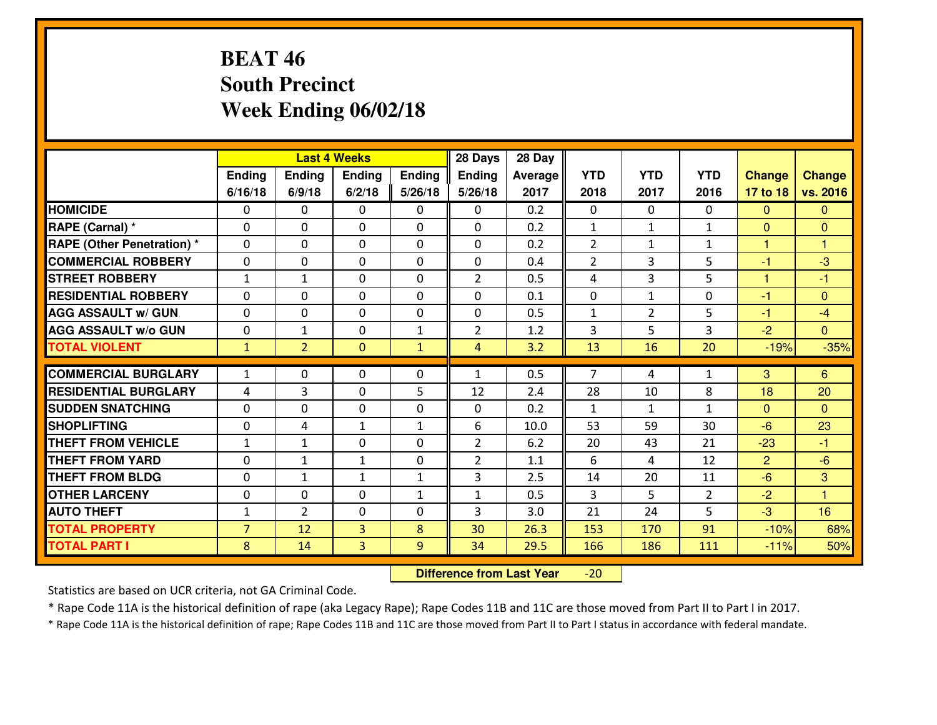# **BEAT 46 South PrecinctWeek Ending 06/02/18**

|                             |                |                | <b>Last 4 Weeks</b> |              | 28 Days        | 28 Day  |                |                |                |                |                |
|-----------------------------|----------------|----------------|---------------------|--------------|----------------|---------|----------------|----------------|----------------|----------------|----------------|
|                             | Ending         | Ending         | <b>Ending</b>       | Ending       | <b>Ending</b>  | Average | <b>YTD</b>     | <b>YTD</b>     | <b>YTD</b>     | <b>Change</b>  | <b>Change</b>  |
|                             | 6/16/18        | 6/9/18         | 6/2/18              | 5/26/18      | 5/26/18        | 2017    | 2018           | 2017           | 2016           | 17 to 18       | vs. 2016       |
| <b>HOMICIDE</b>             | 0              | 0              | $\mathbf{0}$        | 0            | 0              | 0.2     | $\mathbf{0}$   | $\Omega$       | 0              | $\mathbf{0}$   | $\mathbf{0}$   |
| RAPE (Carnal) *             | $\mathbf{0}$   | 0              | $\mathbf{0}$        | 0            | $\Omega$       | 0.2     | 1              | $\mathbf{1}$   | $\mathbf{1}$   | $\mathbf{0}$   | $\mathbf{0}$   |
| RAPE (Other Penetration) *  | $\Omega$       | 0              | $\mathbf{0}$        | $\Omega$     | $\Omega$       | 0.2     | 2              | $\mathbf{1}$   | $\mathbf{1}$   | 1              | 1              |
| <b>COMMERCIAL ROBBERY</b>   | $\mathbf{0}$   | 0              | $\mathbf{0}$        | 0            | $\Omega$       | 0.4     | $\overline{2}$ | 3              | 5              | $-1$           | $-3$           |
| <b>STREET ROBBERY</b>       | $\mathbf{1}$   | $\mathbf{1}$   | $\mathbf 0$         | 0            | $\overline{2}$ | 0.5     | 4              | 3              | 5              | 1              | $-1$           |
| <b>RESIDENTIAL ROBBERY</b>  | 0              | 0              | $\mathbf 0$         | 0            | 0              | 0.1     | 0              | $\mathbf{1}$   | 0              | $-1$           | $\mathbf{0}$   |
| <b>AGG ASSAULT W/ GUN</b>   | 0              | 0              | $\mathbf 0$         | 0            | 0              | 0.5     | $\mathbf{1}$   | $\overline{2}$ | 5              | $-1$           | $-4$           |
| <b>AGG ASSAULT W/o GUN</b>  | 0              | $\mathbf{1}$   | $\mathbf 0$         | $\mathbf{1}$ | $\overline{2}$ | 1.2     | 3              | 5              | 3              | $-2$           | $\overline{0}$ |
| <b>TOTAL VIOLENT</b>        | $\mathbf{1}$   | $\overline{2}$ | $\mathbf{0}$        | $\mathbf{1}$ | $\overline{4}$ | 3.2     | 13             | 16             | 20             | $-19%$         | $-35%$         |
| <b>COMMERCIAL BURGLARY</b>  | $\mathbf{1}$   | 0              |                     | 0            | $\mathbf{1}$   | 0.5     | $\overline{7}$ | 4              | $\mathbf{1}$   | 3              | 6              |
|                             |                |                | 0                   |              |                |         |                |                |                |                |                |
| <b>RESIDENTIAL BURGLARY</b> | 4              | 3              | $\mathbf 0$         | 5            | 12             | 2.4     | 28             | 10             | 8              | 18             | 20             |
| <b>SUDDEN SNATCHING</b>     | $\mathbf{0}$   | 0              | $\mathbf{0}$        | 0            | $\Omega$       | 0.2     | $\mathbf{1}$   | $\mathbf{1}$   | $\mathbf{1}$   | $\Omega$       | $\mathbf{0}$   |
| <b>SHOPLIFTING</b>          | 0              | 4              | 1                   | $\mathbf{1}$ | 6              | 10.0    | 53             | 59             | 30             | $-6$           | 23             |
| <b>THEFT FROM VEHICLE</b>   | $\mathbf{1}$   | $\mathbf{1}$   | $\mathbf{0}$        | 0            | $\overline{2}$ | 6.2     | 20             | 43             | 21             | $-23$          | $-1$           |
| <b>THEFT FROM YARD</b>      | 0              | 1              | $\mathbf{1}$        | 0            | $\overline{2}$ | 1.1     | 6              | 4              | 12             | $\overline{2}$ | $-6$           |
| <b>THEFT FROM BLDG</b>      | 0              | $\mathbf{1}$   | 1                   | $\mathbf{1}$ | 3              | 2.5     | 14             | 20             | 11             | $-6$           | 3              |
| <b>OTHER LARCENY</b>        | 0              | 0              | $\mathbf 0$         | $\mathbf{1}$ | $\mathbf{1}$   | 0.5     | 3              | 5              | $\overline{2}$ | $-2$           | $\overline{1}$ |
| <b>AUTO THEFT</b>           | $\mathbf{1}$   | $\overline{2}$ | $\mathbf 0$         | 0            | 3              | 3.0     | 21             | 24             | 5              | $-3$           | 16             |
| <b>TOTAL PROPERTY</b>       | $\overline{7}$ | 12             | 3                   | 8            | 30             | 26.3    | 153            | 170            | 91             | $-10%$         | 68%            |
| <b>TOTAL PART I</b>         | 8              | 14             | 3                   | 9            | 34             | 29.5    | 166            | 186            | 111            | $-11%$         | 50%            |

 **Difference from Last Year**-20

Statistics are based on UCR criteria, not GA Criminal Code.

\* Rape Code 11A is the historical definition of rape (aka Legacy Rape); Rape Codes 11B and 11C are those moved from Part II to Part I in 2017.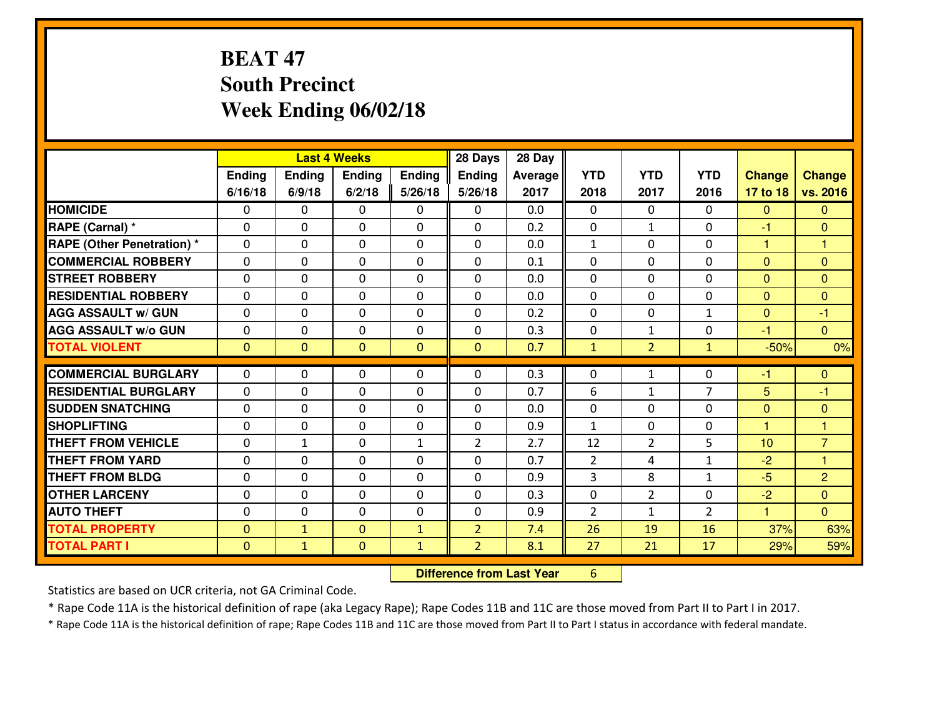# **BEAT 47 South PrecinctWeek Ending 06/02/18**

|                                   |              |                | <b>Last 4 Weeks</b> |                | 28 Days        | 28 Day  |                |                |                |               |                |
|-----------------------------------|--------------|----------------|---------------------|----------------|----------------|---------|----------------|----------------|----------------|---------------|----------------|
|                                   | Ending       | <b>Ending</b>  | <b>Ending</b>       | <b>Ending</b>  | <b>Ending</b>  | Average | <b>YTD</b>     | <b>YTD</b>     | <b>YTD</b>     | <b>Change</b> | <b>Change</b>  |
|                                   | 6/16/18      | 6/9/18         | 6/2/18              | 5/26/18        | 5/26/18        | 2017    | 2018           | 2017           | 2016           | 17 to 18      | vs. 2016       |
| <b>HOMICIDE</b>                   | $\mathbf{0}$ | 0              | $\mathbf{0}$        | 0              | $\mathbf{0}$   | 0.0     | $\Omega$       | $\Omega$       | $\Omega$       | $\mathbf{0}$  | $\mathbf{0}$   |
| RAPE (Carnal) *                   | $\Omega$     | 0              | $\mathbf 0$         | $\Omega$       | 0              | 0.2     | $\mathbf{0}$   | $\mathbf{1}$   | $\Omega$       | $-1$          | $\mathbf{0}$   |
| <b>RAPE (Other Penetration) *</b> | $\Omega$     | 0              | $\mathbf 0$         | $\Omega$       | 0              | 0.0     | $\mathbf{1}$   | $\Omega$       | $\Omega$       | 1             | 1              |
| <b>COMMERCIAL ROBBERY</b>         | 0            | 0              | $\mathbf 0$         | 0              | 0              | 0.1     | 0              | 0              | 0              | $\mathbf{0}$  | $\mathbf{0}$   |
| <b>STREET ROBBERY</b>             | $\Omega$     | 0              | $\mathbf{0}$        | $\Omega$       | $\Omega$       | 0.0     | $\Omega$       | $\Omega$       | $\Omega$       | $\mathbf{0}$  | $\mathbf{0}$   |
| <b>RESIDENTIAL ROBBERY</b>        | $\Omega$     | 0              | $\mathbf{0}$        | $\Omega$       | $\Omega$       | 0.0     | $\Omega$       | $\Omega$       | $\Omega$       | $\mathbf{0}$  | $\Omega$       |
| <b>AGG ASSAULT w/ GUN</b>         | $\Omega$     | $\Omega$       | $\mathbf 0$         | $\Omega$       | 0              | 0.2     | $\Omega$       | $\Omega$       | $\mathbf{1}$   | $\mathbf{0}$  | $-1$           |
| <b>AGG ASSAULT W/o GUN</b>        | 0            | 0              | $\mathbf 0$         | $\Omega$       | 0              | 0.3     | $\mathbf 0$    | $\mathbf{1}$   | 0              | $-1$          | $\overline{0}$ |
| <b>TOTAL VIOLENT</b>              | $\mathbf{0}$ | $\overline{0}$ | $\mathbf{0}$        | $\overline{0}$ | $\mathbf{0}$   | 0.7     | $\mathbf{1}$   | 2 <sup>1</sup> | $\mathbf{1}$   | $-50%$        | 0%             |
| <b>COMMERCIAL BURGLARY</b>        | $\Omega$     |                |                     |                |                |         |                |                |                |               |                |
|                                   |              | 0              | $\mathbf{0}$        | 0              | 0              | 0.3     | $\mathbf{0}$   | $\mathbf{1}$   | $\Omega$       | $-1$          | $\mathbf{0}$   |
| <b>RESIDENTIAL BURGLARY</b>       | 0            | 0              | $\mathbf 0$         | 0              | 0              | 0.7     | 6              | $\mathbf 1$    | $\overline{7}$ | 5             | -1             |
| <b>SUDDEN SNATCHING</b>           | 0            | 0              | $\mathbf 0$         | 0              | 0              | 0.0     | 0              | 0              | 0              | $\mathbf{0}$  | $\mathbf{0}$   |
| <b>SHOPLIFTING</b>                | $\Omega$     | 0              | $\mathbf 0$         | 0              | 0              | 0.9     | $\mathbf{1}$   | 0              | $\Omega$       | 1             | 1              |
| <b>THEFT FROM VEHICLE</b>         | $\Omega$     | 1              | $\mathbf{0}$        | $\mathbf{1}$   | $\overline{2}$ | 2.7     | 12             | $\overline{2}$ | 5              | 10            | $\overline{7}$ |
| <b>THEFT FROM YARD</b>            | $\Omega$     | $\Omega$       | $\mathbf 0$         | $\Omega$       | $\Omega$       | 0.7     | 2              | 4              | $\mathbf{1}$   | $-2$          | $\overline{1}$ |
| <b>THEFT FROM BLDG</b>            | $\mathbf{0}$ | 0              | 0                   | 0              | 0              | 0.9     | 3              | 8              | $\mathbf{1}$   | $-5$          | $\overline{2}$ |
| <b>OTHER LARCENY</b>              | 0            | 0              | $\mathbf 0$         | 0              | 0              | 0.3     | 0              | $\overline{2}$ | 0              | $-2$          | $\overline{0}$ |
| <b>AUTO THEFT</b>                 | 0            | 0              | $\mathbf 0$         | 0              | 0              | 0.9     | $\overline{2}$ | $\mathbf{1}$   | $\overline{2}$ | $\mathbf{1}$  | $\overline{0}$ |
| <b>TOTAL PROPERTY</b>             | $\mathbf{0}$ | $\mathbf{1}$   | $\overline{0}$      | $\mathbf{1}$   | $\overline{2}$ | 7.4     | 26             | 19             | 16             | 37%           | 63%            |
| <b>TOTAL PART I</b>               | $\mathbf{0}$ | $\mathbf{1}$   | $\mathbf{0}$        | $\mathbf{1}$   | $\overline{2}$ | 8.1     | 27             | 21             | 17             | 29%           | 59%            |

 **Difference from Last Year**<sup>6</sup>

Statistics are based on UCR criteria, not GA Criminal Code.

\* Rape Code 11A is the historical definition of rape (aka Legacy Rape); Rape Codes 11B and 11C are those moved from Part II to Part I in 2017.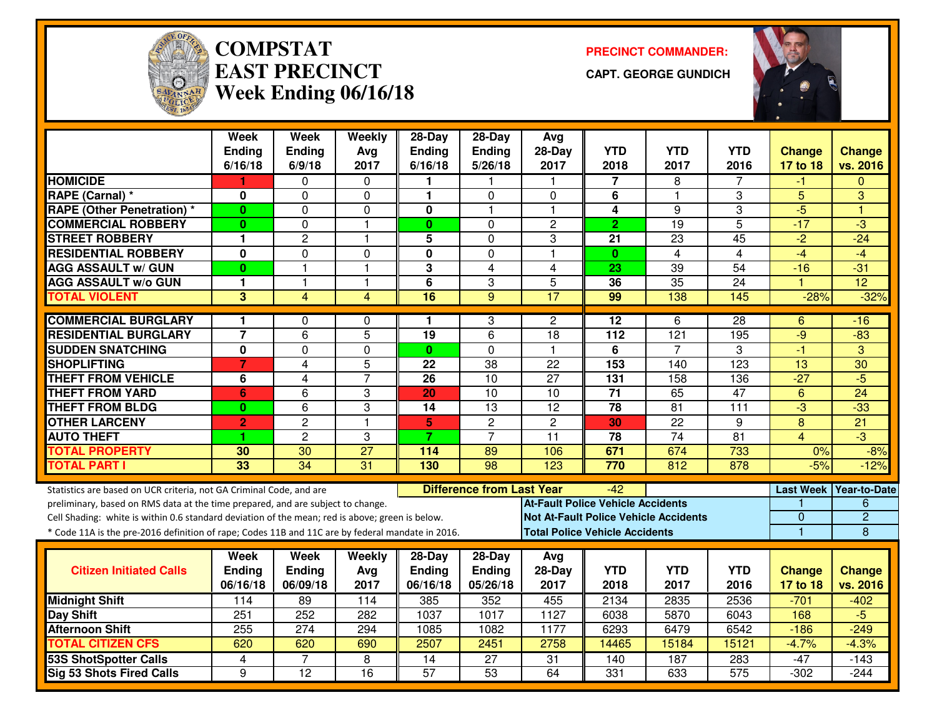

#### **COMPSTATEAST PRECINCTWeek Ending 06/16/18**

**PRECINCT COMMANDER:**

**CAPT. GEORGE GUNDICH**



|                                                                                                  | <b>Week</b><br>Ending   | <b>Week</b><br><b>Ending</b> | Weekly<br>Avg   | 28-Day<br><b>Ending</b> | $28-Dav$<br>Ending               | Avg<br>$28-Day$                              | <b>YTD</b>       | <b>YTD</b>       | <b>YTD</b>       | <b>Change</b>  | <b>Change</b>            |
|--------------------------------------------------------------------------------------------------|-------------------------|------------------------------|-----------------|-------------------------|----------------------------------|----------------------------------------------|------------------|------------------|------------------|----------------|--------------------------|
|                                                                                                  | 6/16/18                 | 6/9/18                       | 2017            | 6/16/18                 | 5/26/18                          | 2017                                         | 2018             | 2017             | 2016             | 17 to 18       | vs. 2016                 |
| <b>HOMICIDE</b>                                                                                  | 1                       | 0                            | $\Omega$        | 1                       |                                  | -1                                           | 7                | 8                | 7                | -1             | $\Omega$                 |
| RAPE (Carnal) *                                                                                  | 0                       | 0                            | $\Omega$        | 1                       | $\Omega$                         | $\Omega$                                     | 6                | $\mathbf{1}$     | 3                | 5              | 3                        |
| <b>RAPE (Other Penetration) *</b>                                                                | $\bf{0}$                | 0                            | 0               | 0                       | 1                                | $\mathbf{1}$                                 | 4                | 9                | 3                | $-5$           | ۴                        |
| <b>COMMERCIAL ROBBERY</b>                                                                        | $\bf{0}$                | $\mathbf{0}$                 | $\mathbf{1}$    | $\mathbf{0}$            | $\Omega$                         | $\overline{c}$                               | $\overline{2}$   | $\overline{19}$  | $\overline{5}$   | $-17$          | $\overline{3}$           |
| <b>ISTREET ROBBERY</b>                                                                           | 1                       | $\overline{c}$               | $\mathbf{1}$    | 5                       | $\Omega$                         | 3                                            | 21               | 23               | 45               | $-2$           | $-24$                    |
| <b>RESIDENTIAL ROBBERY</b>                                                                       | 0                       | $\Omega$                     | 0               | 0                       | $\Omega$                         | $\overline{\mathbf{1}}$                      | $\mathbf{0}$     | 4                | 4                | $-4$           | $-4$                     |
| <b>AGG ASSAULT w/ GUN</b>                                                                        | $\bf{0}$                | $\overline{1}$               | $\overline{1}$  | 3                       | $\overline{4}$                   | $\overline{4}$                               | 23               | 39               | $\overline{54}$  | $-16$          | $-31$                    |
| <b>AGG ASSAULT w/o GUN</b>                                                                       | 1                       | $\overline{1}$               | $\mathbf{1}$    | $\overline{\mathbf{6}}$ | 3                                | 5                                            | 36               | 35               | $\overline{24}$  |                | $\overline{12}$          |
| <b>TOTAL VIOLENT</b>                                                                             | 3                       | 4                            | $\overline{4}$  | 16                      | 9                                | 17                                           | 99               | 138              | 145              | $-28%$         | $-32%$                   |
| <b>COMMERCIAL BURGLARY</b>                                                                       | 1.                      | 0                            | $\Omega$        | 1.                      | 3                                | $\overline{2}$                               | 12               | 6                | $\overline{28}$  | 6              | -16                      |
| <b>RESIDENTIAL BURGLARY</b>                                                                      | $\overline{\mathbf{7}}$ | $\overline{6}$               | $\overline{5}$  | $\overline{19}$         | $\overline{6}$                   | $\overline{18}$                              | $\overline{112}$ | $\overline{121}$ | 195              | $-9$           | $-83$                    |
| <b>SUDDEN SNATCHING</b>                                                                          | $\mathbf 0$             | 0                            | 0               | $\mathbf{0}$            | $\Omega$                         | $\overline{\mathbf{1}}$                      | 6                | $\overline{7}$   | 3                | $-1$           | 3                        |
| <b>SHOPLIFTING</b>                                                                               | $\overline{7}$          | 4                            | 5               | 22                      | 38                               | 22                                           | 153              | 140              | $\overline{123}$ | 13             | $\overline{30}$          |
| <b>THEFT FROM VEHICLE</b>                                                                        | 6                       | 4                            | $\overline{7}$  | $\overline{26}$         | 10                               | $\overline{27}$                              | $\overline{131}$ | 158              | 136              | $-27$          | $-5$                     |
| <b>THEFT FROM YARD</b>                                                                           | 6                       | 6                            | 3               | 20                      | $\overline{10}$                  | $\overline{10}$                              | $\overline{71}$  | 65               | $\overline{47}$  | $6\phantom{1}$ | $\overline{24}$          |
| <b>THEFT FROM BLDG</b>                                                                           | $\mathbf{0}$            | 6                            | 3               | 14                      | 13                               | $\overline{12}$                              | $\overline{78}$  | 81               | 111              | $\overline{3}$ | $-33$                    |
| <b>OTHER LARCENY</b>                                                                             | $\overline{2}$          | $\overline{2}$               | $\overline{1}$  | 5                       | $\overline{2}$                   | $\overline{2}$                               | 30               | $\overline{22}$  | 9                | 8              | $\overline{21}$          |
| <b>AUTO THEFT</b>                                                                                |                         | $\overline{2}$               | 3               | $\overline{7}$          | $\overline{7}$                   | 11                                           | 78               | $\overline{74}$  | 81               | 4              | -3                       |
| <b>TOTAL PROPERTY</b>                                                                            | 30                      | 30                           | $\overline{27}$ | 114                     | 89                               | 106                                          | 671              | 674              | 733              | 0%             | $-8%$                    |
| <b>TOTAL PART I</b>                                                                              | 33                      | $\overline{34}$              | $\overline{31}$ | 130                     | 98                               | 123                                          | 770              | 812              | 878              | $-5%$          | $-12%$                   |
| Statistics are based on UCR criteria, not GA Criminal Code, and are                              |                         |                              |                 |                         | <b>Difference from Last Year</b> |                                              | -42              |                  |                  |                | Last Week   Year-to-Date |
| preliminary, based on RMS data at the time prepared, and are subject to change.                  |                         |                              |                 |                         |                                  | <b>At-Fault Police Vehicle Accidents</b>     |                  |                  |                  |                | 6                        |
| Cell Shading: white is within 0.6 standard deviation of the mean; red is above; green is below.  |                         |                              |                 |                         |                                  | <b>Not At-Fault Police Vehicle Accidents</b> |                  |                  |                  | 0              | $\overline{2}$           |
| * Code 11A is the pre-2016 definition of rape; Codes 11B and 11C are by federal mandate in 2016. |                         |                              |                 |                         |                                  | <b>Total Police Vehicle Accidents</b>        |                  |                  |                  | 1              | 8                        |
|                                                                                                  |                         |                              |                 |                         |                                  |                                              |                  |                  |                  |                |                          |
| <b>Citizen Initiated Calls</b>                                                                   | Week<br><b>Ending</b>   | Week<br><b>Ending</b>        | Weekly          | 28-Day<br><b>Ending</b> | $28-Day$<br>Ending               | Avg<br>28-Day                                | <b>YTD</b>       | <b>YTD</b>       | <b>YTD</b>       | <b>Change</b>  | <b>Change</b>            |
|                                                                                                  | 06/16/18                | 06/09/18                     | Avg<br>2017     | 06/16/18                | 05/26/18                         | 2017                                         | 2018             | 2017             | 2016             | 17 to 18       | vs. 2016                 |
| <b>Midnight Shift</b>                                                                            | 114                     | $\overline{89}$              | 114             | 385                     | 352                              | 455                                          | 2134             | 2835             | 2536             | $-701$         | $-402$                   |
| <b>Day Shift</b>                                                                                 | 251                     | 252                          | 282             | 1037                    | 1017                             | 1127                                         | 6038             | 5870             | 6043             | 168            | $-5$                     |
| <b>Afternoon Shift</b>                                                                           | 255                     | 274                          | 294             | 1085                    | 1082                             | 1177                                         | 6293             | 6479             | 6542             | $-186$         | $-249$                   |
| <b>TOTAL CITIZEN CFS</b>                                                                         | 620                     | 620                          | 690             | 2507                    | 2451                             | 2758                                         | 14465            | 15184            | 15121            | $-4.7%$        | $-4.3%$                  |
| <b>53S ShotSpotter Calls</b>                                                                     | 4                       |                              | 8               | 14                      | $\overline{27}$                  | $\overline{31}$                              | 140              | 187              | 283              | $-47$          | $-143$                   |
| Sig 53 Shots Fired Calls                                                                         | 9                       | 12                           | 16              | $\overline{57}$         | $\overline{53}$                  | 64                                           | 331              | 633              | 575              | $-302$         | $-244$                   |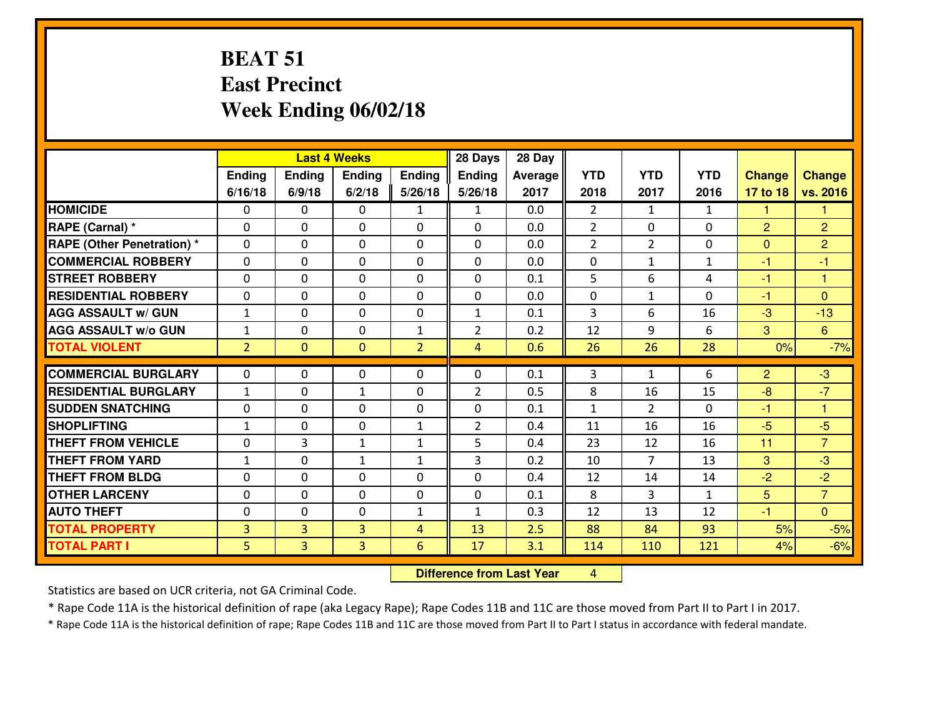#### **BEAT 51 East PrecinctWeek Ending 06/02/18**

|                                  |                | <b>Last 4 Weeks</b> |                |                |                | 28 Day  |                |                |              |                |                      |
|----------------------------------|----------------|---------------------|----------------|----------------|----------------|---------|----------------|----------------|--------------|----------------|----------------------|
|                                  | Ending         | Ending              | Ending         | <b>Ending</b>  | <b>Ending</b>  | Average | <b>YTD</b>     | <b>YTD</b>     | <b>YTD</b>   | <b>Change</b>  | <b>Change</b>        |
|                                  | 6/16/18        | 6/9/18              | 6/2/18         | 5/26/18        | 5/26/18        | 2017    | 2018           | 2017           | 2016         | 17 to 18       | vs. 2016             |
| <b>HOMICIDE</b>                  | 0              | 0                   | 0              | $\mathbf{1}$   | $\mathbf{1}$   | 0.0     | $\overline{2}$ | $\mathbf{1}$   | $\mathbf{1}$ | 1              | 1                    |
| RAPE (Carnal) *                  | $\Omega$       | 0                   | 0              | $\Omega$       | 0              | 0.0     | $\overline{2}$ | $\mathbf{0}$   | 0            | $\overline{2}$ | $\overline{2}$       |
| <b>RAPE (Other Penetration)*</b> | $\Omega$       | $\Omega$            | $\mathbf 0$    | $\Omega$       | $\Omega$       | 0.0     | $\overline{2}$ | $\overline{2}$ | $\Omega$     | $\Omega$       | $\overline{2}$       |
| <b>COMMERCIAL ROBBERY</b>        | $\Omega$       | $\Omega$            | $\mathbf 0$    | $\Omega$       | $\Omega$       | 0.0     | 0              | $\mathbf{1}$   | $\mathbf{1}$ | $-1$           | $-1$                 |
| <b>ISTREET ROBBERY</b>           | $\mathbf{0}$   | 0                   | $\mathbf{0}$   | 0              | $\Omega$       | 0.1     | 5              | 6              | 4            | $-1$           | $\blacktriangleleft$ |
| <b>RESIDENTIAL ROBBERY</b>       | 0              | 0                   | $\mathbf 0$    | 0              | 0              | 0.0     | 0              | $\mathbf{1}$   | 0            | $-1$           | $\mathbf{0}$         |
| <b>AGG ASSAULT w/ GUN</b>        | $\mathbf{1}$   | 0                   | $\mathbf 0$    | 0              | $\mathbf{1}$   | 0.1     | $\overline{3}$ | 6              | 16           | $-3$           | $-13$                |
| <b>AGG ASSAULT W/o GUN</b>       | $1\,$          | 0                   | $\mathbf 0$    | $\mathbf{1}$   | $\overline{2}$ | 0.2     | 12             | 9              | 6            | 3              | $6^{\circ}$          |
| <b>TOTAL VIOLENT</b>             | $\overline{2}$ | $\overline{0}$      | $\overline{0}$ | $\overline{2}$ | $\overline{4}$ | 0.6     | 26             | 26             | 28           | 0%             | $-7%$                |
| <b>COMMERCIAL BURGLARY</b>       | $\Omega$       | 0                   | $\mathbf{0}$   | $\Omega$       | $\Omega$       | 0.1     | 3              | $\mathbf{1}$   | 6            | $\overline{2}$ | $-3$                 |
| <b>RESIDENTIAL BURGLARY</b>      | $\mathbf{1}$   | 0                   | 1              | $\Omega$       | $\overline{2}$ | 0.5     | 8              | 16             | 15           | $-8$           | $-7$                 |
| <b>SUDDEN SNATCHING</b>          | 0              | 0                   | $\mathbf 0$    | $\Omega$       | 0              | 0.1     | $\mathbf{1}$   | $\overline{2}$ | $\Omega$     | $-1$           | $\blacktriangleleft$ |
| <b>SHOPLIFTING</b>               | $\mathbf{1}$   | 0                   | $\mathbf 0$    | $\mathbf{1}$   | $\overline{2}$ | 0.4     | 11             | 16             | 16           | $-5$           | $-5$                 |
| <b>THEFT FROM VEHICLE</b>        | 0              | 3                   | $\mathbf{1}$   | $\mathbf{1}$   | 5              | 0.4     | 23             | 12             | 16           | 11             | $\overline{7}$       |
| <b>THEFT FROM YARD</b>           | $1\,$          | 0                   | $\mathbf{1}$   | $\mathbf{1}$   | 3              | 0.2     | 10             | $\overline{7}$ | 13           | 3              | $-3$                 |
| <b>THEFT FROM BLDG</b>           | $\mathbf{0}$   | 0                   | 0              | $\Omega$       | 0              | 0.4     | 12             | 14             | 14           | $-2$           | $-2$                 |
| <b>OTHER LARCENY</b>             | 0              | 0                   | $\mathbf 0$    | 0              | $\mathbf 0$    | 0.1     | 8              | 3              | $\mathbf{1}$ | 5              | $\overline{7}$       |
| <b>AUTO THEFT</b>                | 0              | 0                   | 0              | $\mathbf{1}$   | 1              | 0.3     | 12             | 13             | 12           | $-1$           | $\overline{0}$       |
| <b>TOTAL PROPERTY</b>            | $\overline{3}$ | $\overline{3}$      | 3              | 4              | 13             | 2.5     | 88             | 84             | 93           | 5%             | $-5%$                |
| <b>TOTAL PART I</b>              | 5              | $\overline{3}$      | $\overline{3}$ | 6              | 17             | 3.1     | 114            | 110            | 121          | 4%             | $-6%$                |

 **Difference from Last Year**<sup>4</sup>

Statistics are based on UCR criteria, not GA Criminal Code.

\* Rape Code 11A is the historical definition of rape (aka Legacy Rape); Rape Codes 11B and 11C are those moved from Part II to Part I in 2017.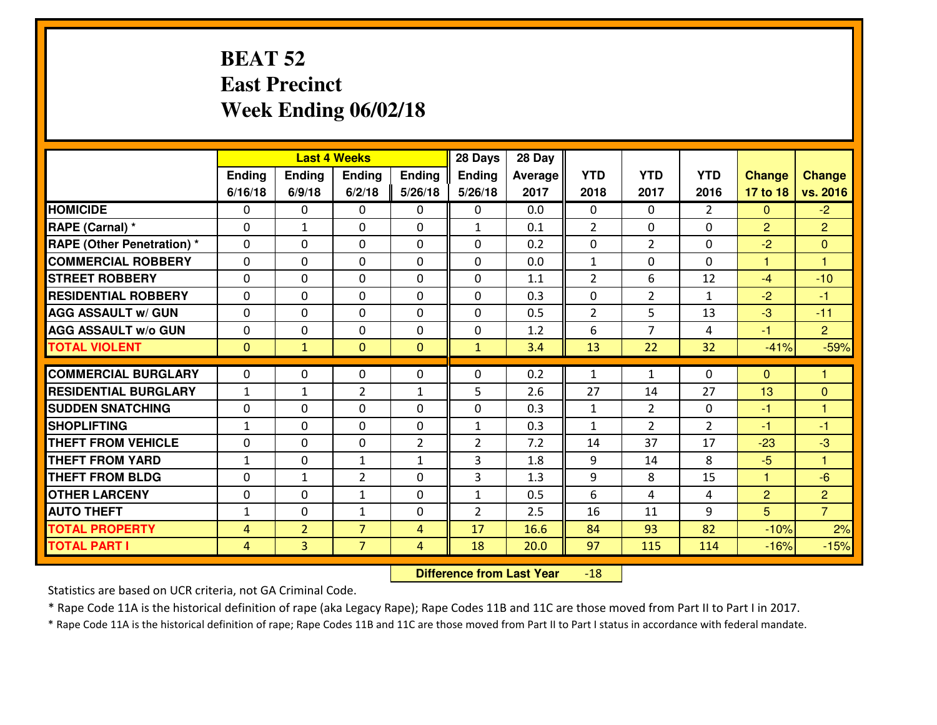#### **BEAT 52 East PrecinctWeek Ending 06/02/18**

|                                              |                     |                                  | <b>Last 4 Weeks</b>              |                | 28 Days        | 28 Day       |                |                |                |                  |                |
|----------------------------------------------|---------------------|----------------------------------|----------------------------------|----------------|----------------|--------------|----------------|----------------|----------------|------------------|----------------|
|                                              | Ending              | Ending                           | Ending                           | <b>Ending</b>  | <b>Ending</b>  | Average      | <b>YTD</b>     | <b>YTD</b>     | <b>YTD</b>     | <b>Change</b>    | <b>Change</b>  |
|                                              | 6/16/18             | 6/9/18                           | 6/2/18                           | 5/26/18        | 5/26/18        | 2017         | 2018           | 2017           | 2016           | 17 to 18         | vs. 2016       |
| <b>HOMICIDE</b>                              | $\Omega$            | 0                                | 0                                | 0              | 0              | 0.0          | $\Omega$       | $\Omega$       | $\mathfrak{D}$ | $\Omega$         | $-2$           |
| RAPE (Carnal) *                              | $\mathbf{0}$        | $\mathbf{1}$                     | $\mathbf{0}$                     | 0              | $\mathbf{1}$   | 0.1          | $\overline{2}$ | $\mathbf{0}$   | 0              | 2                | $\overline{2}$ |
| <b>RAPE (Other Penetration) *</b>            | $\mathbf{0}$        | 0                                | $\mathbf{0}$                     | 0              | $\Omega$       | 0.2          | $\mathbf{0}$   | $\overline{2}$ | 0              | $-2$             | $\mathbf{0}$   |
| <b>COMMERCIAL ROBBERY</b>                    | $\mathbf{0}$        | 0                                | 0                                | $\Omega$       | $\Omega$       | 0.0          | 1              | 0              | 0              | $\mathbf{1}$     | 1              |
| <b>STREET ROBBERY</b>                        | $\mathbf{0}$        | 0                                | $\mathbf 0$                      | 0              | $\Omega$       | 1.1          | $\overline{2}$ | 6              | 12             | $-4$             | $-10$          |
| <b>RESIDENTIAL ROBBERY</b>                   | $\Omega$            | 0                                | $\mathbf 0$                      | 0              | 0              | 0.3          | 0              | $\overline{2}$ | $\mathbf{1}$   | $-2$             | $-1$           |
| <b>AGG ASSAULT W/ GUN</b>                    | 0                   | 0                                | $\mathbf 0$                      | 0              | 0              | 0.5          | $\overline{2}$ | 5              | 13             | $-3$             | $-11$          |
| <b>AGG ASSAULT W/o GUN</b>                   | 0                   | 0                                | $\mathbf 0$                      | 0              | 0              | 1.2          | 6              | 7              | 4              | $-1$             | $\overline{2}$ |
| <b>TOTAL VIOLENT</b>                         | $\mathbf{0}$        | $\mathbf{1}$                     | $\mathbf{0}$                     | $\mathbf{0}$   | $\mathbf{1}$   | 3.4          | 13             | 22             | 32             | $-41%$           | $-59%$         |
| <b>COMMERCIAL BURGLARY</b>                   | $\mathbf{0}$        | 0                                | 0                                | 0              | $\Omega$       | 0.2          | 1              | $\mathbf{1}$   | 0              | $\Omega$         | 1              |
| <b>RESIDENTIAL BURGLARY</b>                  | $\mathbf{1}$        | 1                                | $\overline{2}$                   | $\mathbf{1}$   | 5              | 2.6          | 27             | 14             | 27             | 13               | $\mathbf{0}$   |
|                                              |                     |                                  |                                  |                |                |              |                |                |                |                  |                |
|                                              |                     |                                  |                                  |                |                |              |                |                |                |                  |                |
| <b>SUDDEN SNATCHING</b>                      | $\mathbf{0}$        | 0                                | $\mathbf 0$                      | $\Omega$       | 0              | 0.3          | $\mathbf{1}$   | $\overline{2}$ | 0              | -1               | 1              |
| <b>SHOPLIFTING</b>                           | $\mathbf{1}$        | 0                                | $\mathbf 0$                      | 0              | $\mathbf{1}$   | 0.3          | $\mathbf{1}$   | $\overline{2}$ | $\overline{2}$ | $-1$             | $-1$           |
| <b>THEFT FROM VEHICLE</b>                    | $\Omega$            | $\Omega$                         | $\mathbf 0$                      | $\overline{2}$ | $\overline{2}$ | 7.2          | 14             | 37             | 17             | $-23$            | $-3$           |
| <b>THEFT FROM YARD</b>                       | $1\,$               | 0                                | $\mathbf{1}$                     | $\mathbf{1}$   | 3              | 1.8          | 9              | 14             | 8              | $-5$             | $\mathbf{1}$   |
| <b>THEFT FROM BLDG</b>                       | 0                   | $\mathbf{1}$                     | $\overline{2}$                   | 0              | 3              | 1.3          | 9              | 8              | 15             | $\mathbf{1}$     | $-6$           |
| <b>OTHER LARCENY</b>                         | 0                   | 0                                | 1                                | 0              | $\mathbf{1}$   | 0.5          | 6              | 4              | 4              | $\overline{2}$   | $\overline{2}$ |
| <b>AUTO THEFT</b>                            | $\mathbf{1}$        | 0                                | 1                                | 0              | $\overline{2}$ | 2.5          | 16             | 11             | 9              | 5                | $\overline{7}$ |
| <b>TOTAL PROPERTY</b><br><b>TOTAL PART I</b> | 4<br>$\overline{4}$ | $\overline{2}$<br>$\overline{3}$ | $\overline{7}$<br>$\overline{7}$ | 4<br>4         | 17<br>18       | 16.6<br>20.0 | 84<br>97       | 93<br>115      | 82<br>114      | $-10%$<br>$-16%$ | 2%<br>$-15%$   |

 **Difference from Last Year**-18

Statistics are based on UCR criteria, not GA Criminal Code.

\* Rape Code 11A is the historical definition of rape (aka Legacy Rape); Rape Codes 11B and 11C are those moved from Part II to Part I in 2017.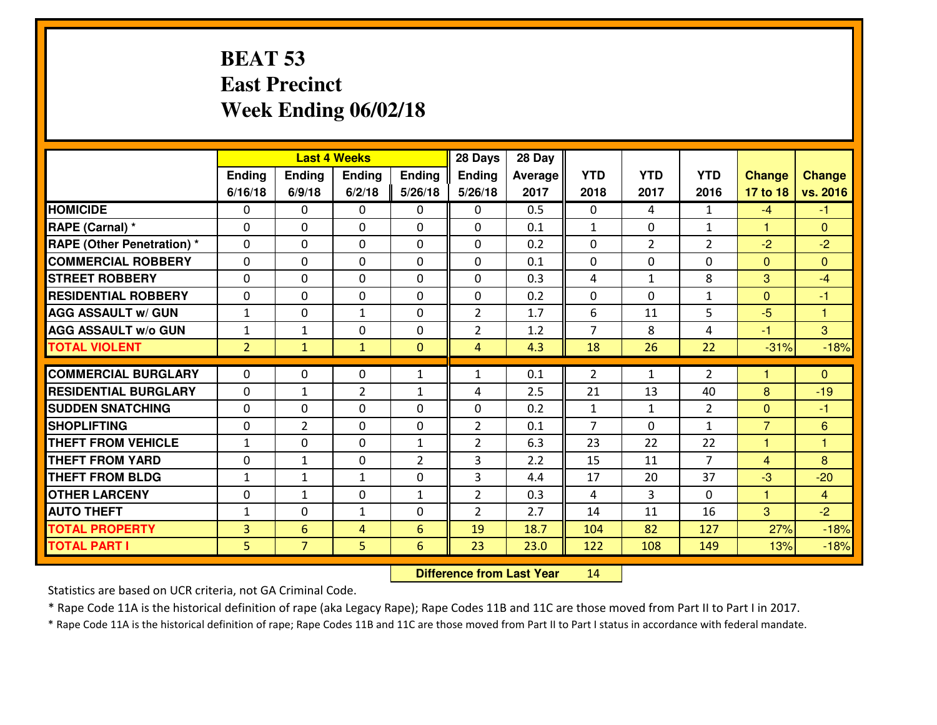#### **BEAT 53 East PrecinctWeek Ending 06/02/18**

|                                   |                | <b>Last 4 Weeks</b> |                |                |                | 28 Day  |                |                |                |                |                |
|-----------------------------------|----------------|---------------------|----------------|----------------|----------------|---------|----------------|----------------|----------------|----------------|----------------|
|                                   | Ending         | Ending              | <b>Ending</b>  | Ending         | Ending         | Average | <b>YTD</b>     | <b>YTD</b>     | <b>YTD</b>     | <b>Change</b>  | <b>Change</b>  |
|                                   | 6/16/18        | 6/9/18              | 6/2/18         | 5/26/18        | 5/26/18        | 2017    | 2018           | 2017           | 2016           | 17 to 18       | vs. 2016       |
| <b>HOMICIDE</b>                   | $\Omega$       | 0                   | $\Omega$       | 0              | $\Omega$       | 0.5     | 0              | 4              | $\mathbf{1}$   | $-4$           | $-1$           |
| RAPE (Carnal) *                   | $\mathbf{0}$   | 0                   | $\mathbf{0}$   | 0              | $\Omega$       | 0.1     | $\mathbf{1}$   | $\mathbf{0}$   | $\mathbf{1}$   | $\mathbf{1}$   | $\mathbf{0}$   |
| <b>RAPE (Other Penetration) *</b> | $\Omega$       | 0                   | $\mathbf{0}$   | $\Omega$       | $\Omega$       | 0.2     | $\Omega$       | $\overline{2}$ | $\overline{2}$ | $-2$           | $-2$           |
| <b>COMMERCIAL ROBBERY</b>         | 0              | 0                   | $\mathbf 0$    | 0              | 0              | 0.1     | $\mathbf{0}$   | 0              | 0              | $\mathbf{0}$   | $\Omega$       |
| <b>STREET ROBBERY</b>             | 0              | 0                   | $\mathbf 0$    | 0              | 0              | 0.3     | 4              | $\mathbf{1}$   | 8              | 3              | $-4$           |
| <b>RESIDENTIAL ROBBERY</b>        | $\Omega$       | $\Omega$            | $\mathbf 0$    | $\Omega$       | 0              | 0.2     | 0              | $\Omega$       | $\mathbf{1}$   | $\overline{0}$ | $-1$           |
| <b>AGG ASSAULT w/ GUN</b>         | $1\,$          | 0                   | $\mathbf{1}$   | 0              | $\overline{2}$ | 1.7     | 6              | 11             | 5              | $-5$           | $\overline{1}$ |
| <b>AGG ASSAULT W/o GUN</b>        | $1\,$          | $\mathbf{1}$        | $\mathbf 0$    | $\mathbf 0$    | $\overline{2}$ | 1.2     | $\overline{7}$ | 8              | 4              | $-1$           | $\overline{3}$ |
| <b>TOTAL VIOLENT</b>              | $\overline{2}$ | $\mathbf{1}$        | $\mathbf{1}$   | $\mathbf{0}$   | $\overline{4}$ | 4.3     | 18             | 26             | 22             | $-31%$         | $-18%$         |
| <b>COMMERCIAL BURGLARY</b>        | $\Omega$       | 0                   | $\mathbf{0}$   | $\mathbf{1}$   | 1              | 0.1     | 2              | $\mathbf{1}$   | $\overline{2}$ | 1              | $\Omega$       |
| <b>RESIDENTIAL BURGLARY</b>       | 0              | $\mathbf{1}$        | $\overline{2}$ | $\mathbf{1}$   | 4              | 2.5     | 21             | 13             | 40             | 8              | $-19$          |
| <b>SUDDEN SNATCHING</b>           | 0              | 0                   | 0              | 0              | 0              | 0.2     | $\mathbf{1}$   | $\mathbf{1}$   | $\overline{2}$ | $\overline{0}$ | $-1$           |
| <b>SHOPLIFTING</b>                | 0              | $\overline{2}$      | $\mathbf 0$    | 0              | $\overline{2}$ | 0.1     | $\overline{7}$ | 0              | $\mathbf{1}$   | $\overline{7}$ | 6              |
| <b>THEFT FROM VEHICLE</b>         | $\mathbf{1}$   | 0                   | $\mathbf 0$    | $\mathbf{1}$   | $\overline{2}$ | 6.3     | 23             | 22             | 22             | $\mathbf{1}$   | 1              |
| <b>THEFT FROM YARD</b>            | 0              | $\mathbf{1}$        | $\mathbf 0$    | $\overline{2}$ | 3              | 2.2     | 15             | 11             | $\overline{7}$ | $\overline{4}$ | 8              |
| <b>THEFT FROM BLDG</b>            | $\mathbf{1}$   | 1                   | 1              | 0              | 3              | 4.4     | 17             | 20             | 37             | $-3$           | $-20$          |
| <b>OTHER LARCENY</b>              | 0              | $\mathbf{1}$        | $\mathbf 0$    | $\mathbf{1}$   | $\overline{2}$ | 0.3     | 4              | 3              | 0              | $\mathbf{1}$   | $\overline{4}$ |
| <b>AUTO THEFT</b>                 | $\mathbf{1}$   | 0                   | $\mathbf{1}$   | 0              | $\overline{2}$ | 2.7     | 14             | 11             | 16             | 3              | $-2$           |
| <b>TOTAL PROPERTY</b>             | 3              | 6                   | 4              | 6              | 19             | 18.7    | 104            | 82             | 127            | 27%            | $-18%$         |
| <b>TOTAL PART I</b>               | 5              | $\overline{7}$      | 5              | 6              | 23             | 23.0    | 122            | 108            | 149            | 13%            | $-18%$         |

 **Difference from Last Year**<sup>14</sup>

Statistics are based on UCR criteria, not GA Criminal Code.

\* Rape Code 11A is the historical definition of rape (aka Legacy Rape); Rape Codes 11B and 11C are those moved from Part II to Part I in 2017.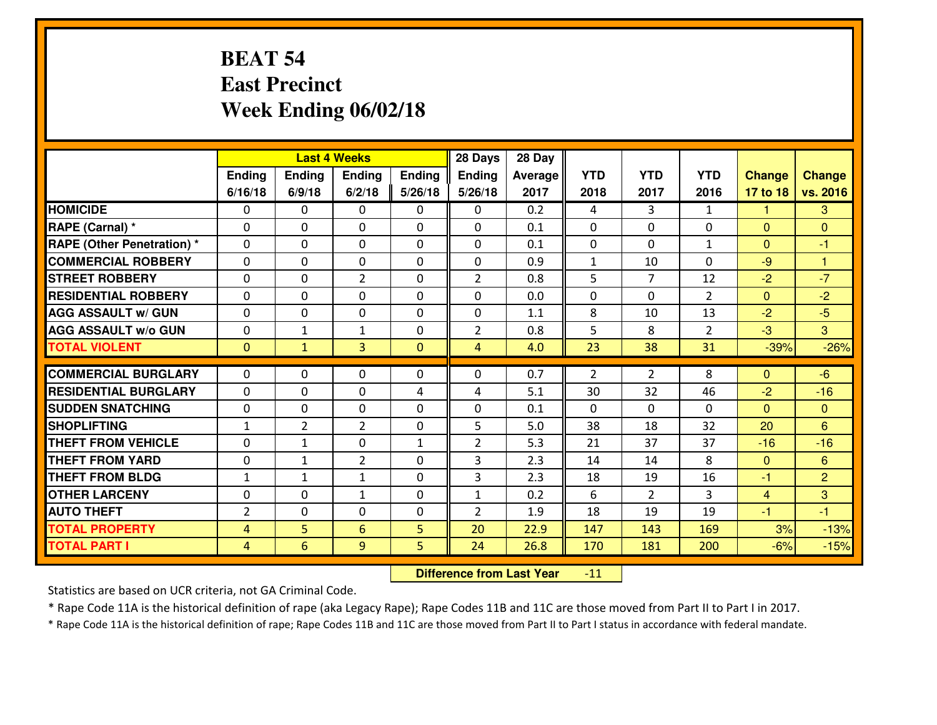#### **BEAT 54 East PrecinctWeek Ending 06/02/18**

|                                   | <b>Last 4 Weeks</b> |                |                |              | 28 Days        | 28 Day  |              |                |                |                |                      |
|-----------------------------------|---------------------|----------------|----------------|--------------|----------------|---------|--------------|----------------|----------------|----------------|----------------------|
|                                   | Ending              | Ending         | <b>Ending</b>  | Ending       | <b>Ending</b>  | Average | <b>YTD</b>   | <b>YTD</b>     | <b>YTD</b>     | <b>Change</b>  | <b>Change</b>        |
|                                   | 6/16/18             | 6/9/18         | 6/2/18         | 5/26/18      | 5/26/18        | 2017    | 2018         | 2017           | 2016           | 17 to 18       | vs. 2016             |
| <b>HOMICIDE</b>                   | $\Omega$            | 0              | $\Omega$       | 0            | $\Omega$       | 0.2     | 4            | 3              | $\mathbf{1}$   | 1              | 3                    |
| RAPE (Carnal) *                   | $\mathbf{0}$        | 0              | $\mathbf{0}$   | 0            | $\Omega$       | 0.1     | $\mathbf{0}$ | 0              | 0              | $\Omega$       | $\mathbf{0}$         |
| <b>RAPE (Other Penetration) *</b> | $\Omega$            | 0              | $\mathbf{0}$   | $\Omega$     | $\Omega$       | 0.1     | $\mathbf{0}$ | 0              | $\mathbf{1}$   | $\Omega$       | $-1$                 |
| <b>COMMERCIAL ROBBERY</b>         | $\mathbf{0}$        | 0              | 0              | 0            | 0              | 0.9     | $\mathbf{1}$ | 10             | 0              | $-9$           | $\blacktriangleleft$ |
| <b>STREET ROBBERY</b>             | 0                   | 0              | $\overline{2}$ | 0            | $\overline{2}$ | 0.8     | 5            | $\overline{7}$ | 12             | $-2$           | $-7$                 |
| <b>RESIDENTIAL ROBBERY</b>        | $\Omega$            | $\Omega$       | $\mathbf 0$    | $\Omega$     | 0              | 0.0     | 0            | $\Omega$       | $\overline{2}$ | $\Omega$       | $-2$                 |
| <b>AGG ASSAULT w/ GUN</b>         | $\Omega$            | 0              | $\mathbf 0$    | 0            | 0              | 1.1     | 8            | 10             | 13             | $-2$           | $-5$                 |
| <b>AGG ASSAULT W/o GUN</b>        | 0                   | $\mathbf{1}$   | 1              | $\mathbf 0$  | $\overline{2}$ | 0.8     | 5            | 8              | $\overline{2}$ | $-3$           | 3                    |
| <b>TOTAL VIOLENT</b>              | $\mathbf{0}$        | $\mathbf{1}$   | 3              | $\mathbf{0}$ | $\overline{4}$ | 4.0     | 23           | 38             | 31             | $-39%$         | $-26%$               |
| <b>COMMERCIAL BURGLARY</b>        | $\Omega$            | 0              | $\mathbf{0}$   | $\Omega$     | $\Omega$       | 0.7     | 2            | $\overline{2}$ | 8              | $\Omega$       | $-6$                 |
| <b>RESIDENTIAL BURGLARY</b>       | 0                   | 0              | $\mathbf 0$    | 4            | 4              | 5.1     | 30           | 32             | 46             | $-2$           | $-16$                |
| <b>SUDDEN SNATCHING</b>           | 0                   | 0              | $\mathbf 0$    | 0            | 0              | 0.1     | 0            | $\mathbf{0}$   | 0              | $\overline{0}$ | $\overline{0}$       |
| <b>SHOPLIFTING</b>                | $\mathbf{1}$        | $\overline{2}$ | $\overline{2}$ | 0            | 5              | 5.0     | 38           | 18             | 32             | 20             | 6                    |
| <b>THEFT FROM VEHICLE</b>         | $\Omega$            | 1              | $\mathbf 0$    | $\mathbf{1}$ | $\overline{2}$ | 5.3     | 21           | 37             | 37             | $-16$          | $-16$                |
| <b>THEFT FROM YARD</b>            | 0                   | $\mathbf{1}$   | $\overline{2}$ | 0            | 3              | 2.3     | 14           | 14             | 8              | $\mathbf{0}$   | 6                    |
| <b>THEFT FROM BLDG</b>            | $\mathbf{1}$        | $\mathbf{1}$   | 1              | 0            | 3              | 2.3     | 18           | 19             | 16             | $-1$           | $\overline{2}$       |
| <b>OTHER LARCENY</b>              | 0                   | 0              | $\mathbf{1}$   | 0            | $\mathbf{1}$   | 0.2     | 6            | $\overline{2}$ | 3              | $\overline{4}$ | 3                    |
| <b>AUTO THEFT</b>                 | $\overline{2}$      | 0              | $\mathbf{0}$   | 0            | $\overline{2}$ | 1.9     | 18           | 19             | 19             | $-1$           | $-1$                 |
| <b>TOTAL PROPERTY</b>             | 4                   | 5              | 6              | 5            | 20             | 22.9    | 147          | 143            | 169            | 3%             | $-13%$               |
| <b>TOTAL PART I</b>               | $\overline{4}$      | 6              | 9              | 5            | 24             | 26.8    | 170          | 181            | 200            | $-6%$          | $-15%$               |

 **Difference from Last Year** $-11$ 

Statistics are based on UCR criteria, not GA Criminal Code.

\* Rape Code 11A is the historical definition of rape (aka Legacy Rape); Rape Codes 11B and 11C are those moved from Part II to Part I in 2017.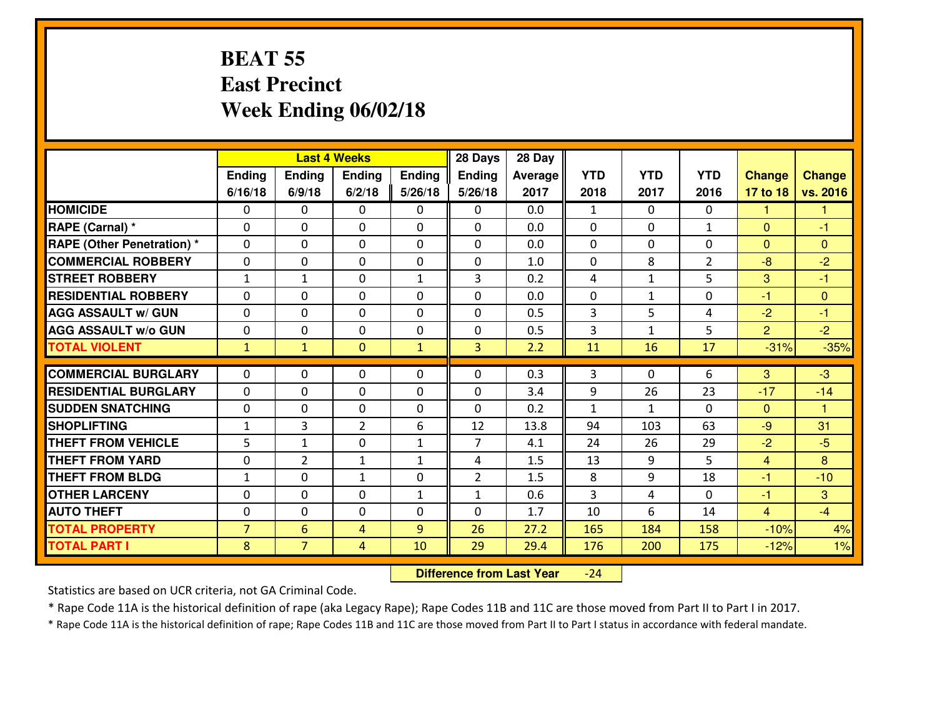#### **BEAT 55 East PrecinctWeek Ending 06/02/18**

|                                   | <b>Last 4 Weeks</b> |                |                |              | 28 Days        | 28 Day  |                |              |                |                |                      |
|-----------------------------------|---------------------|----------------|----------------|--------------|----------------|---------|----------------|--------------|----------------|----------------|----------------------|
|                                   | Ending              | Ending         | <b>Ending</b>  | Ending       | Ending         | Average | <b>YTD</b>     | <b>YTD</b>   | <b>YTD</b>     | <b>Change</b>  | <b>Change</b>        |
|                                   | 6/16/18             | 6/9/18         | 6/2/18         | 5/26/18      | 5/26/18        | 2017    | 2018           | 2017         | 2016           | 17 to 18       | vs. 2016             |
| <b>HOMICIDE</b>                   | $\Omega$            | 0              | $\Omega$       | 0            | $\Omega$       | 0.0     | $\mathbf{1}$   | $\Omega$     | 0              | 1              | 1                    |
| RAPE (Carnal) *                   | $\mathbf{0}$        | 0              | $\mathbf{0}$   | 0            | $\Omega$       | 0.0     | $\mathbf{0}$   | $\mathbf{0}$ | $\mathbf{1}$   | $\Omega$       | $-1$                 |
| <b>RAPE (Other Penetration) *</b> | $\Omega$            | 0              | $\mathbf{0}$   | $\Omega$     | $\Omega$       | 0.0     | $\Omega$       | 0            | 0              | $\Omega$       | $\Omega$             |
| <b>COMMERCIAL ROBBERY</b>         | 0                   | 0              | $\mathbf 0$    | 0            | $\Omega$       | 1.0     | $\Omega$       | 8            | $\overline{2}$ | $-8$           | $-2$                 |
| <b>STREET ROBBERY</b>             | $\mathbf{1}$        | $\mathbf{1}$   | $\mathbf 0$    | $\mathbf{1}$ | 3              | 0.2     | 4              | $\mathbf{1}$ | 5              | 3              | $-1$                 |
| <b>RESIDENTIAL ROBBERY</b>        | $\Omega$            | $\Omega$       | $\mathbf 0$    | $\Omega$     | 0              | 0.0     | 0              | $\mathbf{1}$ | 0              | $-1$           | $\Omega$             |
| <b>AGG ASSAULT w/ GUN</b>         | $\Omega$            | 0              | $\mathbf 0$    | $\Omega$     | 0              | 0.5     | $\overline{3}$ | 5            | 4              | $-2$           | $-1$                 |
| <b>AGG ASSAULT W/o GUN</b>        | 0                   | 0              | $\mathbf 0$    | $\mathbf 0$  | 0              | 0.5     | 3              | $\mathbf{1}$ | 5              | $\overline{2}$ | $-2$                 |
| <b>TOTAL VIOLENT</b>              | $\mathbf{1}$        | $\mathbf{1}$   | $\mathbf{O}$   | $\mathbf{1}$ | 3              | 2.2     | 11             | 16           | 17             | $-31%$         | $-35%$               |
| <b>COMMERCIAL BURGLARY</b>        | $\Omega$            | 0              | $\mathbf{0}$   | $\Omega$     | $\Omega$       | 0.3     | 3              | $\Omega$     | 6              | 3              | $-3$                 |
| <b>RESIDENTIAL BURGLARY</b>       | 0                   | 0              | $\mathbf 0$    | 0            | 0              | 3.4     | 9              | 26           | 23             | $-17$          | $-14$                |
| <b>SUDDEN SNATCHING</b>           | 0                   | 0              | 0              | 0            | 0              | 0.2     | $\mathbf{1}$   | $\mathbf{1}$ | 0              | $\mathbf{0}$   | $\blacktriangleleft$ |
| <b>SHOPLIFTING</b>                | $\mathbf{1}$        | 3              | $\overline{2}$ | 6            | 12             | 13.8    | 94             | 103          | 63             | $-9$           | 31                   |
| <b>THEFT FROM VEHICLE</b>         | 5                   | $\mathbf{1}$   | $\mathbf 0$    | $\mathbf{1}$ | $\overline{7}$ | 4.1     | 24             | 26           | 29             | $-2$           | $-5$                 |
| <b>THEFT FROM YARD</b>            | 0                   | $\overline{2}$ | $\mathbf{1}$   | $\mathbf{1}$ | 4              | 1.5     | 13             | 9            | 5              | $\overline{4}$ | 8                    |
| <b>THEFT FROM BLDG</b>            | $\mathbf{1}$        | 0              | 1              | 0            | $\overline{2}$ | 1.5     | 8              | 9            | 18             | $-1$           | $-10$                |
| <b>OTHER LARCENY</b>              | 0                   | 0              | $\mathbf 0$    | $\mathbf{1}$ | $\mathbf{1}$   | 0.6     | 3              | 4            | $\Omega$       | $-1$           | 3                    |
| <b>AUTO THEFT</b>                 | $\mathbf{0}$        | 0              | $\mathbf{0}$   | 0            | 0              | 1.7     | 10             | 6            | 14             | $\overline{4}$ | $-4$                 |
| <b>TOTAL PROPERTY</b>             | $\overline{7}$      | 6              | 4              | 9            | 26             | 27.2    | 165            | 184          | 158            | $-10%$         | 4%                   |
| <b>TOTAL PART I</b>               | 8                   | $\overline{7}$ | 4              | 10           | 29             | 29.4    | 176            | 200          | 175            | $-12%$         | 1%                   |

 **Difference from Last Year** $-24$ 

Statistics are based on UCR criteria, not GA Criminal Code.

\* Rape Code 11A is the historical definition of rape (aka Legacy Rape); Rape Codes 11B and 11C are those moved from Part II to Part I in 2017.